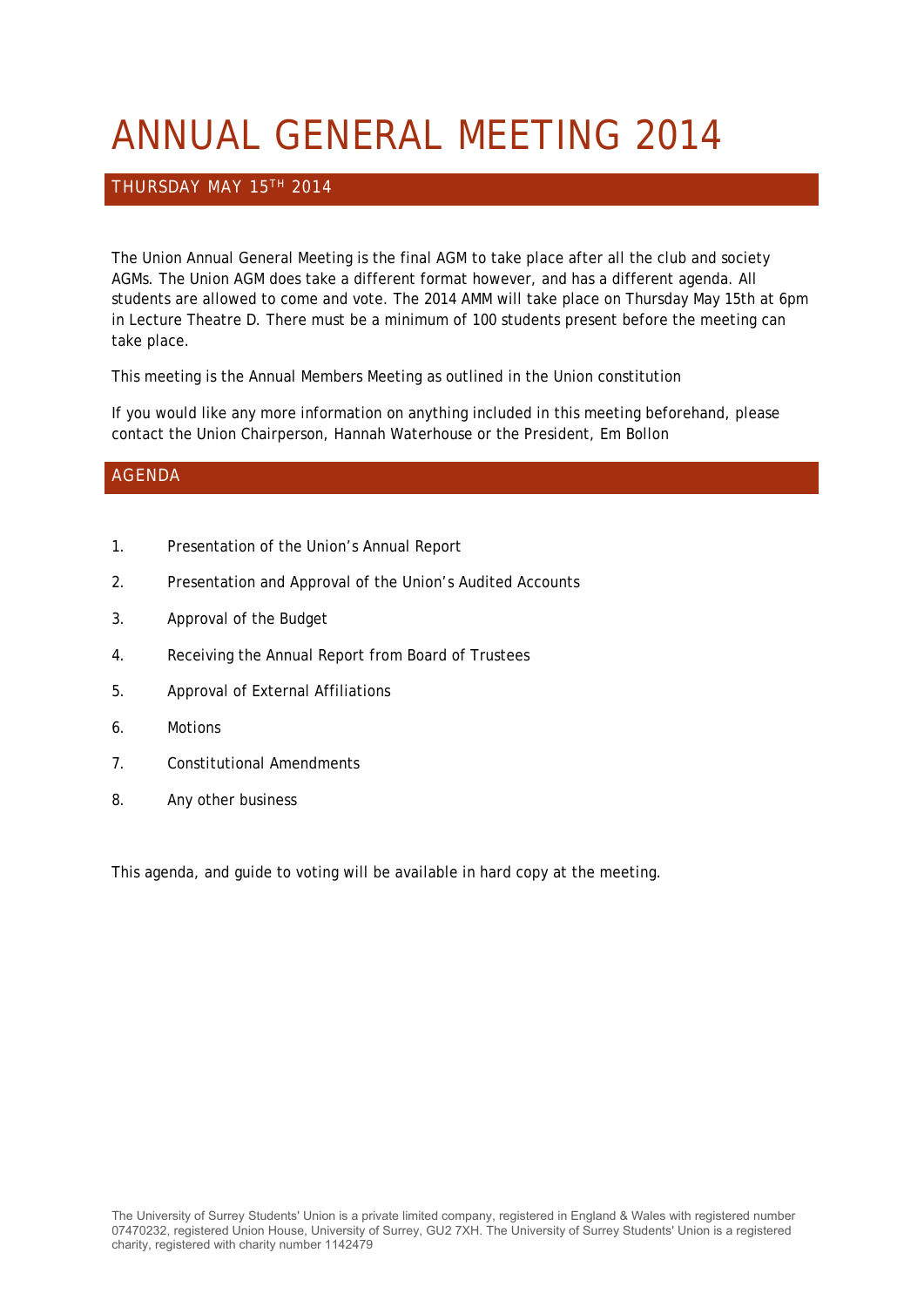# ANNUAL GENERAL MEETING 2014

#### THURSDAY MAY 15TH 2014

The Union Annual General Meeting is the final AGM to take place after all the club and society AGMs. The Union AGM does take a different format however, and has a different agenda. All students are allowed to come and vote. The 2014 AMM will take place on Thursday May 15th at 6pm in Lecture Theatre D. There must be a minimum of 100 students present before the meeting can take place.

This meeting is the Annual Members Meeting as outlined in the Union constitution

If you would like any more information on anything included in this meeting beforehand, please contact the Union Chairperson, Hannah Waterhouse or the President, Em Bollon

#### AGENDA

- 1. Presentation of the Union's Annual Report
- 2. Presentation and Approval of the Union's Audited Accounts
- 3. Approval of the Budget
- 4. Receiving the Annual Report from Board of Trustees
- 5. Approval of External Affiliations
- 6. Motions
- 7. Constitutional Amendments
- 8. Any other business

This agenda, and guide to voting will be available in hard copy at the meeting.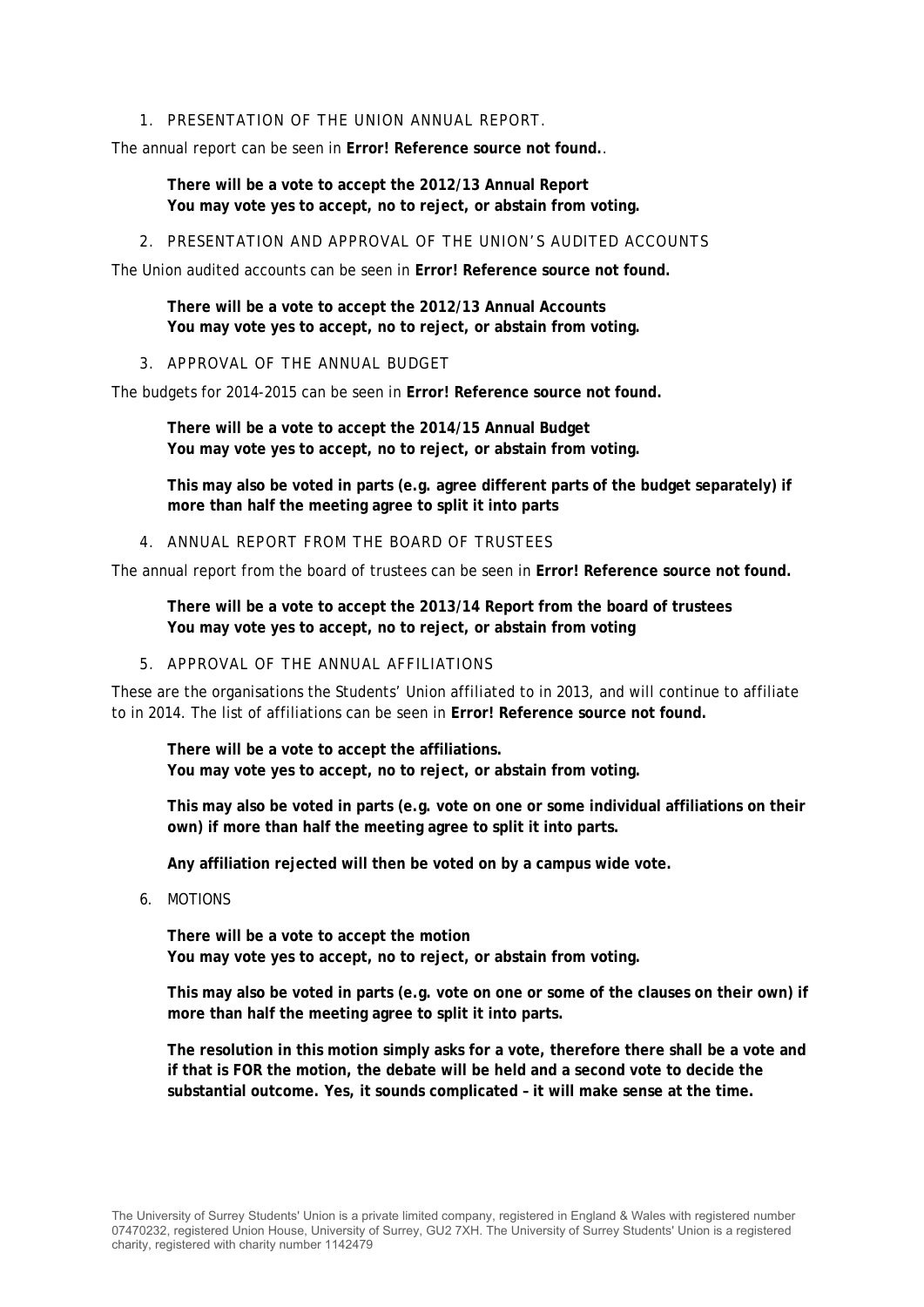#### 1. PRESENTATION OF THE UNION ANNUAL REPORT.

The annual report can be seen in **Error! Reference source not found.**.

**There will be a vote to accept the 2012/13 Annual Report You may vote yes to accept, no to reject, or abstain from voting.** 

2. PRESENTATION AND APPROVAL OF THE UNION'S AUDITED ACCOUNTS

The Union audited accounts can be seen in **Error! Reference source not found.**

**There will be a vote to accept the 2012/13 Annual Accounts You may vote yes to accept, no to reject, or abstain from voting.** 

3. APPROVAL OF THE ANNUAL BUDGET

The budgets for 2014-2015 can be seen in **Error! Reference source not found.**

**There will be a vote to accept the 2014/15 Annual Budget You may vote yes to accept, no to reject, or abstain from voting.** 

**This may also be voted in parts (e.g. agree different parts of the budget separately) if more than half the meeting agree to split it into parts** 

4. ANNUAL REPORT FROM THE BOARD OF TRUSTEES

The annual report from the board of trustees can be seen in **Error! Reference source not found.**

**There will be a vote to accept the 2013/14 Report from the board of trustees You may vote yes to accept, no to reject, or abstain from voting**

5. APPROVAL OF THE ANNUAL AFFILIATIONS

These are the organisations the Students' Union affiliated to in 2013, and will continue to affiliate to in 2014. The list of affiliations can be seen in **Error! Reference source not found.**

**There will be a vote to accept the affiliations. You may vote yes to accept, no to reject, or abstain from voting.** 

**This may also be voted in parts (e.g. vote on one or some individual affiliations on their own) if more than half the meeting agree to split it into parts.** 

**Any affiliation rejected will then be voted on by a campus wide vote.** 

6. MOTIONS

**There will be a vote to accept the motion You may vote yes to accept, no to reject, or abstain from voting.** 

**This may also be voted in parts (e.g. vote on one or some of the clauses on their own) if more than half the meeting agree to split it into parts.** 

**The resolution in this motion simply asks for a vote, therefore there shall be a vote and if that is FOR the motion, the debate will be held and a second vote to decide the substantial outcome. Yes, it sounds complicated – it will make sense at the time.**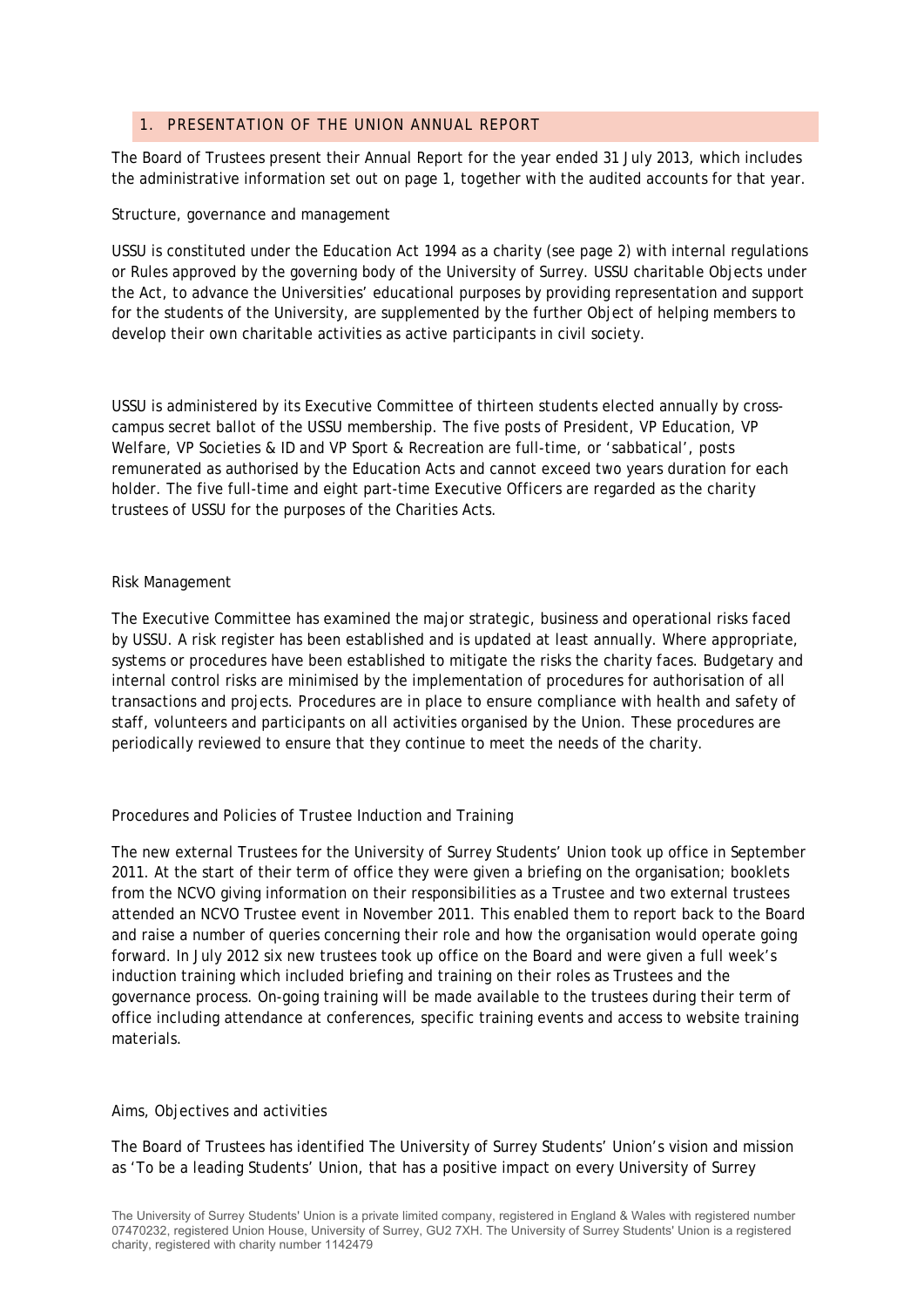#### 1. PRESENTATION OF THE UNION ANNUAL REPORT

The Board of Trustees present their Annual Report for the year ended 31 July 2013, which includes the administrative information set out on page 1, together with the audited accounts for that year.

#### Structure, governance and management

USSU is constituted under the Education Act 1994 as a charity (see page 2) with internal regulations or Rules approved by the governing body of the University of Surrey. USSU charitable Objects under the Act, to advance the Universities' educational purposes by providing representation and support for the students of the University, are supplemented by the further Object of helping members to develop their own charitable activities as active participants in civil society.

USSU is administered by its Executive Committee of thirteen students elected annually by crosscampus secret ballot of the USSU membership. The five posts of President, VP Education, VP Welfare, VP Societies & ID and VP Sport & Recreation are full-time, or 'sabbatical', posts remunerated as authorised by the Education Acts and cannot exceed two years duration for each holder. The five full-time and eight part-time Executive Officers are regarded as the charity trustees of USSU for the purposes of the Charities Acts.

#### Risk Management

The Executive Committee has examined the major strategic, business and operational risks faced by USSU. A risk register has been established and is updated at least annually. Where appropriate, systems or procedures have been established to mitigate the risks the charity faces. Budgetary and internal control risks are minimised by the implementation of procedures for authorisation of all transactions and projects. Procedures are in place to ensure compliance with health and safety of staff, volunteers and participants on all activities organised by the Union. These procedures are periodically reviewed to ensure that they continue to meet the needs of the charity.

#### Procedures and Policies of Trustee Induction and Training

The new external Trustees for the University of Surrey Students' Union took up office in September 2011. At the start of their term of office they were given a briefing on the organisation; booklets from the NCVO giving information on their responsibilities as a Trustee and two external trustees attended an NCVO Trustee event in November 2011. This enabled them to report back to the Board and raise a number of queries concerning their role and how the organisation would operate going forward. In July 2012 six new trustees took up office on the Board and were given a full week's induction training which included briefing and training on their roles as Trustees and the governance process. On-going training will be made available to the trustees during their term of office including attendance at conferences, specific training events and access to website training materials.

#### Aims, Objectives and activities

The Board of Trustees has identified The University of Surrey Students' Union's vision and mission as 'To be a leading Students' Union, that has a positive impact on every University of Surrey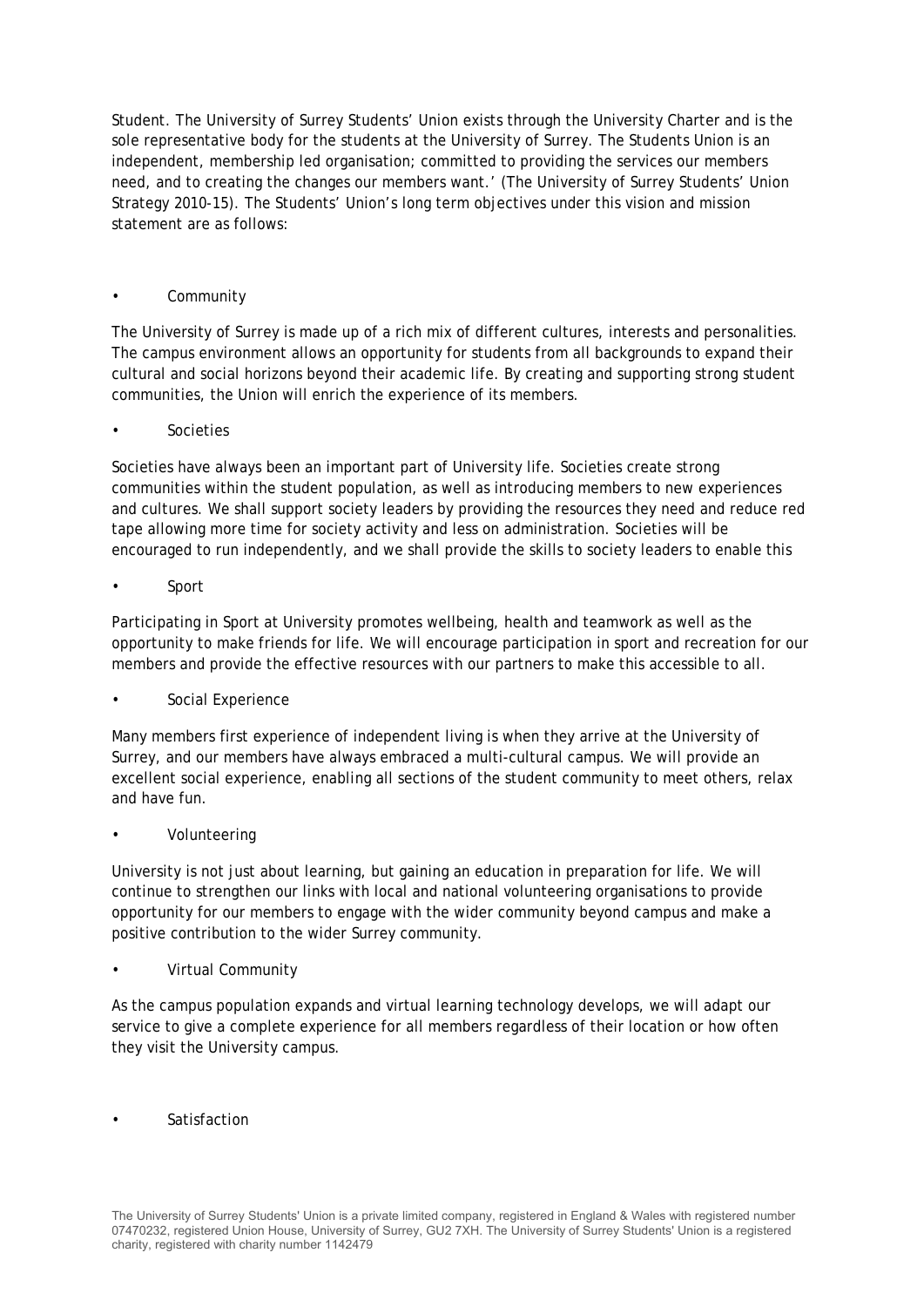Student. The University of Surrey Students' Union exists through the University Charter and is the sole representative body for the students at the University of Surrey. The Students Union is an independent, membership led organisation; committed to providing the services our members need, and to creating the changes our members want.' (The University of Surrey Students' Union Strategy 2010-15). The Students' Union's long term objectives under this vision and mission statement are as follows:

#### **Community**

The University of Surrey is made up of a rich mix of different cultures, interests and personalities. The campus environment allows an opportunity for students from all backgrounds to expand their cultural and social horizons beyond their academic life. By creating and supporting strong student communities, the Union will enrich the experience of its members.

#### **Societies**

Societies have always been an important part of University life. Societies create strong communities within the student population, as well as introducing members to new experiences and cultures. We shall support society leaders by providing the resources they need and reduce red tape allowing more time for society activity and less on administration. Societies will be encouraged to run independently, and we shall provide the skills to society leaders to enable this

• Sport

Participating in Sport at University promotes wellbeing, health and teamwork as well as the opportunity to make friends for life. We will encourage participation in sport and recreation for our members and provide the effective resources with our partners to make this accessible to all.

#### Social Experience

Many members first experience of independent living is when they arrive at the University of Surrey, and our members have always embraced a multi-cultural campus. We will provide an excellent social experience, enabling all sections of the student community to meet others, relax and have fun.

#### • Volunteering

University is not just about learning, but gaining an education in preparation for life. We will continue to strengthen our links with local and national volunteering organisations to provide opportunity for our members to engage with the wider community beyond campus and make a positive contribution to the wider Surrey community.

#### • Virtual Community

As the campus population expands and virtual learning technology develops, we will adapt our service to give a complete experience for all members regardless of their location or how often they visit the University campus.

**Satisfaction**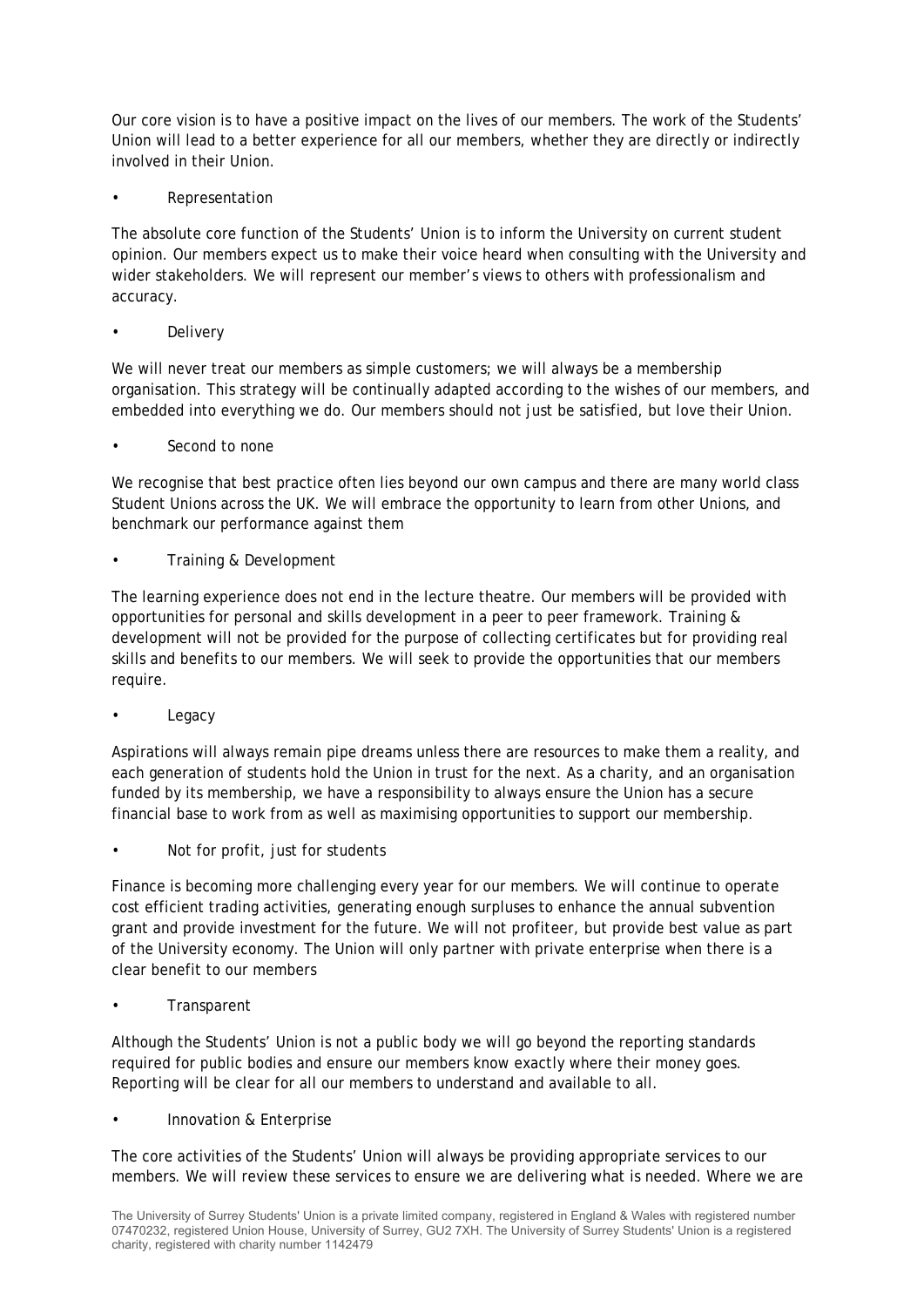Our core vision is to have a positive impact on the lives of our members. The work of the Students' Union will lead to a better experience for all our members, whether they are directly or indirectly involved in their Union.

• Representation

The absolute core function of the Students' Union is to inform the University on current student opinion. Our members expect us to make their voice heard when consulting with the University and wider stakeholders. We will represent our member's views to others with professionalism and accuracy.

**Delivery** 

We will never treat our members as simple customers; we will always be a membership organisation. This strategy will be continually adapted according to the wishes of our members, and embedded into everything we do. Our members should not just be satisfied, but love their Union.

• Second to none

We recognise that best practice often lies beyond our own campus and there are many world class Student Unions across the UK. We will embrace the opportunity to learn from other Unions, and benchmark our performance against them

• Training & Development

The learning experience does not end in the lecture theatre. Our members will be provided with opportunities for personal and skills development in a peer to peer framework. Training & development will not be provided for the purpose of collecting certificates but for providing real skills and benefits to our members. We will seek to provide the opportunities that our members require.

**Legacy** 

Aspirations will always remain pipe dreams unless there are resources to make them a reality, and each generation of students hold the Union in trust for the next. As a charity, and an organisation funded by its membership, we have a responsibility to always ensure the Union has a secure financial base to work from as well as maximising opportunities to support our membership.

Not for profit, just for students

Finance is becoming more challenging every year for our members. We will continue to operate cost efficient trading activities, generating enough surpluses to enhance the annual subvention grant and provide investment for the future. We will not profiteer, but provide best value as part of the University economy. The Union will only partner with private enterprise when there is a clear benefit to our members

• Transparent

Although the Students' Union is not a public body we will go beyond the reporting standards required for public bodies and ensure our members know exactly where their money goes. Reporting will be clear for all our members to understand and available to all.

• Innovation & Enterprise

The core activities of the Students' Union will always be providing appropriate services to our members. We will review these services to ensure we are delivering what is needed. Where we are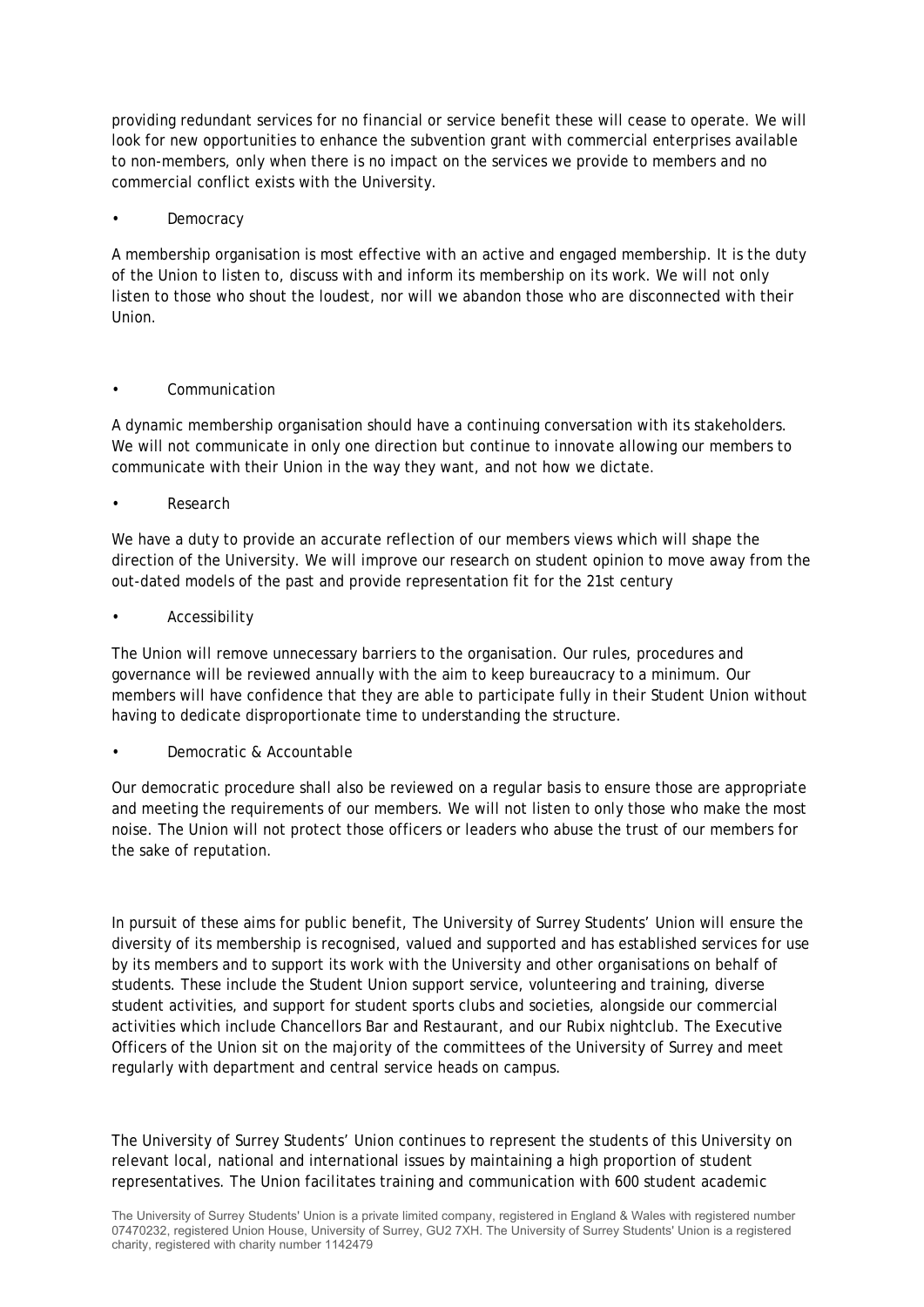providing redundant services for no financial or service benefit these will cease to operate. We will look for new opportunities to enhance the subvention grant with commercial enterprises available to non-members, only when there is no impact on the services we provide to members and no commercial conflict exists with the University.

#### **Democracy**

A membership organisation is most effective with an active and engaged membership. It is the duty of the Union to listen to, discuss with and inform its membership on its work. We will not only listen to those who shout the loudest, nor will we abandon those who are disconnected with their Union.

#### • Communication

A dynamic membership organisation should have a continuing conversation with its stakeholders. We will not communicate in only one direction but continue to innovate allowing our members to communicate with their Union in the way they want, and not how we dictate.

• Research

We have a duty to provide an accurate reflection of our members views which will shape the direction of the University. We will improve our research on student opinion to move away from the out-dated models of the past and provide representation fit for the 21st century

**Accessibility** 

The Union will remove unnecessary barriers to the organisation. Our rules, procedures and governance will be reviewed annually with the aim to keep bureaucracy to a minimum. Our members will have confidence that they are able to participate fully in their Student Union without having to dedicate disproportionate time to understanding the structure.

• Democratic & Accountable

Our democratic procedure shall also be reviewed on a regular basis to ensure those are appropriate and meeting the requirements of our members. We will not listen to only those who make the most noise. The Union will not protect those officers or leaders who abuse the trust of our members for the sake of reputation.

In pursuit of these aims for public benefit, The University of Surrey Students' Union will ensure the diversity of its membership is recognised, valued and supported and has established services for use by its members and to support its work with the University and other organisations on behalf of students. These include the Student Union support service, volunteering and training, diverse student activities, and support for student sports clubs and societies, alongside our commercial activities which include Chancellors Bar and Restaurant, and our Rubix nightclub. The Executive Officers of the Union sit on the majority of the committees of the University of Surrey and meet regularly with department and central service heads on campus.

The University of Surrey Students' Union continues to represent the students of this University on relevant local, national and international issues by maintaining a high proportion of student representatives. The Union facilitates training and communication with 600 student academic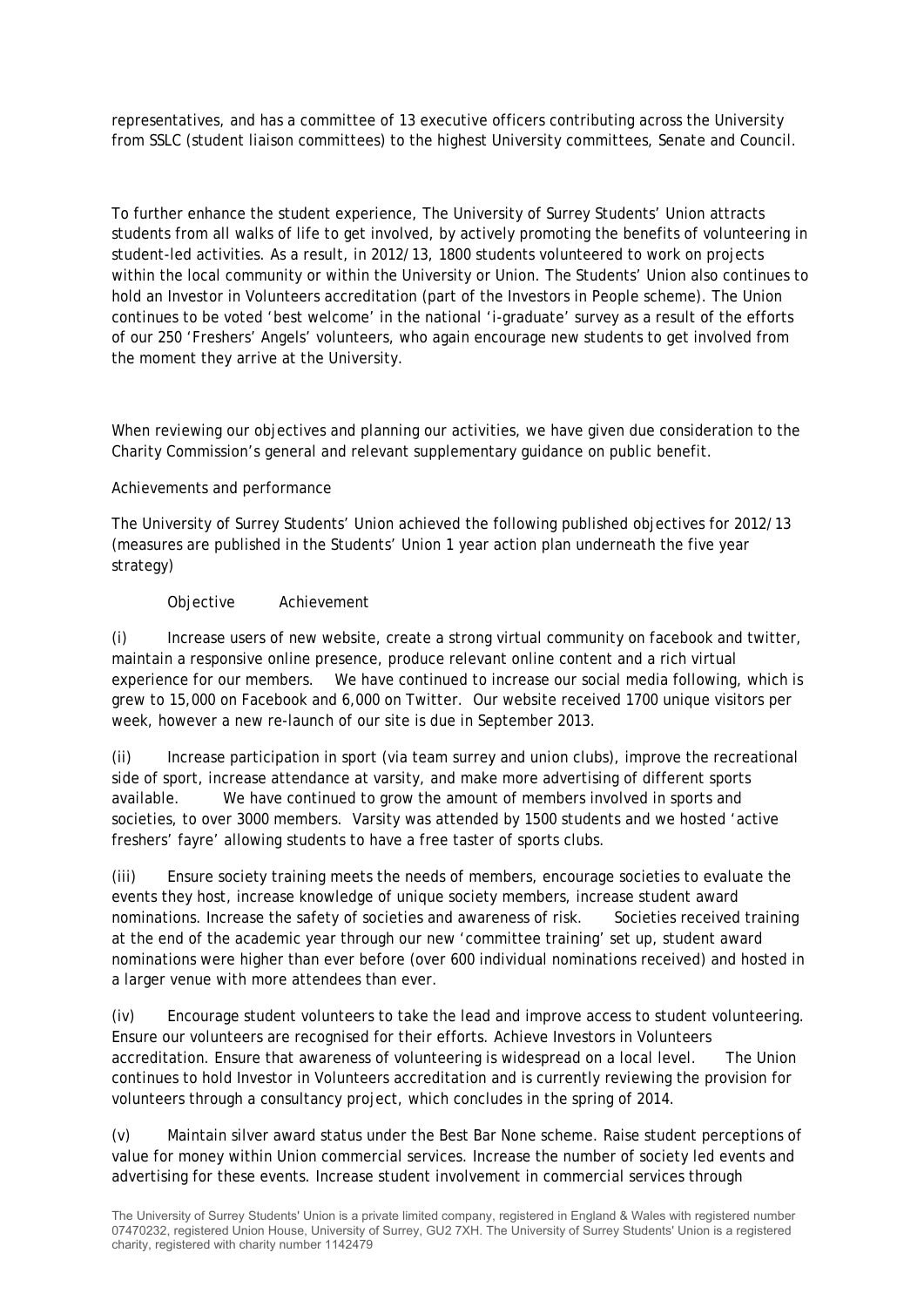representatives, and has a committee of 13 executive officers contributing across the University from SSLC (student liaison committees) to the highest University committees, Senate and Council.

To further enhance the student experience, The University of Surrey Students' Union attracts students from all walks of life to get involved, by actively promoting the benefits of volunteering in student-led activities. As a result, in 2012/13, 1800 students volunteered to work on projects within the local community or within the University or Union. The Students' Union also continues to hold an Investor in Volunteers accreditation (part of the Investors in People scheme). The Union continues to be voted 'best welcome' in the national 'i-graduate' survey as a result of the efforts of our 250 'Freshers' Angels' volunteers, who again encourage new students to get involved from the moment they arrive at the University.

When reviewing our objectives and planning our activities, we have given due consideration to the Charity Commission's general and relevant supplementary guidance on public benefit.

#### Achievements and performance

The University of Surrey Students' Union achieved the following published objectives for 2012/13 (measures are published in the Students' Union 1 year action plan underneath the five year strategy)

#### Objective Achievement

(i) Increase users of new website, create a strong virtual community on facebook and twitter, maintain a responsive online presence, produce relevant online content and a rich virtual experience for our members. We have continued to increase our social media following, which is grew to 15,000 on Facebook and 6,000 on Twitter. Our website received 1700 unique visitors per week, however a new re-launch of our site is due in September 2013.

(ii) Increase participation in sport (via team surrey and union clubs), improve the recreational side of sport, increase attendance at varsity, and make more advertising of different sports available. We have continued to grow the amount of members involved in sports and societies, to over 3000 members. Varsity was attended by 1500 students and we hosted 'active freshers' fayre' allowing students to have a free taster of sports clubs.

(iii) Ensure society training meets the needs of members, encourage societies to evaluate the events they host, increase knowledge of unique society members, increase student award nominations. Increase the safety of societies and awareness of risk. Societies received training at the end of the academic year through our new 'committee training' set up, student award nominations were higher than ever before (over 600 individual nominations received) and hosted in a larger venue with more attendees than ever.

(iv) Encourage student volunteers to take the lead and improve access to student volunteering. Ensure our volunteers are recognised for their efforts. Achieve Investors in Volunteers accreditation. Ensure that awareness of volunteering is widespread on a local level. The Union continues to hold Investor in Volunteers accreditation and is currently reviewing the provision for volunteers through a consultancy project, which concludes in the spring of 2014.

(v) Maintain silver award status under the Best Bar None scheme. Raise student perceptions of value for money within Union commercial services. Increase the number of society led events and advertising for these events. Increase student involvement in commercial services through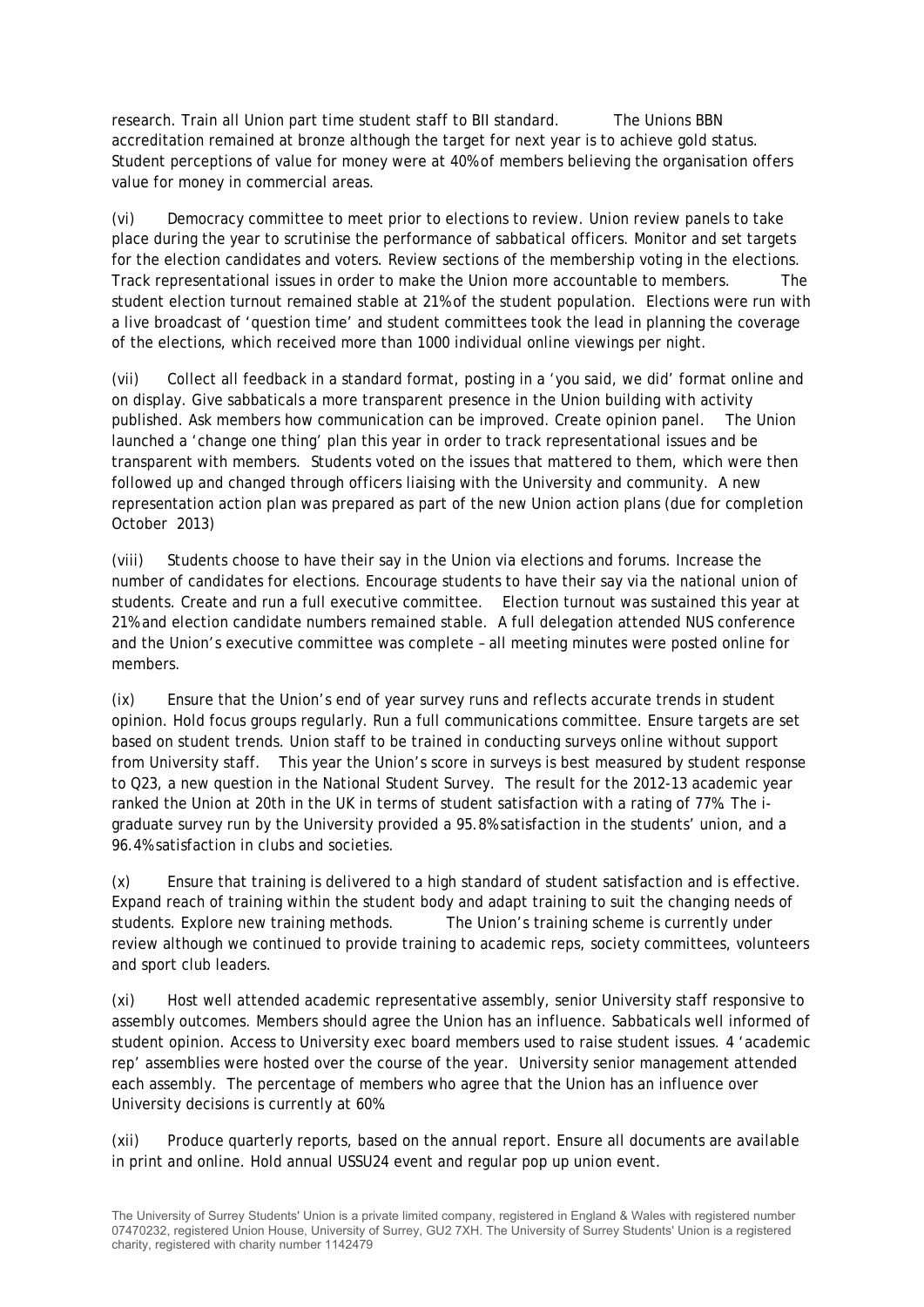research. Train all Union part time student staff to BII standard. The Unions BBN accreditation remained at bronze although the target for next year is to achieve gold status. Student perceptions of value for money were at 40% of members believing the organisation offers value for money in commercial areas.

(vi) Democracy committee to meet prior to elections to review. Union review panels to take place during the year to scrutinise the performance of sabbatical officers. Monitor and set targets for the election candidates and voters. Review sections of the membership voting in the elections. Track representational issues in order to make the Union more accountable to members. The student election turnout remained stable at 21% of the student population. Elections were run with a live broadcast of 'question time' and student committees took the lead in planning the coverage of the elections, which received more than 1000 individual online viewings per night.

(vii) Collect all feedback in a standard format, posting in a 'you said, we did' format online and on display. Give sabbaticals a more transparent presence in the Union building with activity published. Ask members how communication can be improved. Create opinion panel. The Union launched a 'change one thing' plan this year in order to track representational issues and be transparent with members. Students voted on the issues that mattered to them, which were then followed up and changed through officers liaising with the University and community. A new representation action plan was prepared as part of the new Union action plans (due for completion October 2013)

(viii) Students choose to have their say in the Union via elections and forums. Increase the number of candidates for elections. Encourage students to have their say via the national union of students. Create and run a full executive committee. Election turnout was sustained this year at 21% and election candidate numbers remained stable. A full delegation attended NUS conference and the Union's executive committee was complete – all meeting minutes were posted online for members.

(ix) Ensure that the Union's end of year survey runs and reflects accurate trends in student opinion. Hold focus groups regularly. Run a full communications committee. Ensure targets are set based on student trends. Union staff to be trained in conducting surveys online without support from University staff. This year the Union's score in surveys is best measured by student response to Q23, a new question in the National Student Survey. The result for the 2012-13 academic year ranked the Union at 20th in the UK in terms of student satisfaction with a rating of 77%. The igraduate survey run by the University provided a 95.8% satisfaction in the students' union, and a 96.4% satisfaction in clubs and societies.

(x) Ensure that training is delivered to a high standard of student satisfaction and is effective. Expand reach of training within the student body and adapt training to suit the changing needs of students. Explore new training methods. The Union's training scheme is currently under review although we continued to provide training to academic reps, society committees, volunteers and sport club leaders.

(xi) Host well attended academic representative assembly, senior University staff responsive to assembly outcomes. Members should agree the Union has an influence. Sabbaticals well informed of student opinion. Access to University exec board members used to raise student issues. 4 'academic rep' assemblies were hosted over the course of the year. University senior management attended each assembly. The percentage of members who agree that the Union has an influence over University decisions is currently at 60%.

(xii) Produce quarterly reports, based on the annual report. Ensure all documents are available in print and online. Hold annual USSU24 event and regular pop up union event.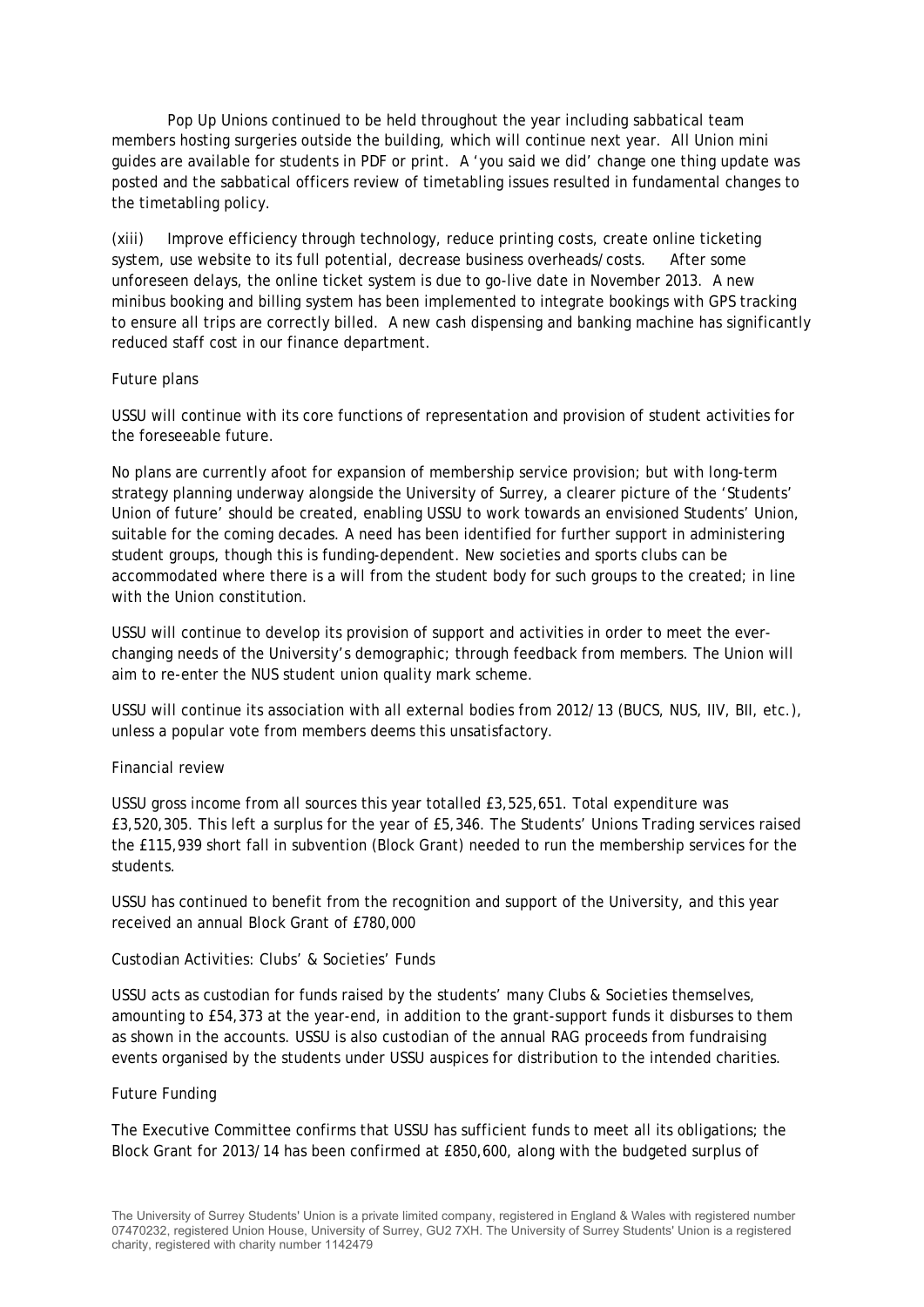Pop Up Unions continued to be held throughout the year including sabbatical team members hosting surgeries outside the building, which will continue next year. All Union mini guides are available for students in PDF or print. A 'you said we did' change one thing update was posted and the sabbatical officers review of timetabling issues resulted in fundamental changes to the timetabling policy.

(xiii) Improve efficiency through technology, reduce printing costs, create online ticketing system, use website to its full potential, decrease business overheads/costs. After some unforeseen delays, the online ticket system is due to go-live date in November 2013. A new minibus booking and billing system has been implemented to integrate bookings with GPS tracking to ensure all trips are correctly billed. A new cash dispensing and banking machine has significantly reduced staff cost in our finance department.

#### Future plans

USSU will continue with its core functions of representation and provision of student activities for the foreseeable future.

No plans are currently afoot for expansion of membership service provision; but with long-term strategy planning underway alongside the University of Surrey, a clearer picture of the 'Students' Union of future' should be created, enabling USSU to work towards an envisioned Students' Union, suitable for the coming decades. A need has been identified for further support in administering student groups, though this is funding-dependent. New societies and sports clubs can be accommodated where there is a will from the student body for such groups to the created; in line with the Union constitution.

USSU will continue to develop its provision of support and activities in order to meet the everchanging needs of the University's demographic; through feedback from members. The Union will aim to re-enter the NUS student union quality mark scheme.

USSU will continue its association with all external bodies from 2012/13 (BUCS, NUS, IIV, BII, etc.), unless a popular vote from members deems this unsatisfactory.

#### Financial review

USSU gross income from all sources this year totalled £3,525,651. Total expenditure was £3,520,305. This left a surplus for the year of £5,346. The Students' Unions Trading services raised the £115,939 short fall in subvention (Block Grant) needed to run the membership services for the students.

USSU has continued to benefit from the recognition and support of the University, and this year received an annual Block Grant of £780,000

#### Custodian Activities: Clubs' & Societies' Funds

USSU acts as custodian for funds raised by the students' many Clubs & Societies themselves, amounting to £54,373 at the year-end, in addition to the grant-support funds it disburses to them as shown in the accounts. USSU is also custodian of the annual RAG proceeds from fundraising events organised by the students under USSU auspices for distribution to the intended charities.

#### Future Funding

The Executive Committee confirms that USSU has sufficient funds to meet all its obligations; the Block Grant for 2013/14 has been confirmed at £850,600, along with the budgeted surplus of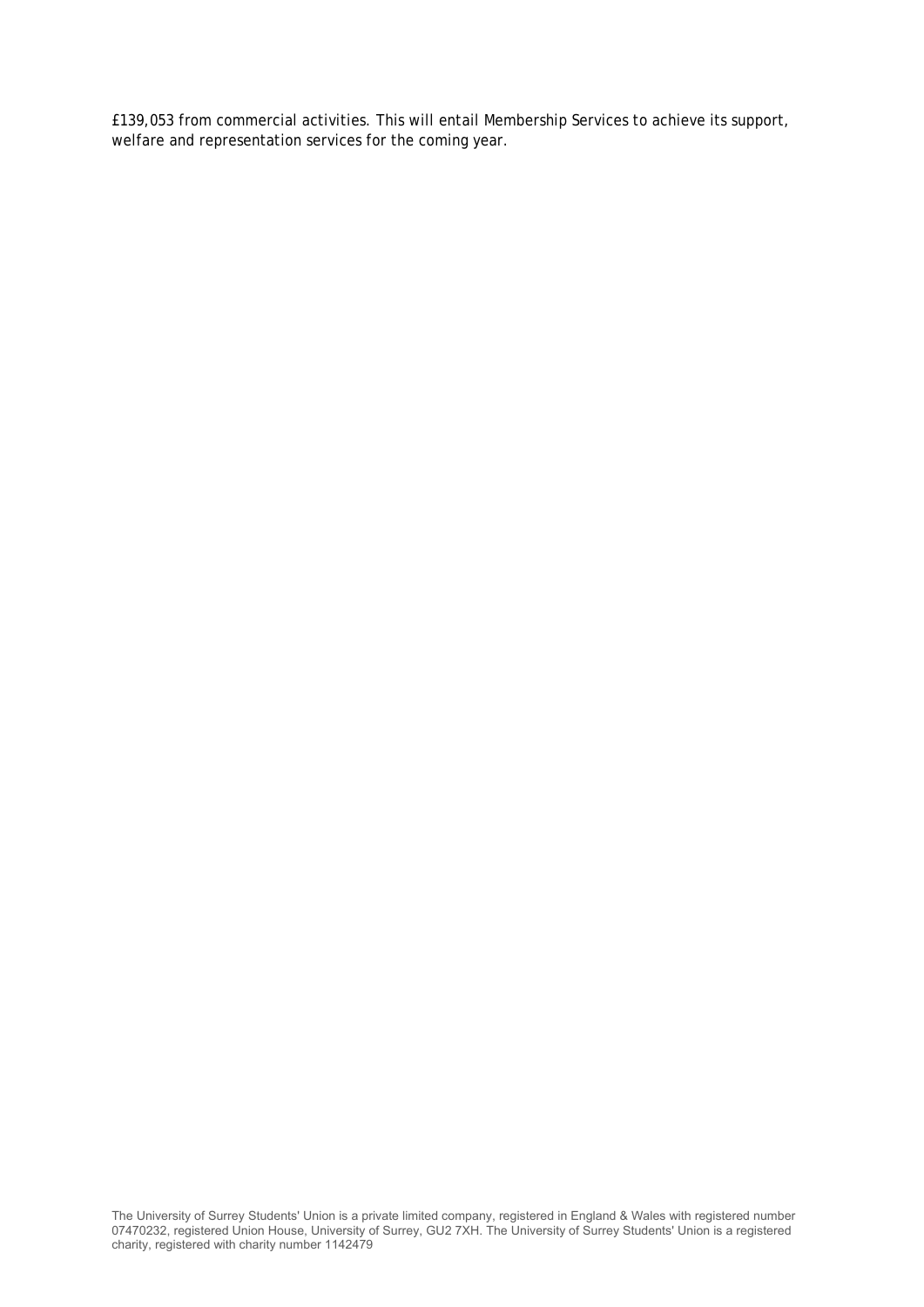£139,053 from commercial activities. This will entail Membership Services to achieve its support, welfare and representation services for the coming year.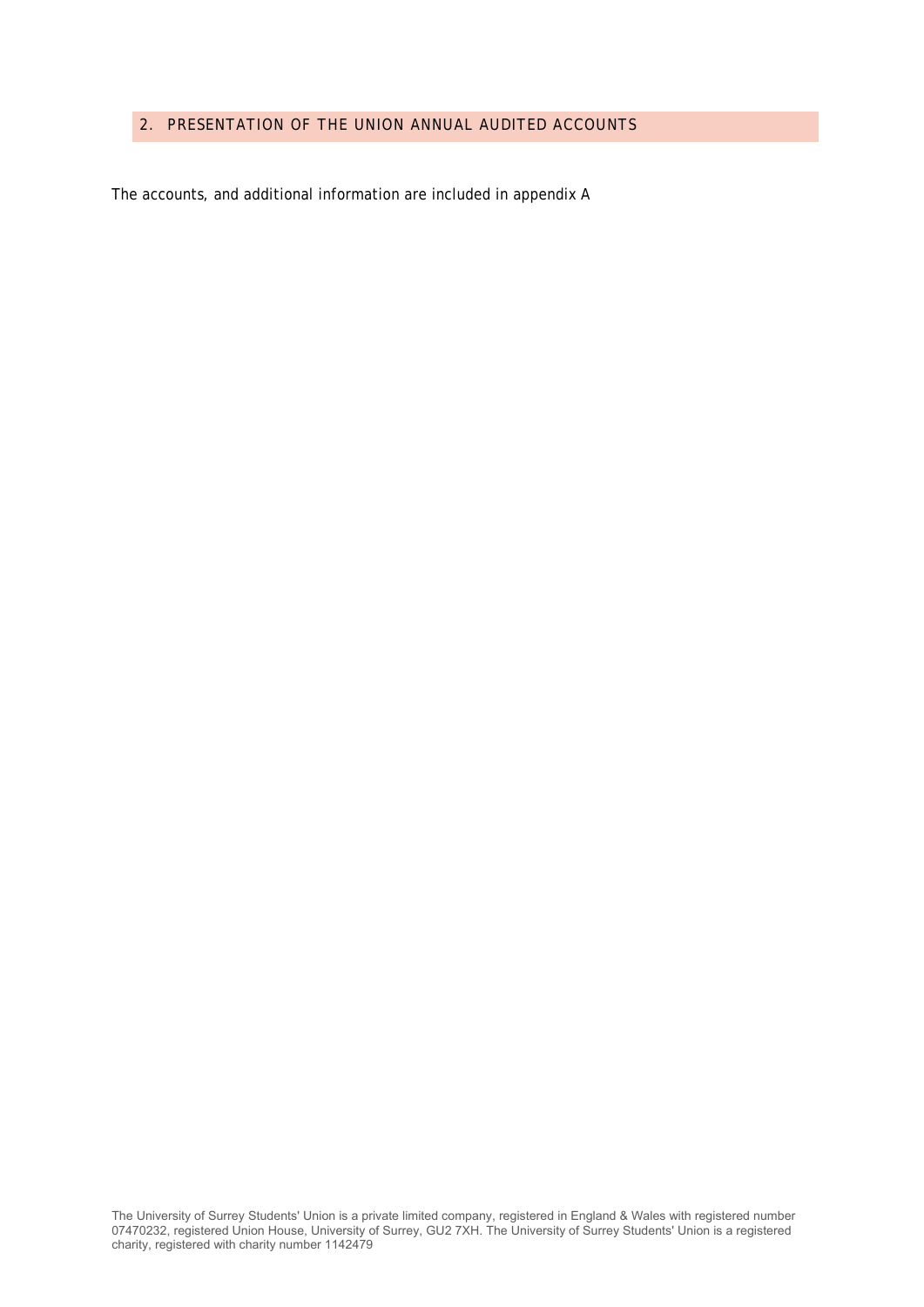#### 2. PRESENTATION OF THE UNION ANNUAL AUDITED ACCOUNTS

The accounts, and additional information are included in appendix A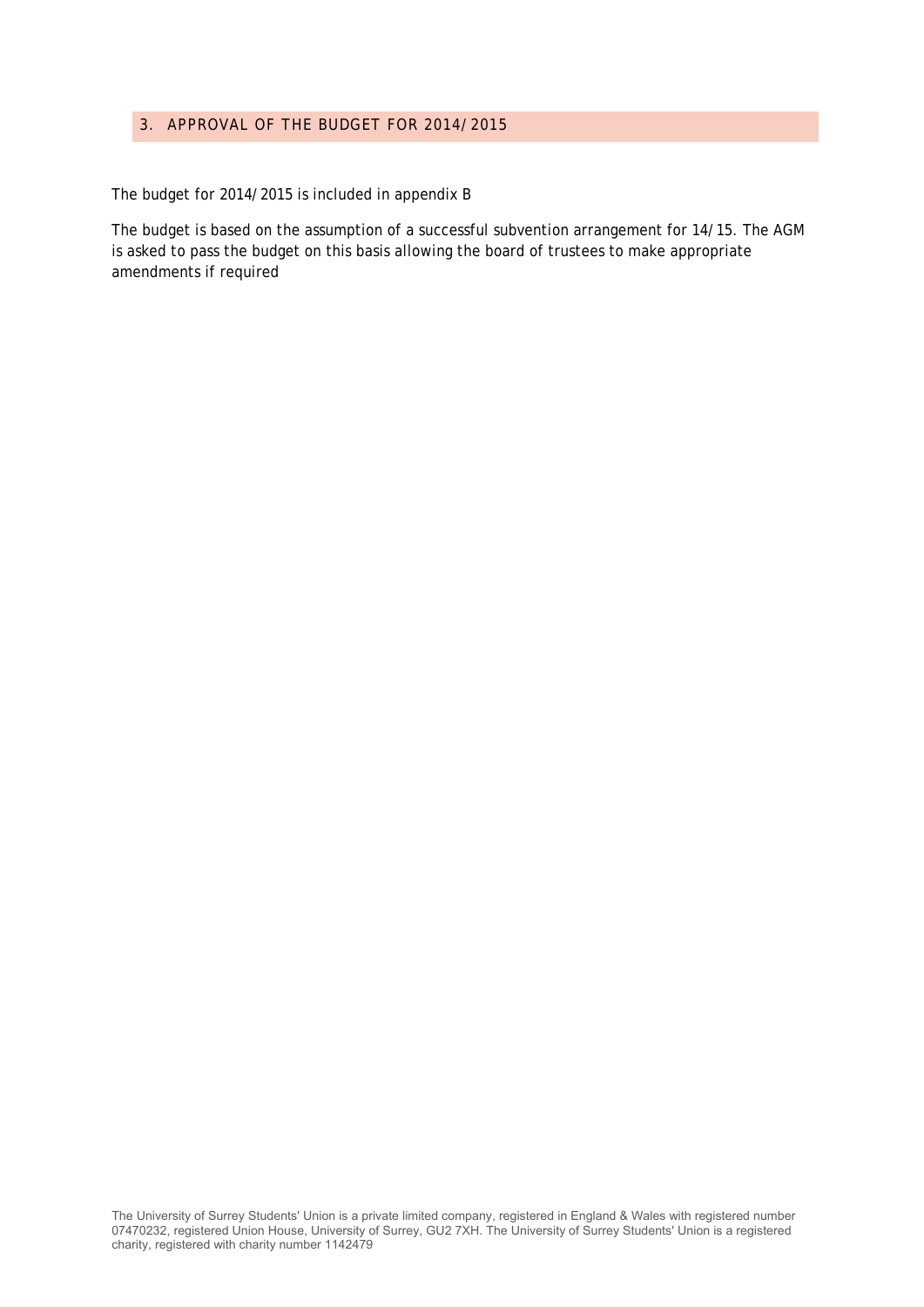#### 3. APPROVAL OF THE BUDGET FOR 2014/2015

The budget for 2014/2015 is included in appendix B

The budget is based on the assumption of a successful subvention arrangement for 14/15. The AGM is asked to pass the budget on this basis allowing the board of trustees to make appropriate amendments if required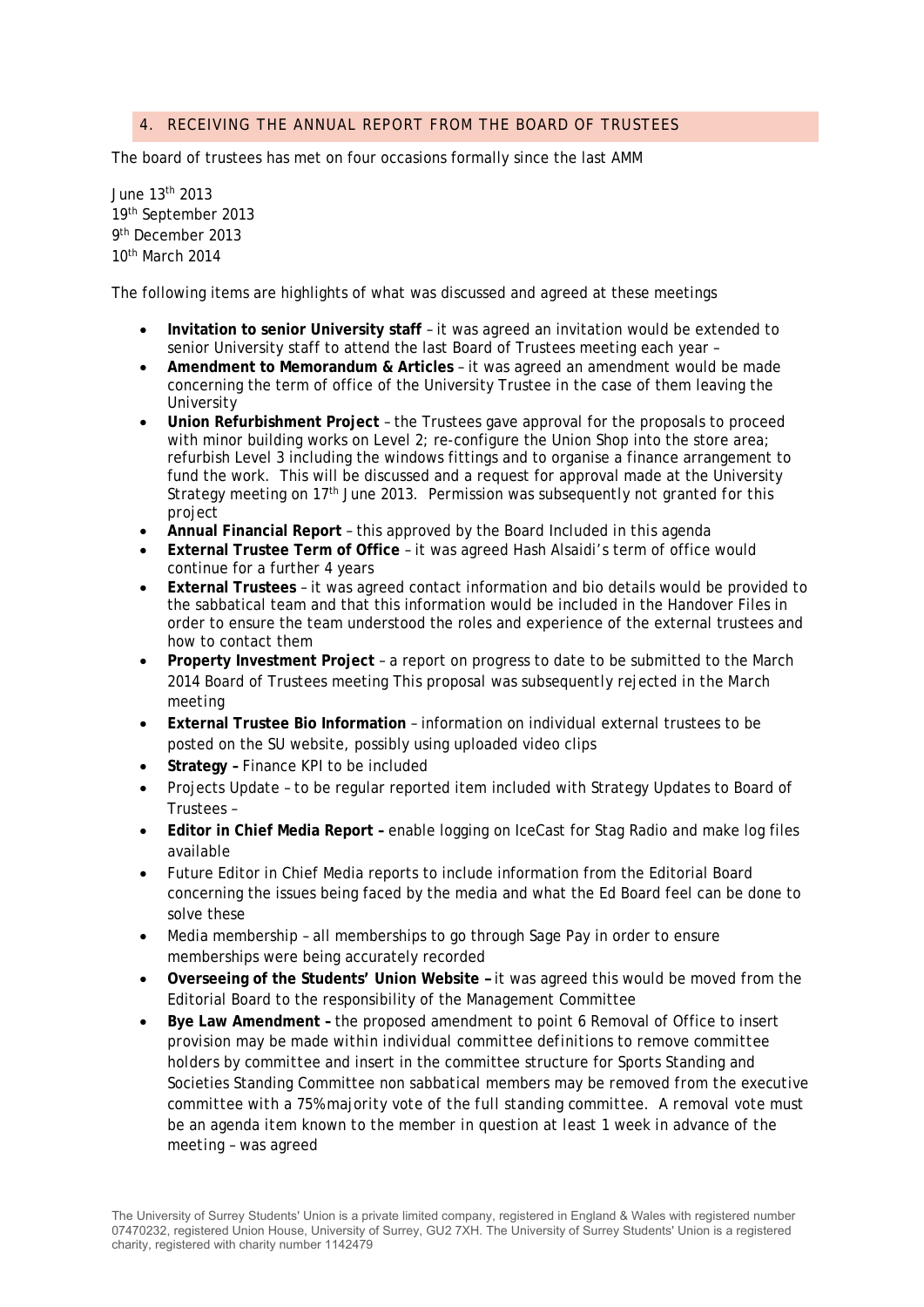#### 4. RECEIVING THE ANNUAL REPORT FROM THE BOARD OF TRUSTEES

The board of trustees has met on four occasions formally since the last AMM

June 13th 2013 19th September 2013 9th December 2013 10th March 2014

The following items are highlights of what was discussed and agreed at these meetings

- **Invitation to senior University staff**  it was agreed an invitation would be extended to senior University staff to attend the last Board of Trustees meeting each year –
- **Amendment to Memorandum & Articles**  it was agreed an amendment would be made concerning the term of office of the University Trustee in the case of them leaving the University
- **Union Refurbishment Project**  the Trustees gave approval for the proposals to proceed with minor building works on Level 2; re-configure the Union Shop into the store area; refurbish Level 3 including the windows fittings and to organise a finance arrangement to fund the work. This will be discussed and a request for approval made at the University Strategy meeting on 17th June 2013. *Permission was subsequently not granted for this project*
- **Annual Financial Report**  this approved by the Board *Included in this agenda*
- **External Trustee Term of Office**  it was agreed Hash Alsaidi's term of office would continue for a further 4 years
- **External Trustees**  it was agreed contact information and bio details would be provided to the sabbatical team and that this information would be included in the Handover Files in order to ensure the team understood the roles and experience of the external trustees and how to contact them
- **Property Investment Project** a report on progress to date to be submitted to the March 2014 Board of Trustees meeting *This proposal was subsequently rejected in the March meeting*
- **External Trustee Bio Information**  information on individual external trustees to be posted on the SU website, possibly using uploaded video clips
- **Strategy –** Finance KPI to be included
- Projects Update to be regular reported item included with Strategy Updates to Board of Trustees –
- **Editor in Chief Media Report** enable logging on IceCast for Stag Radio and make log files available
- Future Editor in Chief Media reports to include information from the Editorial Board concerning the issues being faced by the media and what the Ed Board feel can be done to solve these
- Media membership all memberships to go through Sage Pay in order to ensure memberships were being accurately recorded
- **Overseeing of the Students' Union Website** *–* it was agreed this would be moved from the Editorial Board to the responsibility of the Management Committee
- **Bye Law Amendment** the proposed amendment to point 6 Removal of Office to insert *provision may be made within individual committee definitions to remove committee holders by committee* and insert in the committee structure for Sports Standing and Societies Standing Committee *non sabbatical members may be removed from the executive committee with a 75% majority vote of the full standing committee. A removal vote must be an agenda item known to the member in question at least 1 week in advance of the meeting* – was agreed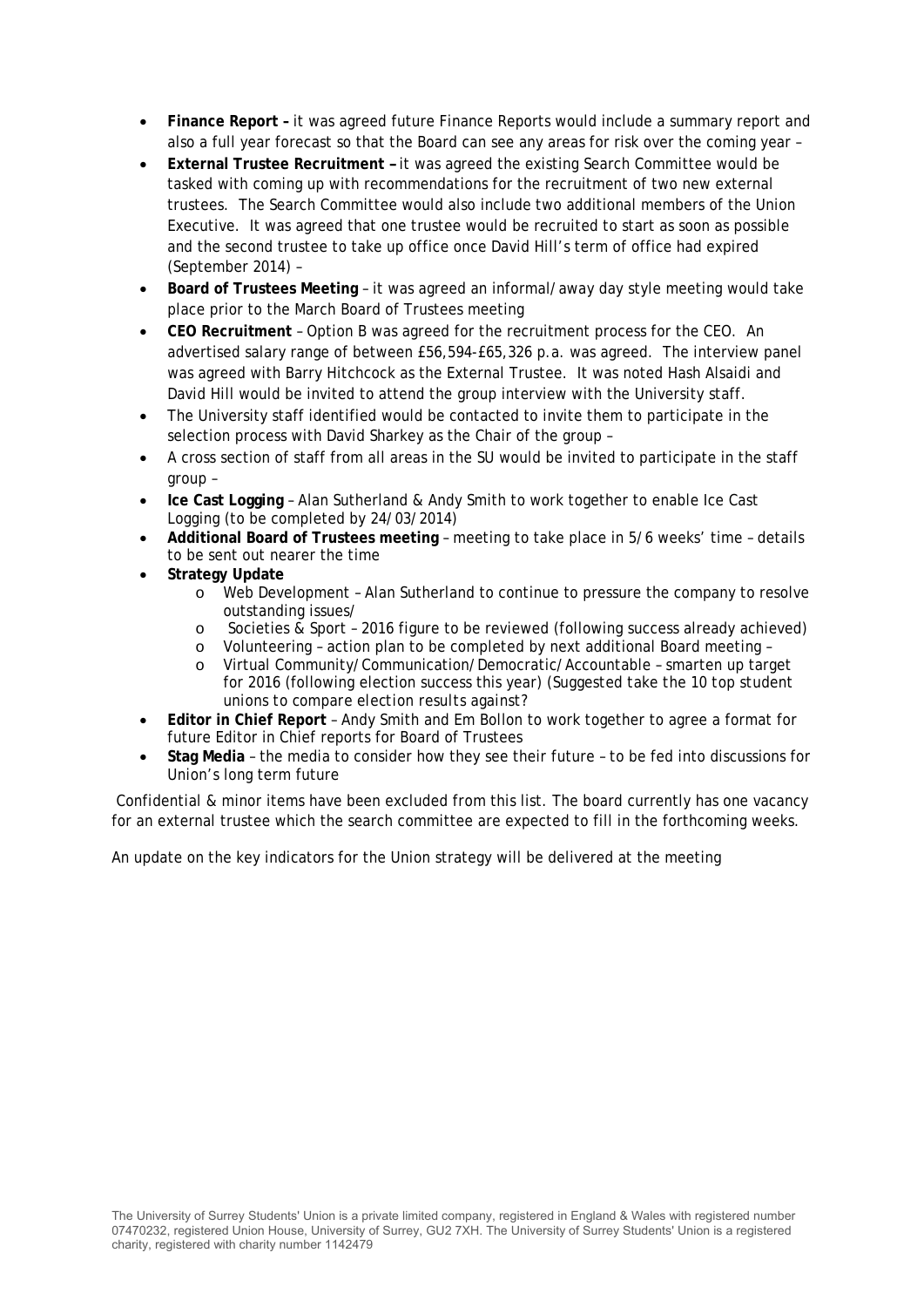- **Finance Report** it was agreed future Finance Reports would include a summary report and also a full year forecast so that the Board can see any areas for risk over the coming year –
- **External Trustee Recruitment** it was agreed the existing Search Committee would be tasked with coming up with recommendations for the recruitment of two new external trustees. The Search Committee would also include two additional members of the Union Executive. It was agreed that one trustee would be recruited to start as soon as possible and the second trustee to take up office once David Hill's term of office had expired (September 2014) –
- **Board of Trustees Meeting**  it was agreed an informal/away day style meeting would take place prior to the March Board of Trustees meeting
- **CEO Recruitment**  Option B was agreed for the recruitment process for the CEO. An advertised salary range of between £56,594-£65,326 p.a. was agreed. The interview panel was agreed with Barry Hitchcock as the External Trustee. It was noted Hash Alsaidi and David Hill would be invited to attend the group interview with the University staff.
- The University staff identified would be contacted to invite them to participate in the selection process with David Sharkey as the Chair of the group –
- A cross section of staff from all areas in the SU would be invited to participate in the staff group –
- **Ice Cast Logging**  Alan Sutherland & Andy Smith to work together to enable Ice Cast Logging (to be completed by 24/03/2014)
- **Additional Board of Trustees meeting**  meeting to take place in 5/6 weeks' time details to be sent out nearer the time
- **Strategy Update**
	- o Web Development Alan Sutherland to continue to pressure the company to resolve outstanding issues/
	- o Societies & Sport 2016 figure to be reviewed (following success already achieved)
	- o Volunteering action plan to be completed by next additional Board meeting –
	- o Virtual Community/Communication/Democratic/Accountable smarten up target for 2016 (following election success this year) (*Suggested take the 10 top student unions to compare election results against?*
- **Editor in Chief Report**  Andy Smith and Em Bollon to work together to agree a format for future Editor in Chief reports for Board of Trustees
- **Stag Media**  the media to consider how they see their future to be fed into discussions for Union's long term future

 Confidential & minor items have been excluded from this list. The board currently has one vacancy for an external trustee which the search committee are expected to fill in the forthcoming weeks.

An update on the key indicators for the Union strategy will be delivered at the meeting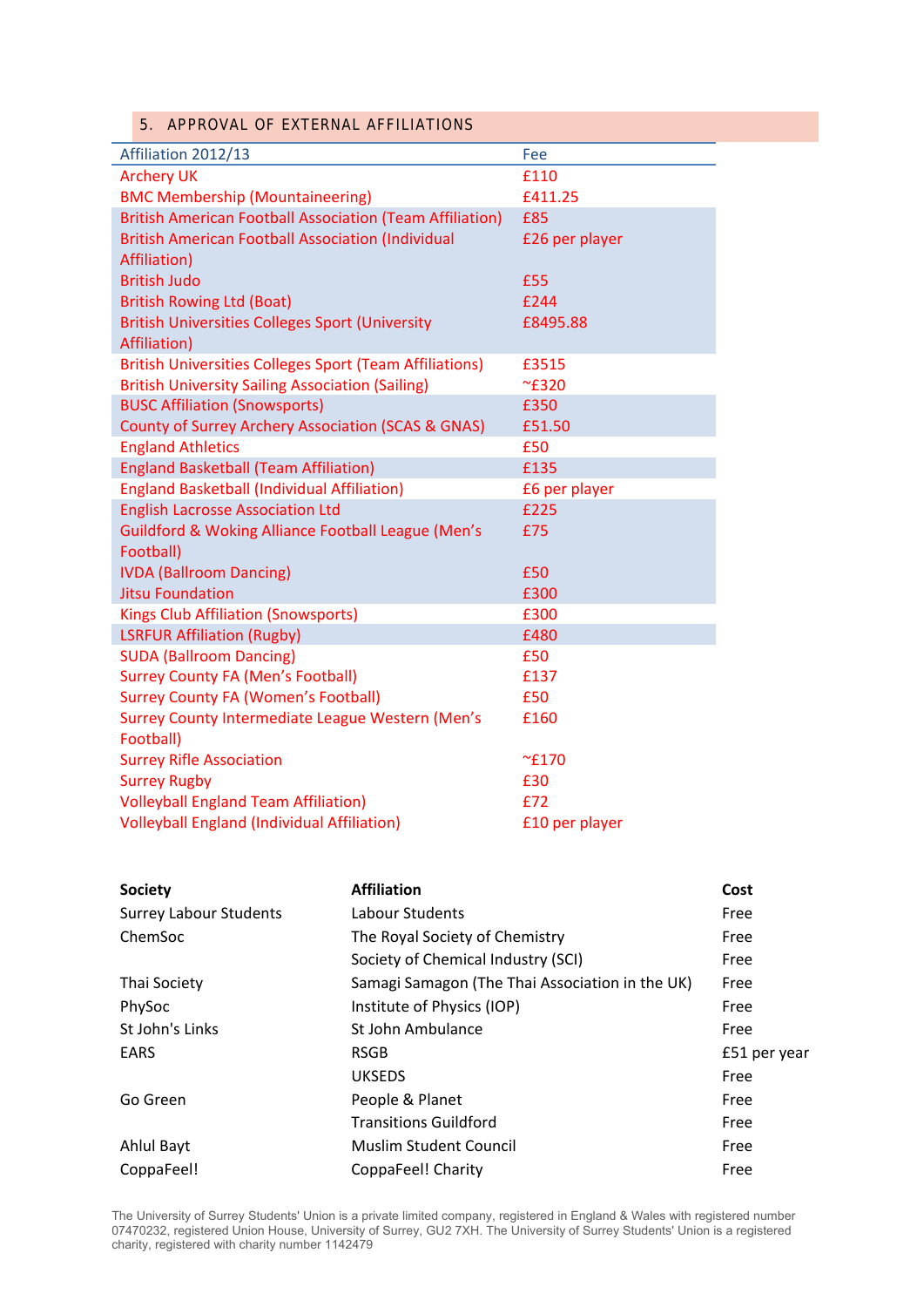#### 5. APPROVAL OF EXTERNAL AFFILIATIONS

| Affiliation 2012/13                                             | Fee            |
|-----------------------------------------------------------------|----------------|
| <b>Archery UK</b>                                               | £110           |
| <b>BMC Membership (Mountaineering)</b>                          | £411.25        |
| <b>British American Football Association (Team Affiliation)</b> | £85            |
| <b>British American Football Association (Individual</b>        | £26 per player |
| Affiliation)                                                    |                |
| <b>British Judo</b>                                             | £55            |
| <b>British Rowing Ltd (Boat)</b>                                | £244           |
| <b>British Universities Colleges Sport (University</b>          | £8495.88       |
| Affiliation)                                                    |                |
| <b>British Universities Colleges Sport (Team Affiliations)</b>  | £3515          |
| <b>British University Sailing Association (Sailing)</b>         | $~\sim$ £320   |
| <b>BUSC Affiliation (Snowsports)</b>                            | £350           |
| <b>County of Surrey Archery Association (SCAS &amp; GNAS)</b>   | £51.50         |
| <b>England Athletics</b>                                        | £50            |
| <b>England Basketball (Team Affiliation)</b>                    | £135           |
| <b>England Basketball (Individual Affiliation)</b>              | £6 per player  |
| <b>English Lacrosse Association Ltd</b>                         | £225           |
| <b>Guildford &amp; Woking Alliance Football League (Men's</b>   | £75            |
| Football)                                                       |                |
| <b>IVDA (Ballroom Dancing)</b>                                  | £50            |
| <b>Jitsu Foundation</b>                                         | £300           |
| <b>Kings Club Affiliation (Snowsports)</b>                      | £300           |
| <b>LSRFUR Affiliation (Rugby)</b>                               | £480           |
| <b>SUDA (Ballroom Dancing)</b>                                  | £50            |
| <b>Surrey County FA (Men's Football)</b>                        | £137           |
| <b>Surrey County FA (Women's Football)</b>                      | £50            |
| <b>Surrey County Intermediate League Western (Men's</b>         | £160           |
| Football)                                                       |                |
| <b>Surrey Rifle Association</b>                                 | $~\sim$ £170   |
| <b>Surrey Rugby</b>                                             | £30            |
| <b>Volleyball England Team Affiliation)</b>                     | £72            |
| <b>Volleyball England (Individual Affiliation)</b>              | £10 per player |

| <b>Society</b>                | <b>Affiliation</b>                              | Cost         |
|-------------------------------|-------------------------------------------------|--------------|
| <b>Surrey Labour Students</b> | Labour Students                                 | Free         |
| ChemSoc                       | The Royal Society of Chemistry                  | Free         |
|                               | Society of Chemical Industry (SCI)              | Free         |
| <b>Thai Society</b>           | Samagi Samagon (The Thai Association in the UK) | Free         |
| PhySoc                        | Institute of Physics (IOP)                      | Free         |
| St John's Links               | St John Ambulance                               | Free         |
| <b>EARS</b>                   | <b>RSGB</b>                                     | £51 per year |
|                               | <b>UKSEDS</b>                                   | Free         |
| Go Green                      | People & Planet                                 | Free         |
|                               | <b>Transitions Guildford</b>                    | Free         |
| Ahlul Bayt                    | <b>Muslim Student Council</b>                   | Free         |
| CoppaFeel!                    | CoppaFeel! Charity                              | Free         |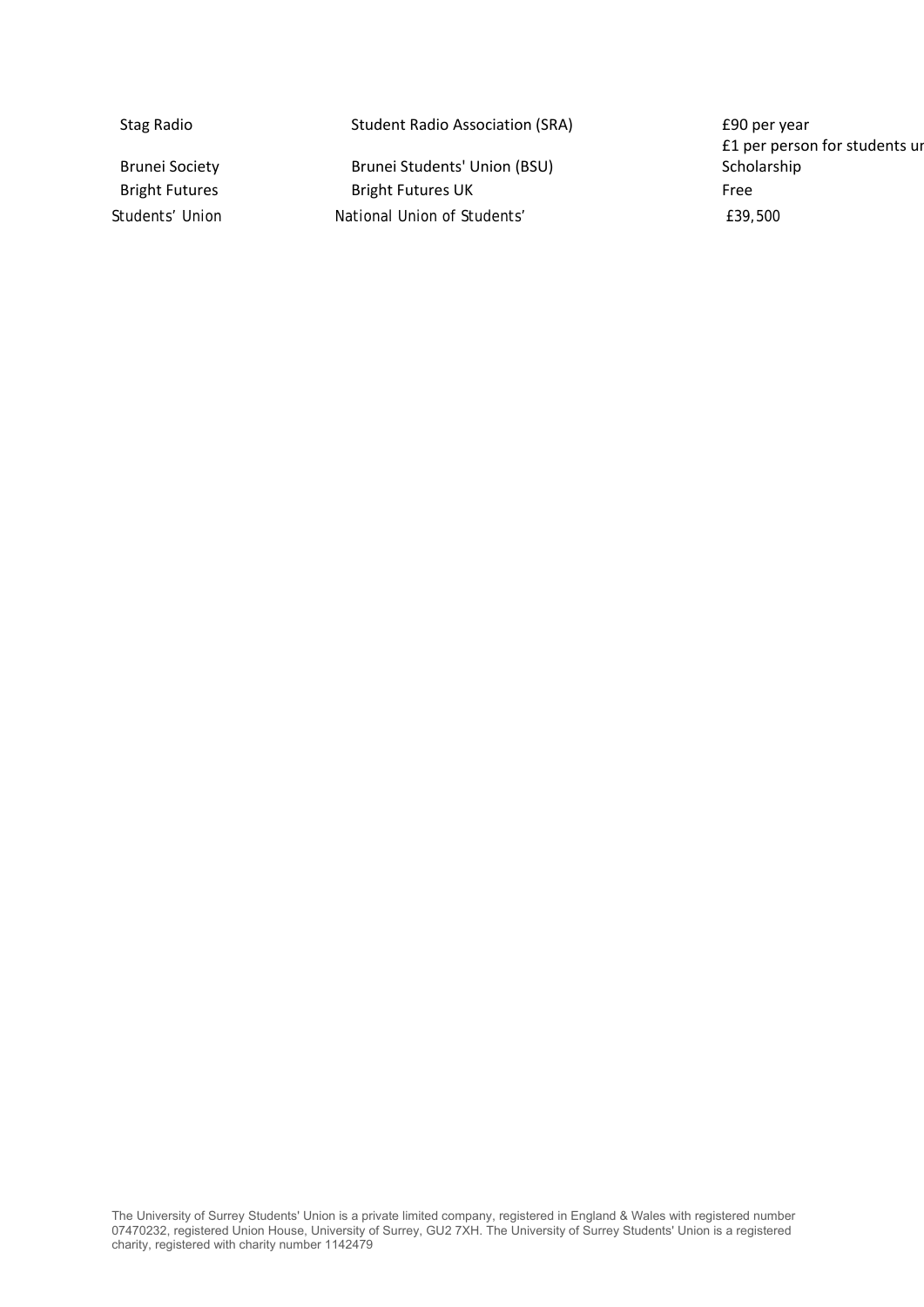| Stag Radio            | <b>Student Radio Association (SRA)</b> | £90 per year<br>£1 per person for students ur |
|-----------------------|----------------------------------------|-----------------------------------------------|
| <b>Brunei Society</b> | Brunei Students' Union (BSU)           | Scholarship                                   |
| <b>Bright Futures</b> | <b>Bright Futures UK</b>               | Free                                          |
| Students' Union       | National Union of Students'            | £39,500                                       |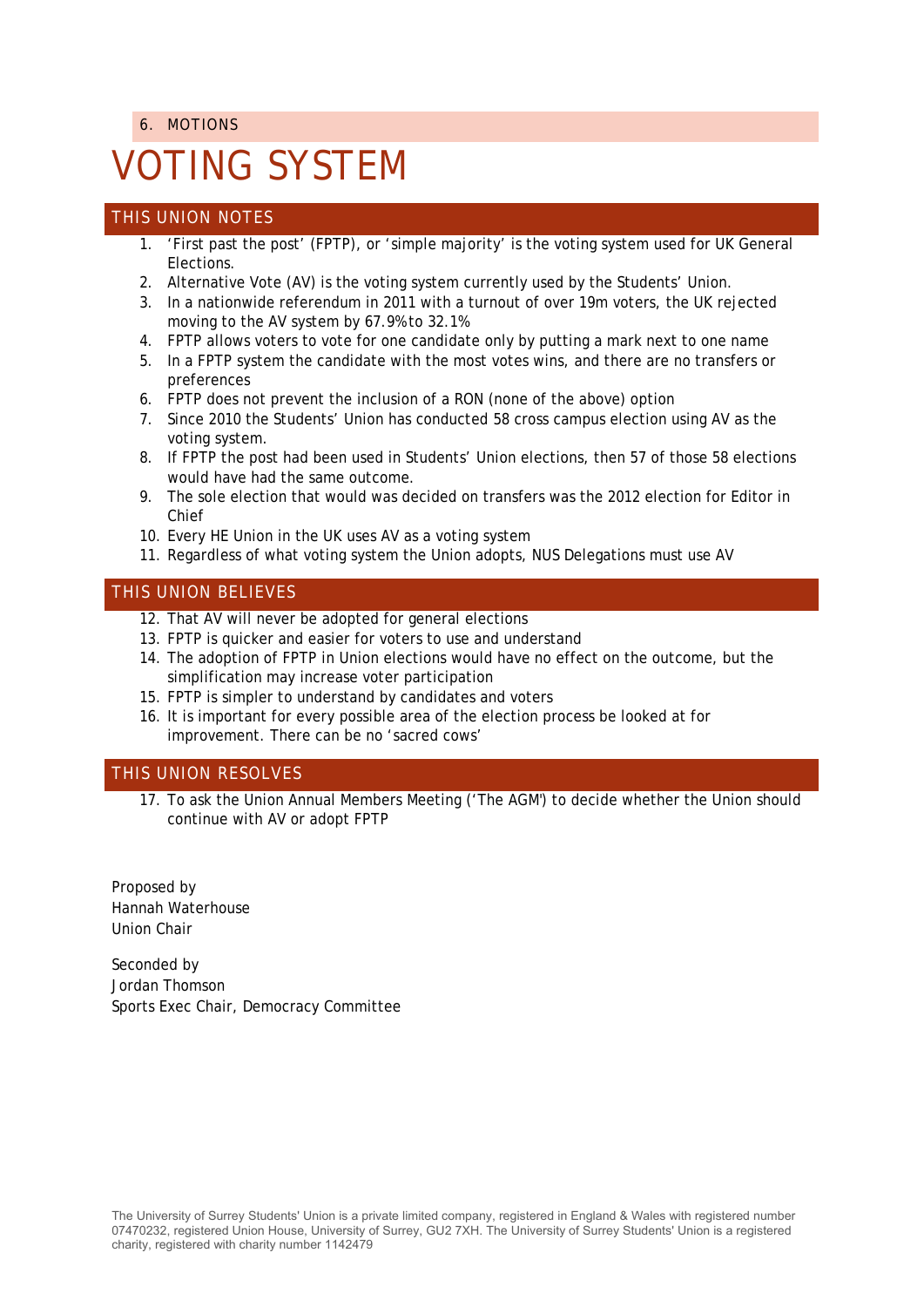6. MOTIONS

# VOTING SYSTEM

#### THIS UNION NOTES

- 1. 'First past the post' (FPTP), or 'simple majority' is the voting system used for UK General Elections.
- 2. Alternative Vote (AV) is the voting system currently used by the Students' Union.
- 3. In a nationwide referendum in 2011 with a turnout of over 19m voters, the UK rejected moving to the AV system by 67.9% to 32.1%
- 4. FPTP allows voters to vote for one candidate only by putting a mark next to one name
- 5. In a FPTP system the candidate with the most votes wins, and there are no transfers or preferences
- 6. FPTP does not prevent the inclusion of a RON (none of the above) option
- 7. Since 2010 the Students' Union has conducted 58 cross campus election using AV as the voting system.
- 8. If FPTP the post had been used in Students' Union elections, then 57 of those 58 elections would have had the same outcome.
- 9. The sole election that would was decided on transfers was the 2012 election for Editor in Chief
- 10. Every HE Union in the UK uses AV as a voting system
- 11. Regardless of what voting system the Union adopts, NUS Delegations must use AV

#### THIS UNION BELIEVES

- 12. That AV will never be adopted for general elections
- 13. FPTP is quicker and easier for voters to use and understand
- 14. The adoption of FPTP in Union elections would have no effect on the outcome, but the simplification may increase voter participation
- 15. FPTP is simpler to understand by candidates and voters
- 16. It is important for every possible area of the election process be looked at for improvement. There can be no 'sacred cows'

#### THIS UNION RESOLVES

17. To ask the Union Annual Members Meeting ('The AGM') to decide whether the Union should continue with AV or adopt FPTP

Proposed by Hannah Waterhouse Union Chair

Seconded by Jordan Thomson Sports Exec Chair, Democracy Committee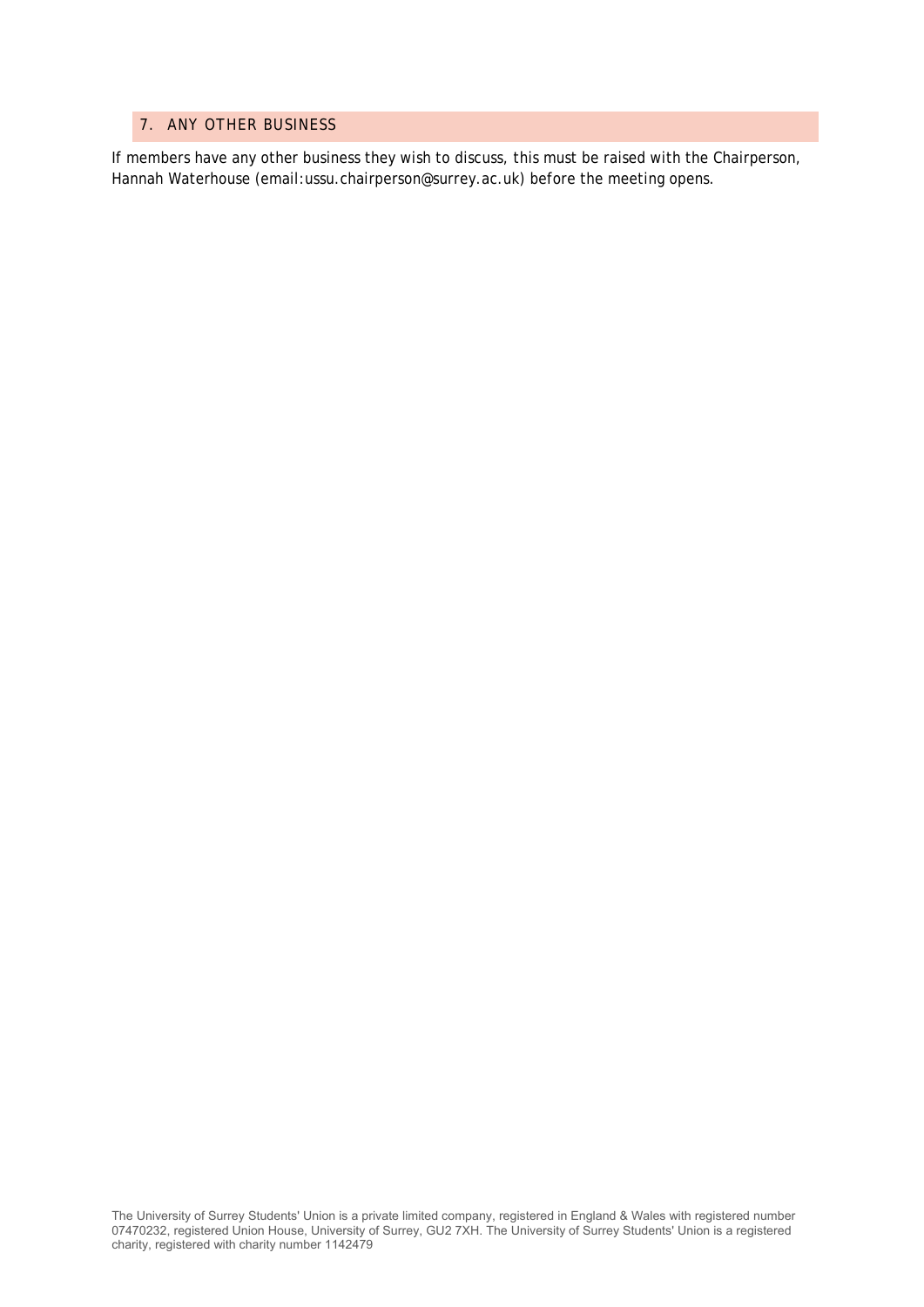#### 7. ANY OTHER BUSINESS

If members have any other business they wish to discuss, this must be raised with the Chairperson, Hannah Waterhouse (email:ussu.chairperson@surrey.ac.uk) before the meeting opens.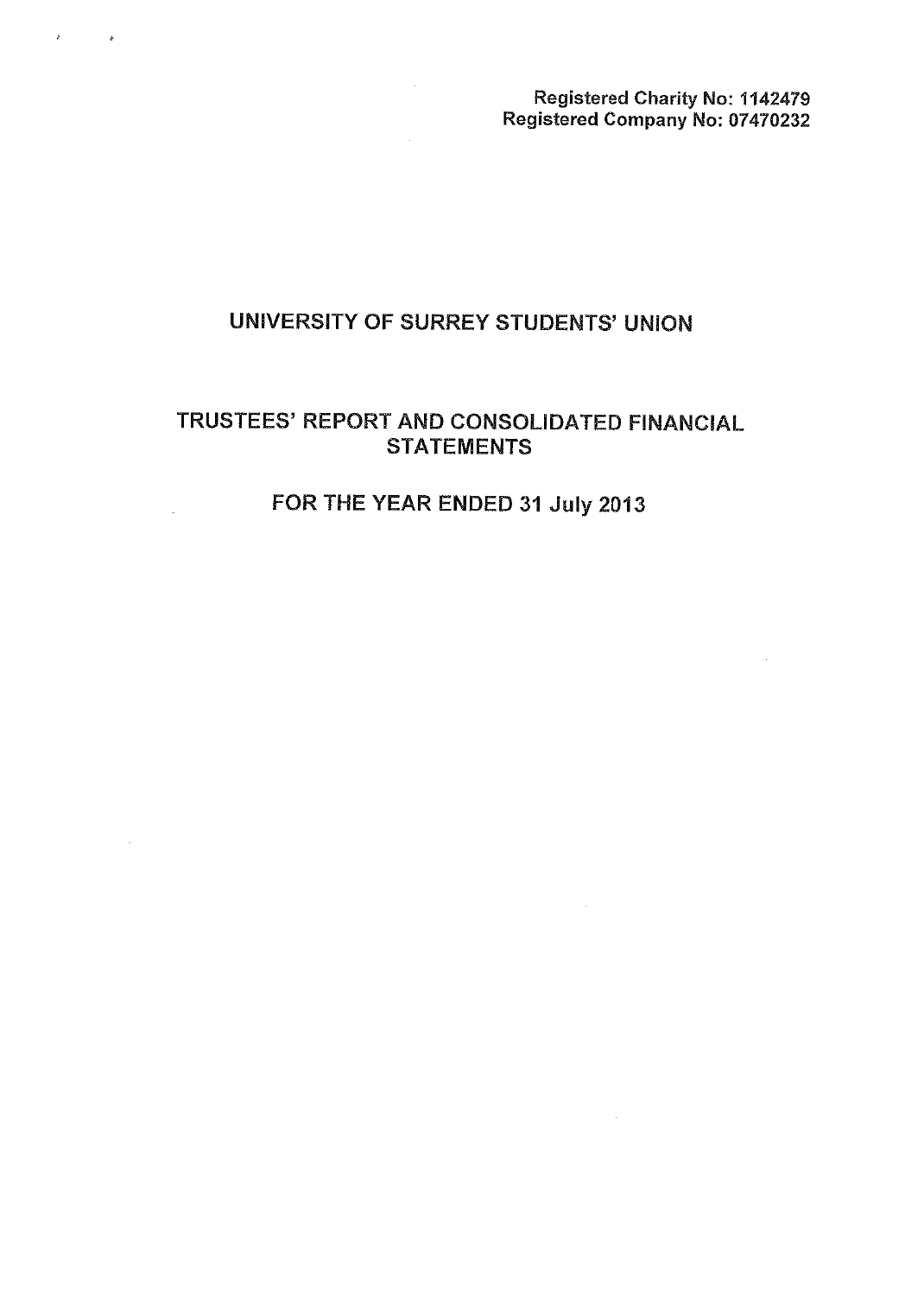Registered Charity No: 1142479 Registered Company No: 07470232

 $\sim$ 

## UNIVERSITY OF SURREY STUDENTS' UNION

 $\bar{z}$ 

## TRUSTEES' REPORT AND CONSOLIDATED FINANCIAL **STATEMENTS**

## FOR THE YEAR ENDED 31 July 2013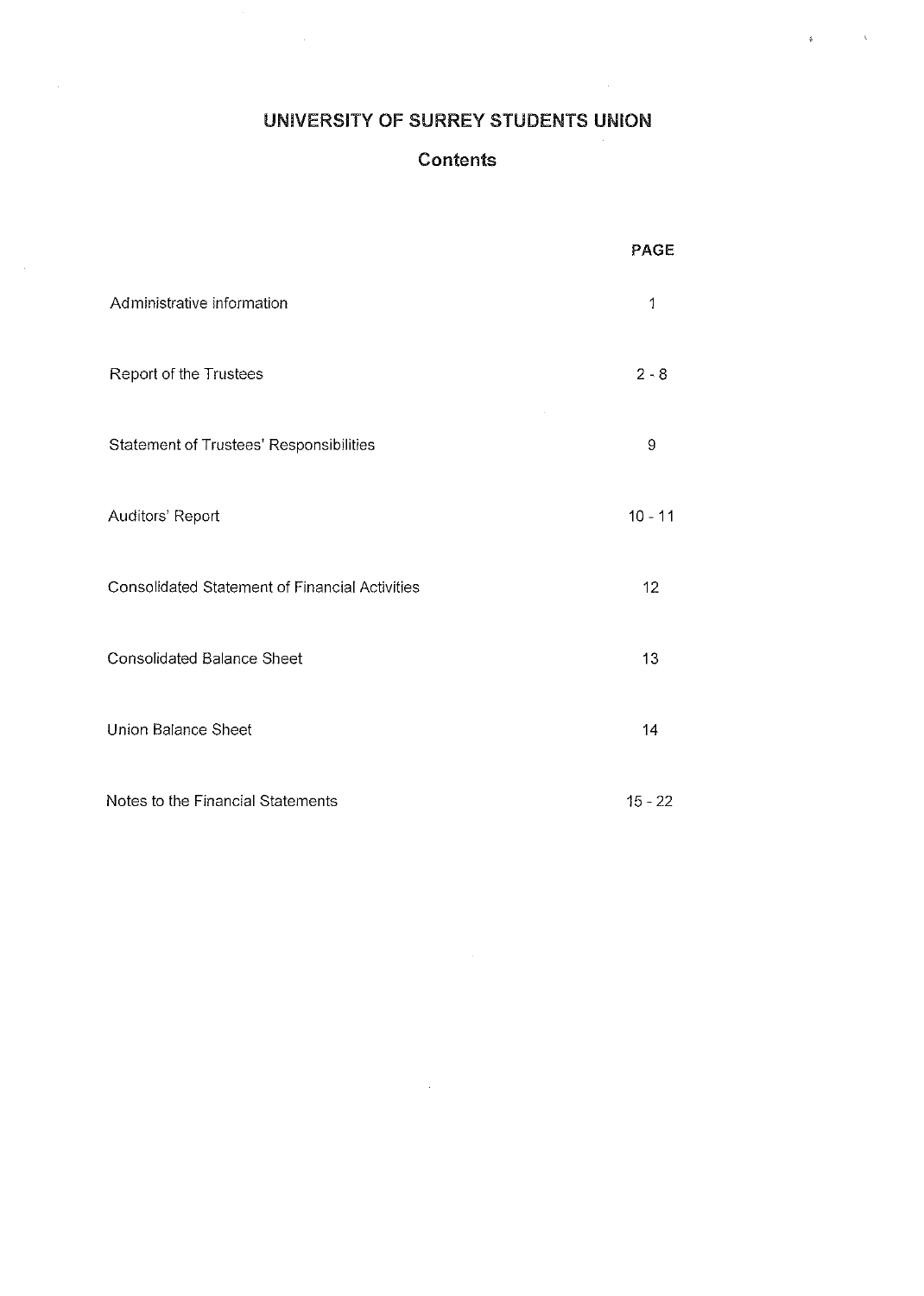## UNIVERSITY OF SURREY STUDENTS UNION

 $\frac{1}{2}$ 

 $\sim 10^{11}$ 

## **Contents**

|                                                       | <b>PAGE</b> |
|-------------------------------------------------------|-------------|
| Administrative information                            | 1           |
| Report of the Trustees                                | $2 - 8$     |
| Statement of Trustees' Responsibilities               | 9           |
| Auditors' Report                                      | $10 - 11$   |
| <b>Consolidated Statement of Financial Activities</b> | 12          |
| <b>Consolidated Balance Sheet</b>                     | 13          |
| Union Balance Sheet                                   | 14          |
| Notes to the Financial Statements                     | $15 - 22$   |

 $\sim$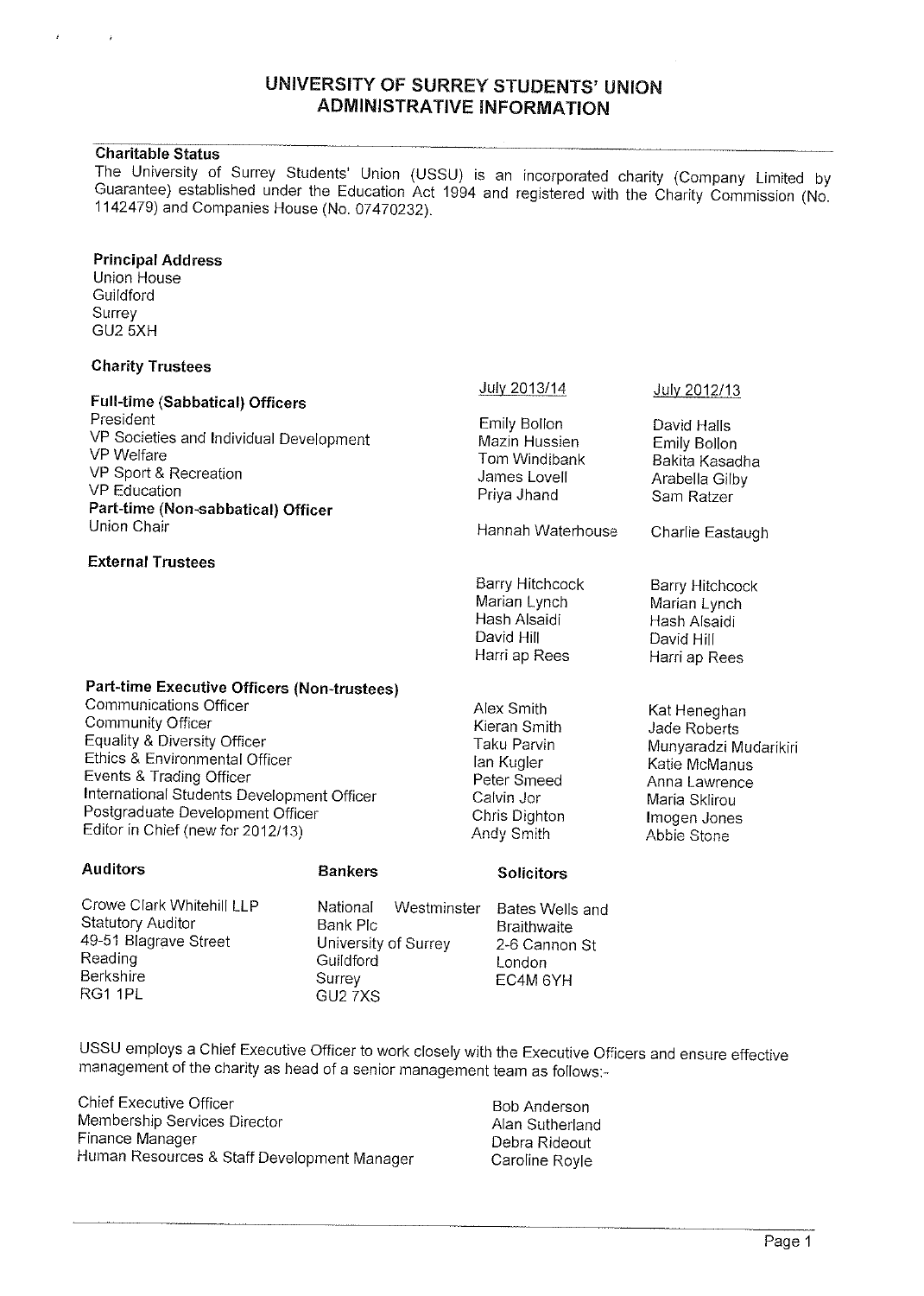#### UNIVERSITY OF SURREY STUDENTS' UNION ADMINISTRATIVE INFORMATION

Charitable Status<br>The University of Surrey Students' Union (USSU) is an incorporated charity (Company Limited by Guarantee) established under the Education Act 1994 and registered with the Charity Commission (No. 1142479) and Companies House (No. 07470232).

#### Principal Address

Union House **Guildford** Surrey GU2 5XH

#### Charity Trustees

| <b>Full-time (Sabbatical) Officers</b>                                                                                                                                                                                                                                  |                                                                                       | July 2013/14                                                                                                        | July 2012/13                                                                                                                            |
|-------------------------------------------------------------------------------------------------------------------------------------------------------------------------------------------------------------------------------------------------------------------------|---------------------------------------------------------------------------------------|---------------------------------------------------------------------------------------------------------------------|-----------------------------------------------------------------------------------------------------------------------------------------|
| President<br>VP Societies and Individual Development<br><b>VP</b> Welfare<br>VP Sport & Recreation<br><b>VP</b> Education<br>Part-time (Non-sabbatical) Officer                                                                                                         |                                                                                       | Emily Bollon<br>Mazin Hussien<br>Tom Windibank<br>James Lovell<br>Priya Jhand                                       | David Halls<br>Emily Bollon<br>Bakita Kasadha<br>Arabella Gilby<br>Sam Ratzer                                                           |
| Union Chair                                                                                                                                                                                                                                                             |                                                                                       | Hannah Waterhouse                                                                                                   | Charlie Eastaugh                                                                                                                        |
| <b>External Trustees</b>                                                                                                                                                                                                                                                |                                                                                       |                                                                                                                     |                                                                                                                                         |
|                                                                                                                                                                                                                                                                         |                                                                                       | <b>Barry Hitchcock</b><br>Marian Lynch<br>Hash Alsaidi<br>David Hill<br>Harri ap Rees                               | Barry Hitchcock<br>Marian Lynch<br>Hash Alsaidi<br>David Hill<br>Harri ap Rees                                                          |
| Part-time Executive Officers (Non-trustees)                                                                                                                                                                                                                             |                                                                                       |                                                                                                                     |                                                                                                                                         |
| Communications Officer<br><b>Community Officer</b><br>Equality & Diversity Officer<br>Ethics & Environmental Officer<br>Events & Trading Officer<br>International Students Development Officer<br>Postgraduate Development Officer<br>Editor in Chief (new for 2012/13) |                                                                                       | Alex Smith<br>Kieran Smith<br>Taku Parvin<br>lan Kugler<br>Peter Smeed<br>Calvin Jor<br>Chris Dighton<br>Andy Smith | Kat Heneghan<br>Jade Roberts<br>Munyaradzi Mudarikiri<br>Katie McManus<br>Anna Lawrence<br>Maria Sklirou<br>Imogen Jones<br>Abbie Stone |
| <b>Auditors</b>                                                                                                                                                                                                                                                         | <b>Bankers</b>                                                                        | <b>Solicitors</b>                                                                                                   |                                                                                                                                         |
| Crowe Clark Whitehill LLP<br>Statutory Auditor<br>49-51 Blagrave Street<br>Reading<br><b>Berkshire</b><br>RG1 1PL                                                                                                                                                       | National<br>Bank Plc<br>University of Surrey<br>Guildford<br>Surrey<br><b>GU2 7XS</b> | Westminster<br>Bates Wells and<br><b>Braithwaite</b><br>2-6 Cannon St<br>London<br>EC4M 6YH                         |                                                                                                                                         |

USSU employs <sup>a</sup> Chief Executive Officer to work closely with the Executive Officers and ensure effective management of the charity as head of <sup>a</sup> senior management team as follows:

Chief Executive Officer **Bob Anderson** Bob Anderson Membership Services Director **Alan Sutherland** Finance Manager **Debra Rideout** Human Resources & Staff Development Manager Caroline Royle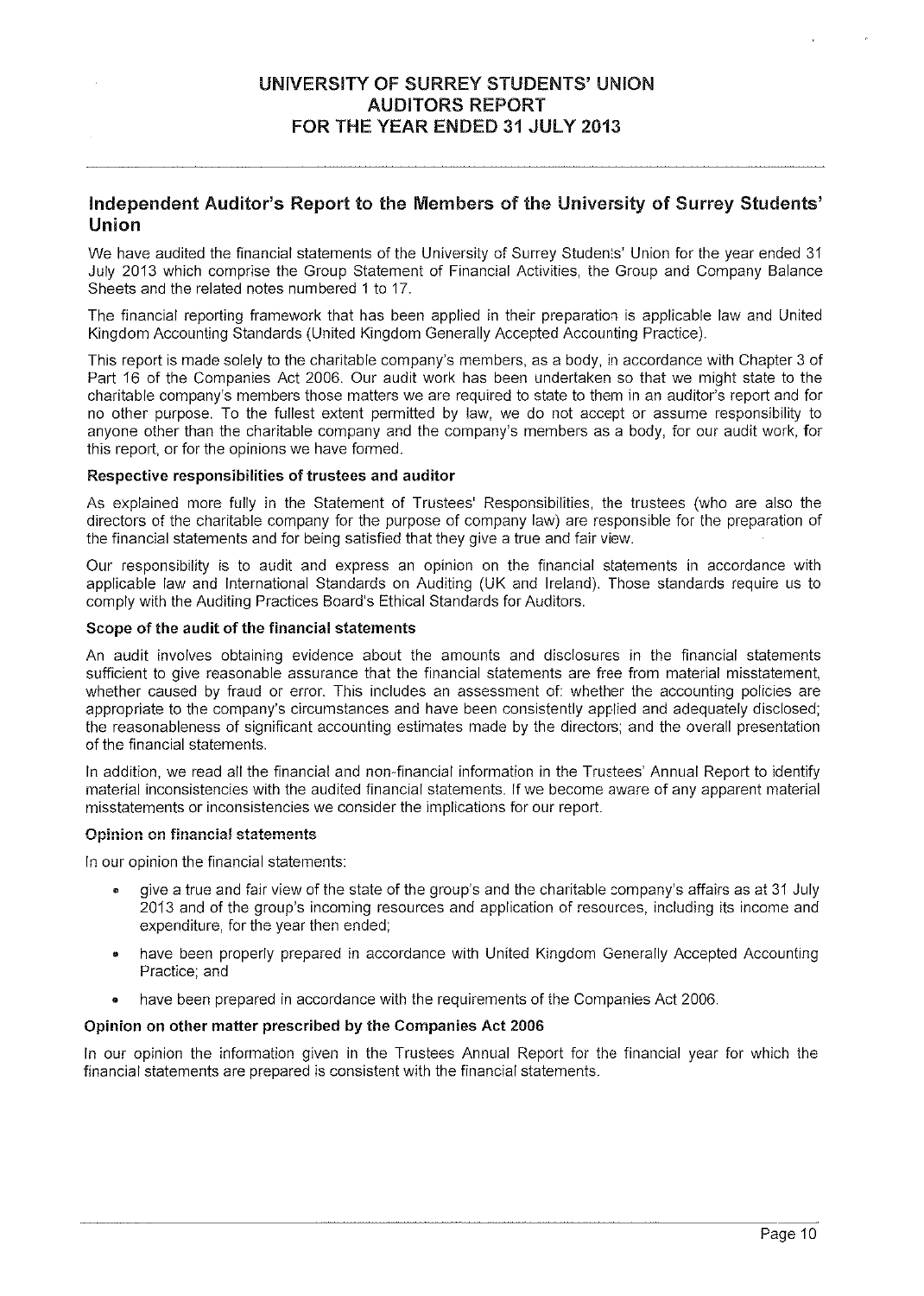#### Independent Auditor's Report to the Members of the University of Surrey Students' Union

We have audited the financial statements of the University of Surrey Students' Union for the year ended 31 July 2013 which comprise the Group Statement of Financial Activities, the Group and Company Balance Sheets and the related notes numbered 1 to 17.

The financial reporting framework that has been applied in their preparation is applicable law and United Kingdom Accounting Standards (United Kingdom Generally Accepted Accounting Practice).

This repor<sup>t</sup> is made solely to the charitable company's members, as <sup>a</sup> body, in accordance with Chapter 3 of Part 16 of the Companies Act 2006. Our audit work has been undertaken so that we might state to the charitable company's members those matters we are required to state to them in an auditor's repor<sup>t</sup> and for no other purpose. To the fullest extent permitted by law, we do not accep<sup>t</sup> or assume responsibility to anyone other than the charitable company and the company's members as <sup>a</sup> body, for our audit work, for this report, or for the opinions we have formed.

#### Respective responsibilities of trustees and auditor

As explained more fully in the Statement of Trustees' Responsibilities, the trustees (who are also the directors of the charitable company for the purpose of company law) are responsible for the preparation of the financial statements and for being satisfied that they give <sup>a</sup> true and fair view.

Our responsibility is to audit and express an opinion on the financial statements in accordance with applicable law and International Standards on Auditing (UK and Ireland). Those standards require us to comply with the Auditing Practices Board's Ethical Standards for Auditors.

#### Scope of the audit of the financial statements

An audit involves obtaining evidence about the amounts and disclosures in the financial statements sufficient to give reasonable assurance that the financial statements are free from material misstatement, whether caused by fraud or error. This includes an assessment of: whether the accounting policies are appropriate to the company's circumstances and have been consistently applied and adequately disclosed; the reasonableness of significant accounting estimates made by the directors; and the overall presentation of the financial statements.

In addition, we read all the financial and non-financial information in the Trustees' Annual Report to identify material inconsistencies with the audited financial statements. If we become aware of any apparen<sup>t</sup> material misstatements or inconsistencies we consider the implications for our report.

#### Opinion on financial statements

In our opinion the financial statements:

- give <sup>a</sup> true and fair view of the state of the group's and the charitable company's affairs as at 31 July 2013 and of the group's incoming resources and application of resources, including its income and expenditure, for the year then ended;
- • have been properly prepared in accordance with United Kingdom Generally Accepted Accounting Practice; and
- •have been prepared in accordance with the requirements of the Companies Act 2006.

#### Opinion on other matter prescribed by the Companies Act 2006

In our opinion the information given in the Trustees Annual Report for the financial year for which the financial statements are prepared is consistent with the financial statements.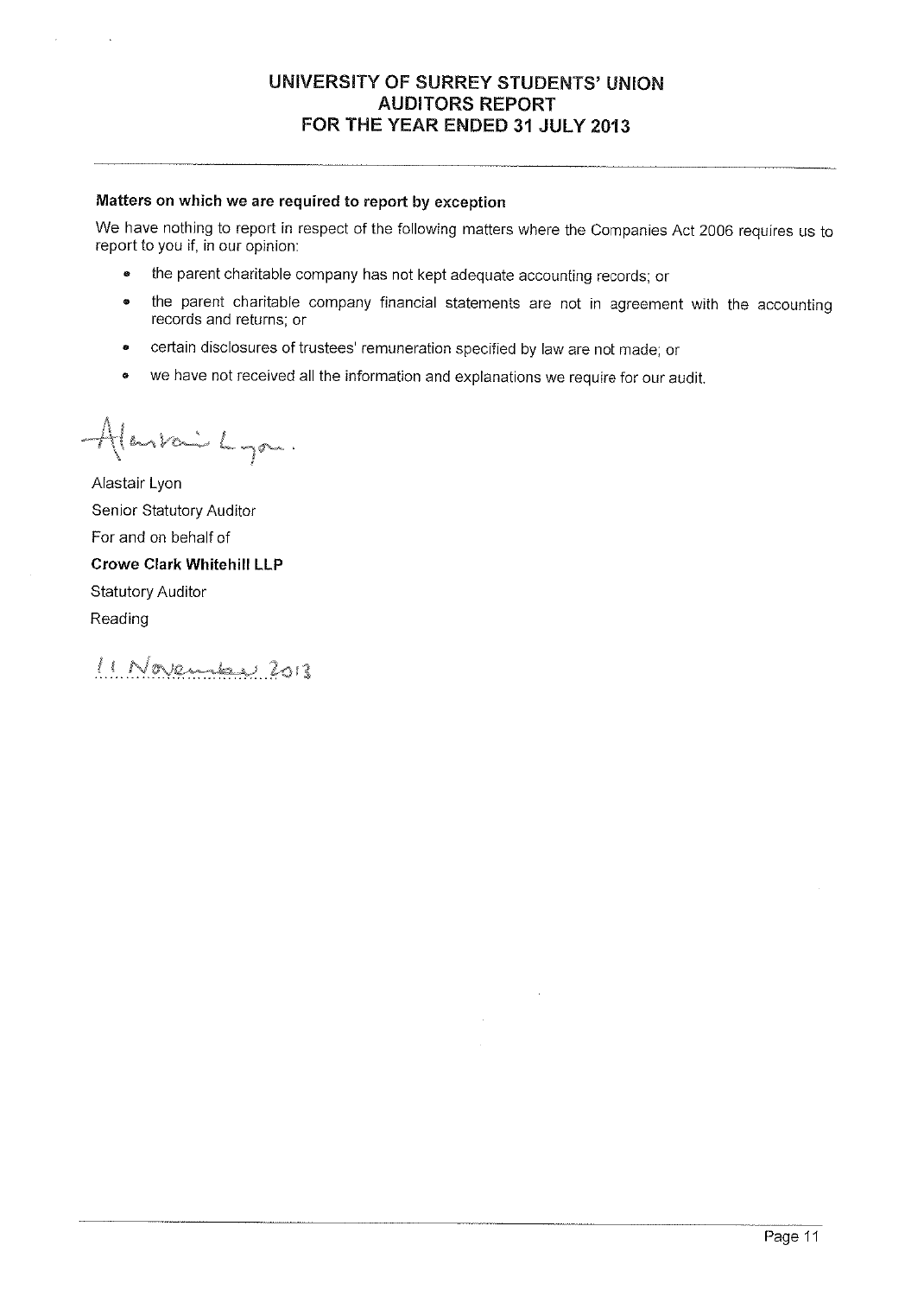#### UNIVERSITY OF SURREY STUDENTS' UNION AUDITORS REPORT FOR THE YEAR ENDED 31 JULY 2013

#### Matters on which we are required to report by exception

We have nothing to report in respect of the following matters where the Companies Act <sup>2006</sup> requires us to report to you if, in our opinion:

- •the parent charitable company has not kept adequate accounting records; or
- • the parent charitable company financial statements are not in agreement with the accounting records and returns; or
- •certain disclosures of trustees' remuneration specified by law are not made; or
- •we have not received all the information and explanations we require for our audit.

Alankai Lyon.

Alastair Lyon Senior Statutory Auditor For and on behalf of Crowe Clark Whitehill LLP Statutory Auditor Reading

11 November 2013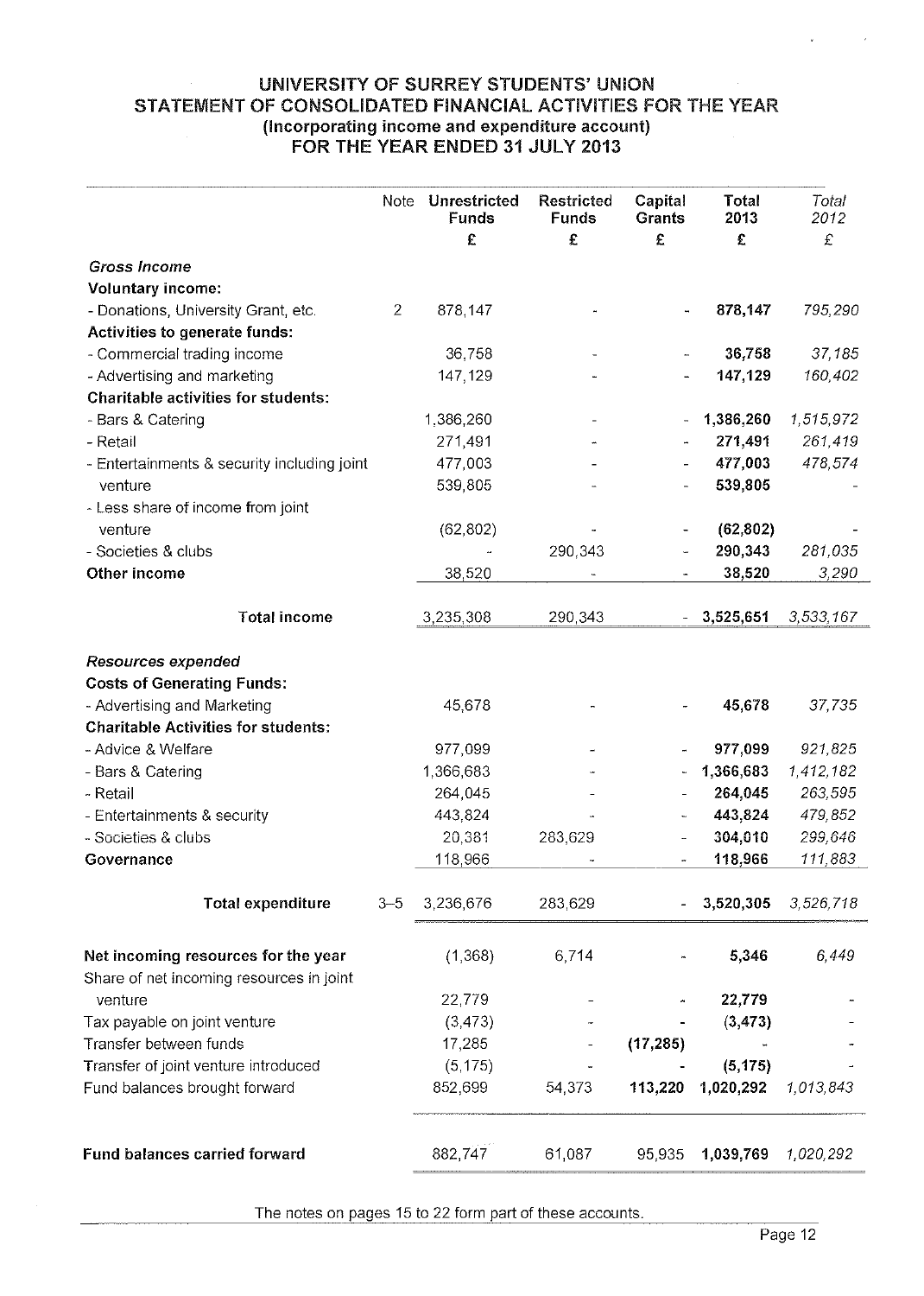#### UNIVERSITY OF SURREY STUDENTS' UNION STATEMENT OF CONSOLIDATED FINANCIAL ACTIVITIES FOR THE YEAR (Incorporating income and expenditure account) FOR THE YEAR ENDED 31 JULY 2013

| UNIVERSITY OF SURREY STUDENTS' UNION<br>STATEMENT OF CONSOLIDATED FINANCIAL ACTIVITIES FOR THE YEAR<br>(Incorporating income and expenditure account)<br>FOR THE YEAR ENDED 31 JULY 2013 |                |                                   |                                        |                        |                    |                    |  |
|------------------------------------------------------------------------------------------------------------------------------------------------------------------------------------------|----------------|-----------------------------------|----------------------------------------|------------------------|--------------------|--------------------|--|
|                                                                                                                                                                                          | Note           | Unrestricted<br><b>Funds</b><br>£ | <b>Restricted</b><br><b>Funds</b><br>£ | Capital<br>Grants<br>£ | Total<br>2013<br>£ | Total<br>2012<br>£ |  |
|                                                                                                                                                                                          |                |                                   |                                        |                        |                    |                    |  |
| <b>Gross Income</b><br><b>Voluntary income:</b>                                                                                                                                          |                |                                   |                                        |                        |                    |                    |  |
| - Donations, University Grant, etc.                                                                                                                                                      | $\overline{2}$ | 878,147                           |                                        |                        | 878,147            | 795,290            |  |
| Activities to generate funds:                                                                                                                                                            |                |                                   |                                        |                        |                    |                    |  |
| - Commercial trading income                                                                                                                                                              |                | 36,758                            |                                        |                        | 36,758             | 37,185             |  |
| - Advertising and marketing                                                                                                                                                              |                | 147, 129                          |                                        |                        | 147,129            | 160,402            |  |
| <b>Charitable activities for students:</b>                                                                                                                                               |                |                                   |                                        |                        |                    |                    |  |
| - Bars & Catering                                                                                                                                                                        |                | 1,386,260                         |                                        |                        | 1,386,260          | 1,515,972          |  |
| - Retail                                                                                                                                                                                 |                | 271,491                           |                                        |                        | 271,491            | 261,419            |  |
| - Entertainments & security including joint                                                                                                                                              |                | 477,003                           |                                        |                        | 477,003            | 478,574            |  |
| venture                                                                                                                                                                                  |                | 539,805                           |                                        |                        | 539,805            |                    |  |
| - Less share of income from joint                                                                                                                                                        |                |                                   |                                        |                        |                    |                    |  |
| venture                                                                                                                                                                                  |                | (62, 802)                         |                                        |                        | (62, 802)          |                    |  |
| - Societies & clubs                                                                                                                                                                      |                |                                   | 290,343                                |                        | 290,343            | 281,035            |  |
| Other income                                                                                                                                                                             |                | 38,520                            |                                        |                        | 38,520             | 3,290              |  |
| <b>Total income</b>                                                                                                                                                                      |                | 3,235,308                         | 290,343                                |                        | 3,525,651          | 3,533,167          |  |
|                                                                                                                                                                                          |                |                                   |                                        |                        |                    |                    |  |
| <b>Resources expended</b>                                                                                                                                                                |                |                                   |                                        |                        |                    |                    |  |
| <b>Costs of Generating Funds:</b>                                                                                                                                                        |                |                                   |                                        |                        |                    |                    |  |
| - Advertising and Marketing                                                                                                                                                              |                | 45,678                            |                                        |                        | 45,678             | 37,735             |  |
| <b>Charitable Activities for students:</b>                                                                                                                                               |                |                                   |                                        |                        |                    |                    |  |
| - Advice & Welfare                                                                                                                                                                       |                | 977,099                           |                                        |                        | 977,099            | 921,825            |  |
| - Bars & Catering                                                                                                                                                                        |                | 1,366,683                         |                                        |                        | 1,366,683          | 1,412,182          |  |
| - Retail                                                                                                                                                                                 |                | 264,045                           |                                        |                        | 264,045            | 263,595            |  |
| - Entertainments & security                                                                                                                                                              |                | 443,824                           |                                        |                        | 443,824            | 479,852            |  |
| - Societies & clubs                                                                                                                                                                      |                | 20,381                            | 283,629                                |                        | 304,010            | 299,646            |  |
| Governance                                                                                                                                                                               |                | 118,966                           |                                        |                        | 118,966            | 111,883            |  |
| <b>Total expenditure</b>                                                                                                                                                                 | $3 - 5$        | 3,236,676                         | 283,629                                |                        | 3,520,305          | 3,526,718          |  |
| Net incoming resources for the year<br>Share of net incoming resources in joint                                                                                                          |                | (1,368)                           | 6,714                                  |                        | 5,346              | 6,449              |  |
| venture                                                                                                                                                                                  |                | 22,779                            |                                        |                        | 22,779             |                    |  |
| Tax payable on joint venture                                                                                                                                                             |                | (3, 473)                          |                                        |                        | (3, 473)           |                    |  |
| Transfer between funds                                                                                                                                                                   |                | 17,285                            |                                        | (17, 285)              |                    |                    |  |
| Transfer of joint venture introduced                                                                                                                                                     |                | (5, 175)                          |                                        |                        | (5, 175)           |                    |  |
| Fund balances brought forward                                                                                                                                                            |                | 852,699                           | 54,373                                 | 113,220                | 1,020,292          | 1,013,843          |  |
| <b>Fund balances carried forward</b>                                                                                                                                                     |                | 882,747                           | 61,087                                 | 95,935                 | 1,039,769          | 1,020,292          |  |
|                                                                                                                                                                                          |                |                                   |                                        |                        |                    |                    |  |

The notes on pages 15 to 22 form par<sup>t</sup> of these accounts.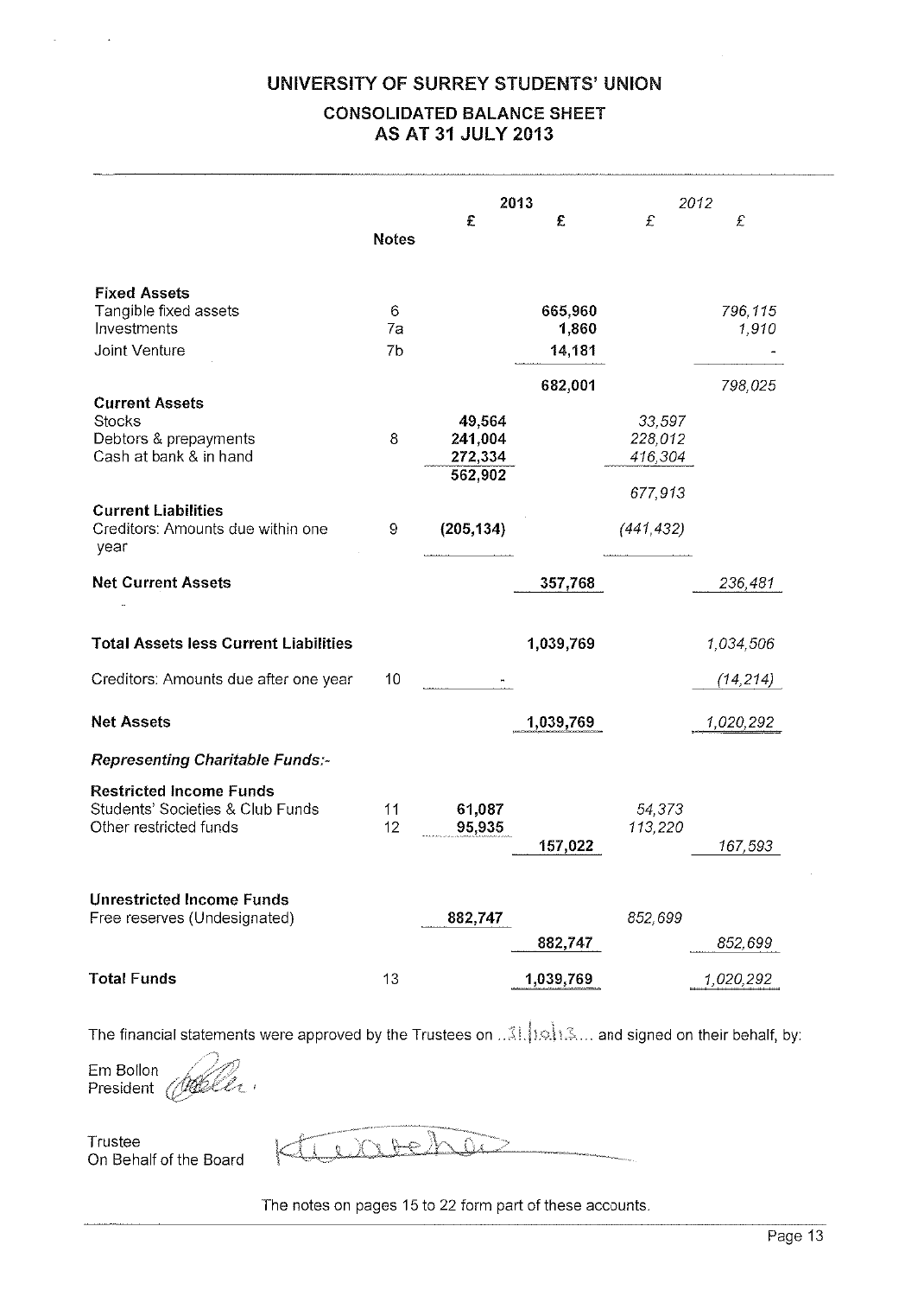#### UNIVERSITY OF SURREY STUDENTS' UNION

### CONSOLIDATED BALANCE SHEET AS AT 31 JULY 2013

| UNIVERSITY OF SURREY STUDENTS' UNION<br><b>CONSOLIDATED BALANCE SHEET</b><br><b>AS AT 31 JULY 2013</b>                          |               |                              |                            |                              |                        |  |  |
|---------------------------------------------------------------------------------------------------------------------------------|---------------|------------------------------|----------------------------|------------------------------|------------------------|--|--|
|                                                                                                                                 | <b>Notes</b>  | £                            | 2013<br>£                  | £                            | 2012<br>£              |  |  |
| <b>Fixed Assets</b><br>Tangible fixed assets<br>Investments<br>Joint Venture                                                    | 6<br>7a<br>7b |                              | 665,960<br>1,860<br>14,181 |                              | 796,115<br>1,910       |  |  |
| <b>Current Assets</b><br><b>Stocks</b><br>Debtors & prepayments<br>Cash at bank & in hand                                       | 8             | 49,564<br>241,004<br>272,334 | 682,001                    | 33,597<br>228,012<br>416,304 | 798,025                |  |  |
| <b>Current Liabilities</b><br>Creditors: Amounts due within one<br>year                                                         | 9             | 562,902<br>(205, 134)        |                            | 677,913<br>(441, 432)        |                        |  |  |
| <b>Net Current Assets</b>                                                                                                       |               |                              | 357,768                    |                              | 236,481                |  |  |
| <b>Total Assets less Current Liabilities</b><br>Creditors: Amounts due after one year                                           | 10            |                              | 1,039,769                  |                              | 1,034,506<br>(14, 214) |  |  |
| <b>Net Assets</b>                                                                                                               |               |                              | 1,039,769                  |                              | 1,020,292              |  |  |
| Representing Charitable Funds:-<br><b>Restricted Income Funds</b><br>Students' Societies & Club Funds<br>Other restricted funds | 11<br>12      | 61,087<br>95,935             | 157,022                    | 54,373<br>113,220            | 167,593                |  |  |
| <b>Unrestricted Income Funds</b><br>Free reserves (Undesignated)                                                                |               | 882,747                      | 882,747                    | 852,699                      | 852,699                |  |  |
| <b>Total Funds</b>                                                                                                              | 13            |                              | 1,039,769                  |                              | 1,020,292              |  |  |

The financial statements were approved by the Trustees on ...3!. 1.9 1.3... and signed on their behalf, by:

Em Bollon President  $\sqrt{ }$ 

Trustee On Behalf of the Board

<u>i daalee</u>

The notes on pages 15 to 22 form par<sup>t</sup> of these accounts.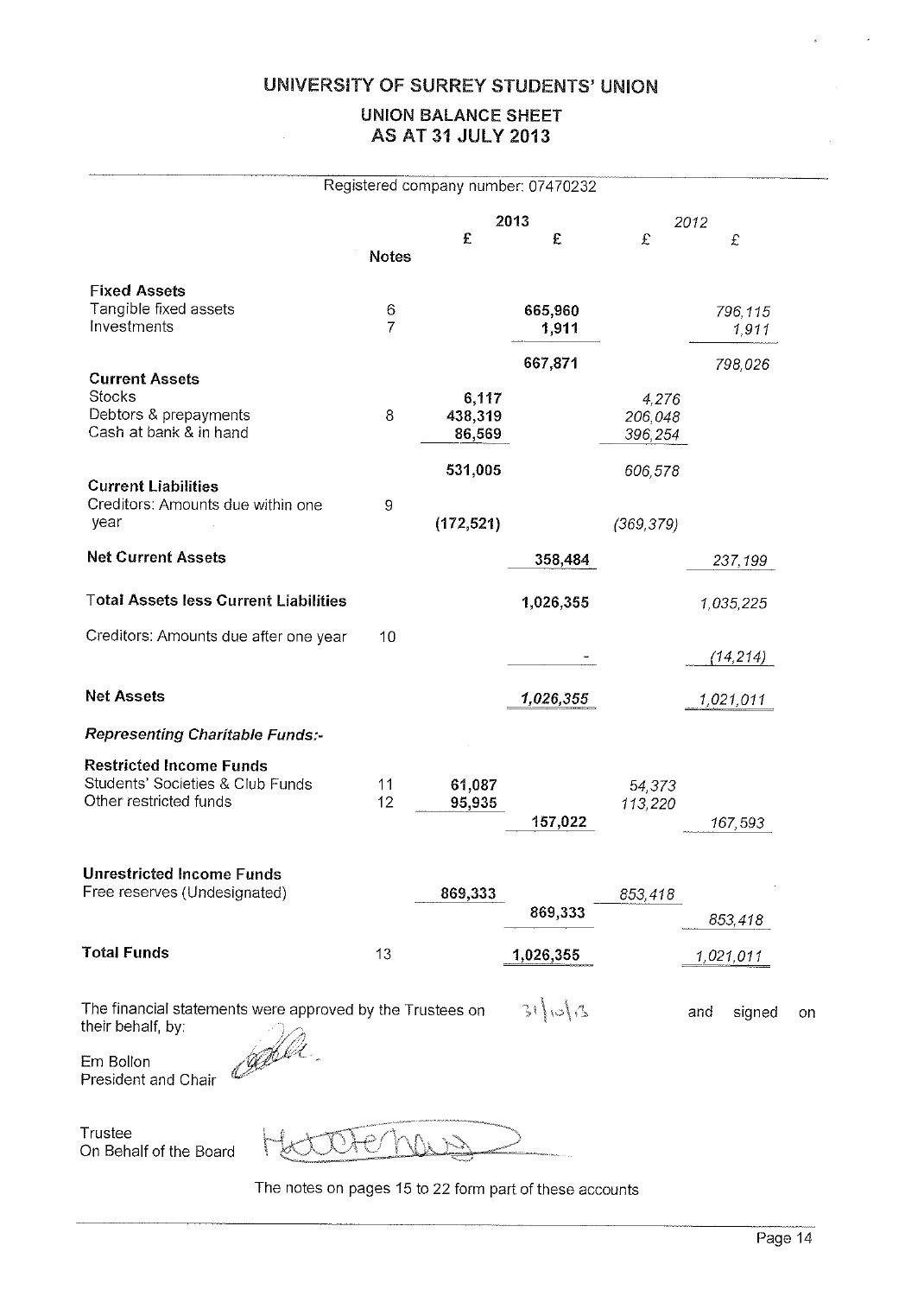#### UNIVERSITY OF SURREY STUDENTS' UNION

#### UNION BALANCE SHEET AS AT 31 JULY 2013

|                                                                                                                             |                     |                   | Registered company number: 07470232 |                             |                     |  |
|-----------------------------------------------------------------------------------------------------------------------------|---------------------|-------------------|-------------------------------------|-----------------------------|---------------------|--|
|                                                                                                                             |                     |                   | 2013                                |                             | 2012                |  |
|                                                                                                                             | <b>Notes</b>        | £                 | £                                   | £                           | £                   |  |
| <b>Fixed Assets</b>                                                                                                         |                     |                   |                                     |                             |                     |  |
| Tangible fixed assets<br>Investments                                                                                        | 6<br>$\overline{7}$ |                   | 665,960<br>1,911                    |                             | 796,115<br>1,911    |  |
|                                                                                                                             |                     |                   | 667,871                             |                             | 798,026             |  |
| <b>Current Assets</b><br>Stocks                                                                                             |                     | 6,117             |                                     |                             |                     |  |
| Debtors & prepayments<br>Cash at bank & in hand                                                                             | 8                   | 438,319<br>86,569 |                                     | 4,276<br>206,048<br>396,254 |                     |  |
|                                                                                                                             |                     | 531,005           |                                     | 606,578                     |                     |  |
| <b>Current Liabilities</b><br>Creditors: Amounts due within one<br>year                                                     | 9                   | (172, 521)        |                                     | (369, 379)                  |                     |  |
| <b>Net Current Assets</b>                                                                                                   |                     |                   | 358,484                             |                             | 237,199             |  |
| <b>Total Assets less Current Liabilities</b>                                                                                |                     |                   | 1,026,355                           |                             | 1,035,225           |  |
| Creditors: Amounts due after one year                                                                                       | 10                  |                   |                                     |                             | (14, 214)           |  |
|                                                                                                                             |                     |                   |                                     |                             |                     |  |
| <b>Net Assets</b>                                                                                                           |                     |                   | 1,026,355                           |                             | 1,021,011           |  |
| Representing Charitable Funds:-                                                                                             |                     |                   |                                     |                             |                     |  |
| <b>Restricted Income Funds</b><br>Students' Societies & Club Funds<br>Other restricted funds                                | 11<br>12            | 61,087<br>95,935  |                                     | 54,373<br>113,220           |                     |  |
|                                                                                                                             |                     |                   | 157,022                             |                             | 167,593             |  |
| <b>Unrestricted Income Funds</b>                                                                                            |                     |                   |                                     |                             |                     |  |
| Free reserves (Undesignated)                                                                                                |                     | 869,333           | 869,333                             | 853,418                     | 853,418             |  |
| <b>Total Funds</b>                                                                                                          | 13                  |                   | 1,026,355                           |                             | 1,021,011           |  |
| The financial statements were approved by the Trustees on<br>their behalf, by:<br>Cable<br>Em Bollon<br>President and Chair |                     |                   | 31006                               |                             | signed<br>and<br>or |  |

Trustee On Behalf of the Board

Ĉ ياسي.<br>سيستملس

The notes on pages 15 to <sup>22</sup> form part of these accounts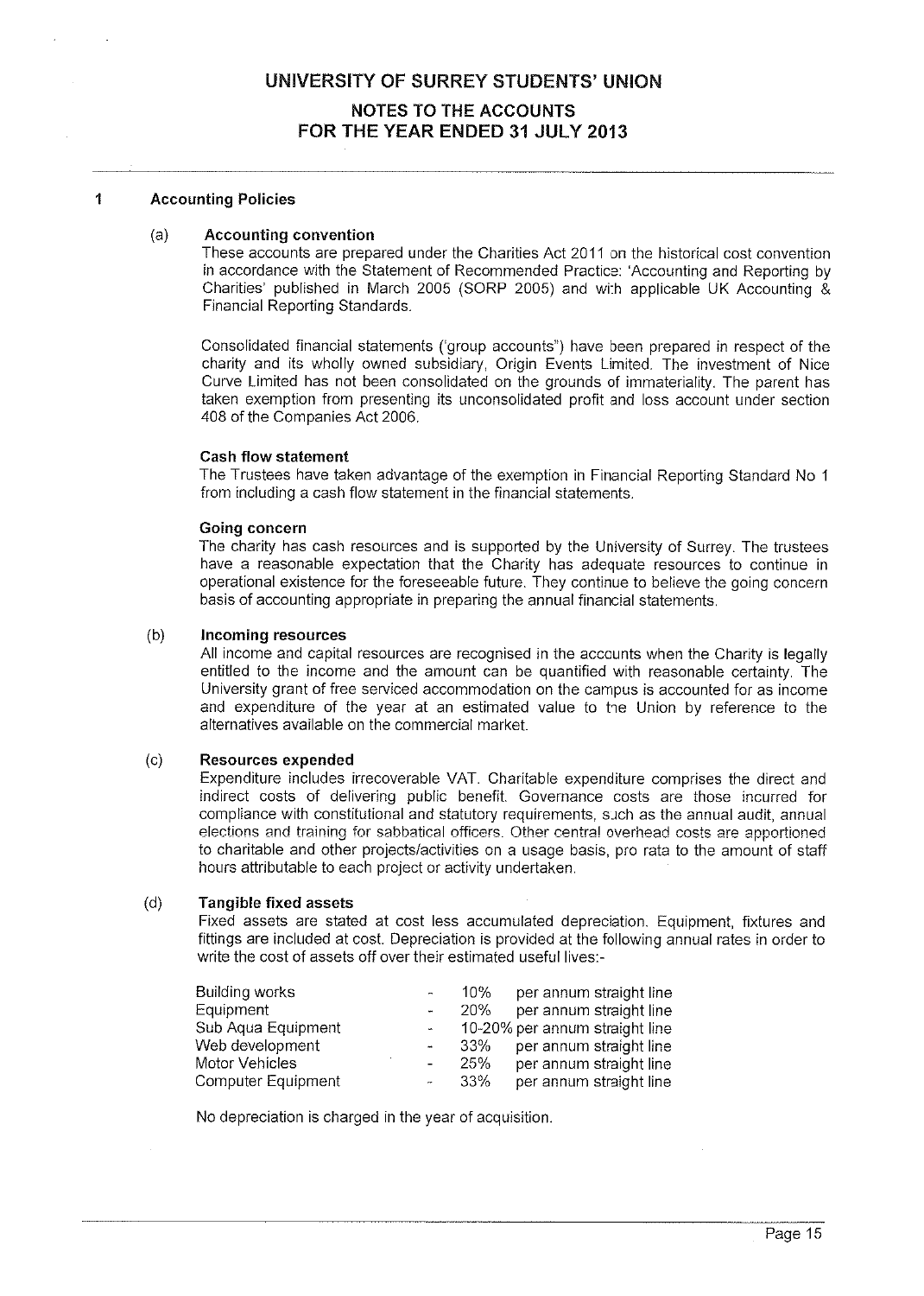#### 1 Accounting Policies

#### (a) Accounting convention

These accounts are prepared under the Charities Act 2011 on the historical cost convention in accordance with the Statement of Recommended Practice: Accounting and Reporting by Charities' published in March 2005 (SORP 2005) and with applicable UK Accounting & Financial Reporting Standards.

Consolidated financial statements ('group accounts") have been prepared in respect of the charity and its wholly owned subsidiary, Origin Events Limfted. The investment of Nice Curve Limited has not been consolidated on the grounds of immateriality. The paren<sup>t</sup> has taken exemption from presenting its unconsolidated profit and loss account under section 408 of the Companies Act 2006.

#### Cash flow statement

The Trustees have taken advantage of the exemption in Financial Reporting Standard No <sup>1</sup> from including <sup>a</sup> cash flow statement in the financial statements.

#### Going concern

The charity has cash resources and is supported by the University of Surrey. The trustees have <sup>a</sup> reasonable expectation that the Charity has adequate resources to continue in operational existence for the foreseeable future. They continue to believe the going concern basis of accounting appropriate in preparing the annual financial statements.

#### (b) Incoming resources

All income and capital resources are recognised in the accounts when the Charity is legally entitled to the income and the amount can be quantified with reasonable certainty. The University gran<sup>t</sup> of free serviced accommodation on the campus is accounted for as income and expenditure of the year at an estimated value to the Union by reference to the alternatives available on the commercial market.

#### (c) Resources expended

Expenditure includes irrecoverable VAT. Charitable expenditure comprises the direct and indirect costs of delivering public benefit. Governance costs are those incurred for compliance with constitutional and statutory requirements, such as the annual audit, annual elections and training for sabbatical officers. Other central overhead costs are apportioned to charitable and other projects/activities on <sup>a</sup> usage basis, pro rata to the amount of staff hours attributable to each project or activity undertaken.

#### (d) Tangible fixed assets

Fixed assets are stated at cost less accumulated depreciation. Equipment, fixtures and fittings are included at cost. Depreciation is provided at the following annual rates in order to write the cost of assets off over their estimated useful lives:

| $\tilde{\phantom{a}}$    | 10% | per annum straight line        |
|--------------------------|-----|--------------------------------|
| m.                       | 20% | per annum straight line        |
| $\bar{m}$                |     | 10-20% per annum straight line |
| $\overline{\phantom{a}}$ | 33% | per annum straight line        |
| $\overline{\phantom{a}}$ | 25% | per annum straight line        |
| u,                       | 33% | per annum straight line        |
|                          |     |                                |

No depreciation is charged in the year of acquisition.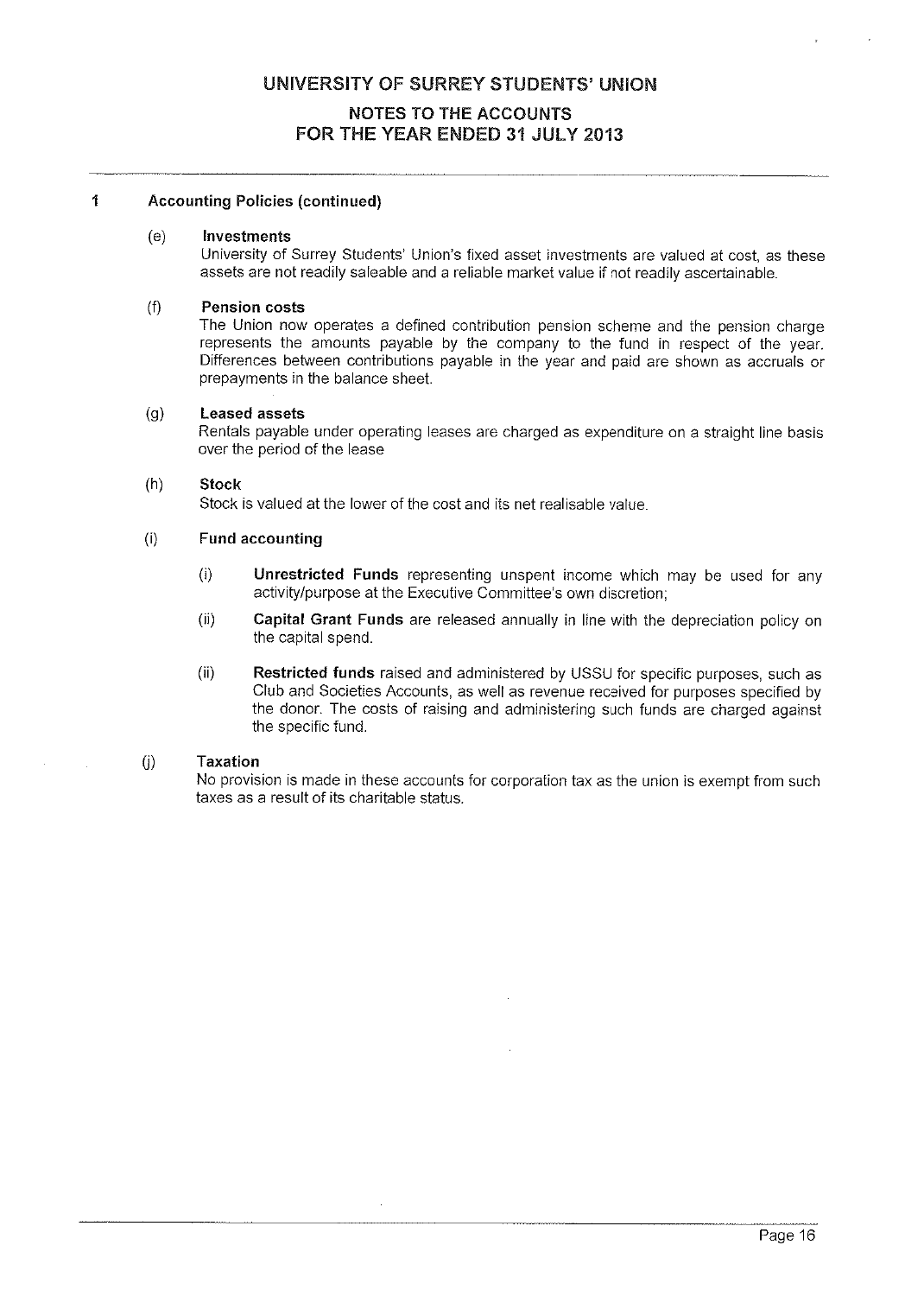#### $\mathbf{1}$ Accounting Policies (continued)

#### (e) Investments

University of Surrey Students' Union's fixed asset investments are valued at cost, as these assets are not readily saleable and <sup>a</sup> reliable market value if not readily ascertainable.

#### (f) Pension costs

The Union now operates <sup>a</sup> defined contribution pension scheme and the pension charge represents the amounts payable by the company to the fund in respec<sup>t</sup> of the year. Differences between contributions payable in the year and paid are shown as accruals or prepayments in the balance sheet.

#### (g) Leased assets

Rentals payable under operating leases are charged as expenditure on <sup>a</sup> straight line basis over the period of the lease

#### (h) Stock

Stock is valued at the lower of the cost and its net realisable value.

#### (i) Fund accounting

- (i) Unrestricted Funds representing unspen<sup>t</sup> income which may be used for any activity/purpose at the Executive Committee's own discretion;
- (ii) Capital Grant Funds are released annually in line with the depreciation policy on the capital spend.
- $(i)$  Restricted funds raised and administered by USSU for specific purposes, such as Club and Societies Accounts, as well as revenue received for purposes specified by the donor. The costs of raising and administering such funds are charged against the specific fund.

#### (j) Taxation

No provision is made in these accounts for corporation tax as the union is exemp<sup>t</sup> from such taxes as <sup>a</sup> result of its charitable status.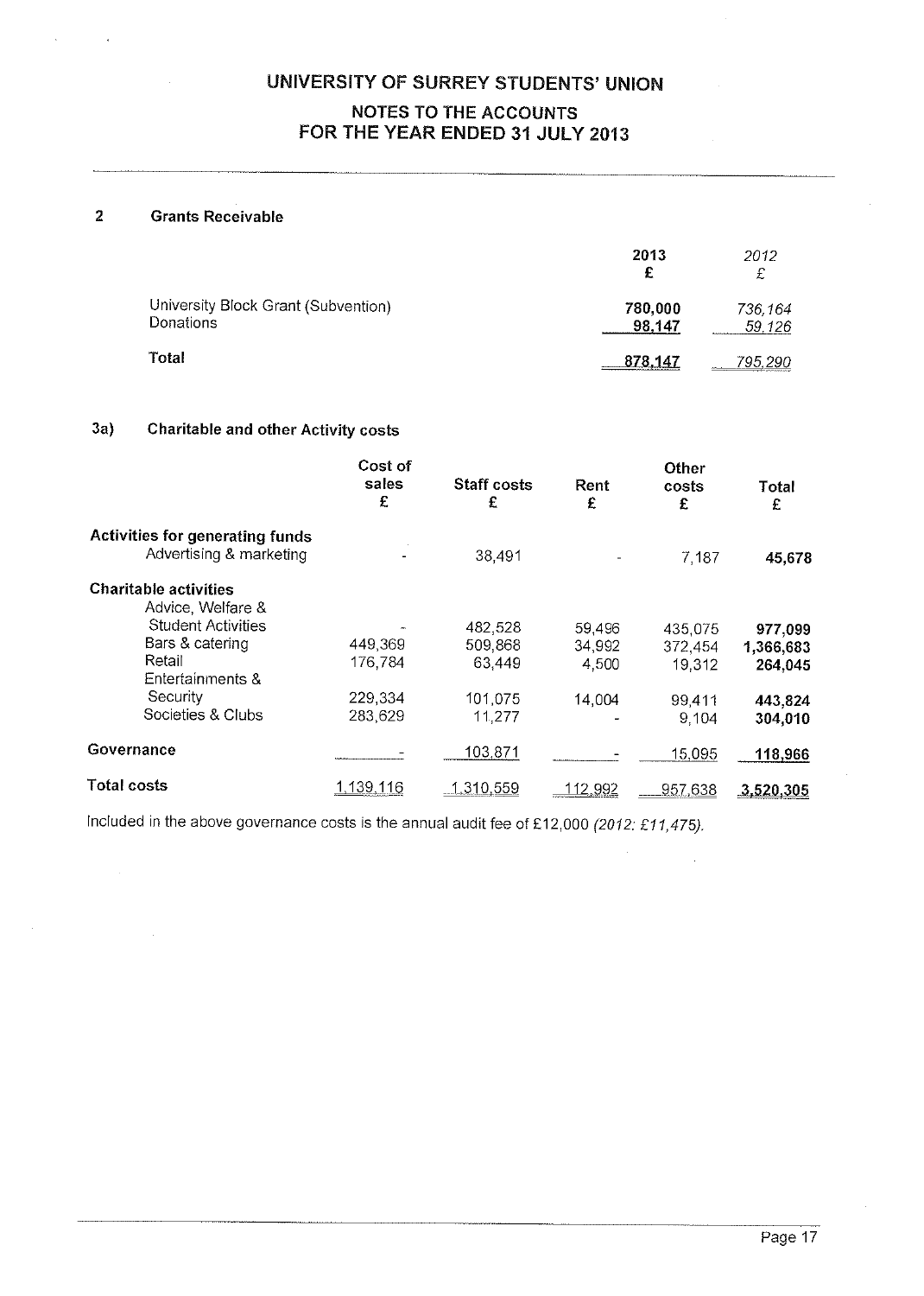#### 2 Grants Receivable

|                                                  | 2013              | 2012              |
|--------------------------------------------------|-------------------|-------------------|
| University Block Grant (Subvention)<br>Donations | 780,000<br>98,147 | 736,164<br>59,126 |
| Total                                            | 878.147           | <u>795,290</u>    |

#### 3a) Charitable and other Activity costs

|                                                   | Cost of<br>sales<br>£ | <b>Staff costs</b><br>£ | Rent<br>£       | Other<br>costs<br>£ | Total<br>£ |
|---------------------------------------------------|-----------------------|-------------------------|-----------------|---------------------|------------|
| <b>Activities for generating funds</b>            |                       |                         |                 |                     |            |
| Advertising & marketing                           |                       | 38,491                  |                 | 7,187               | 45,678     |
| <b>Charitable activities</b><br>Advice, Welfare & |                       |                         |                 |                     |            |
| <b>Student Activities</b>                         |                       | 482,528                 | 59,496          | 435,075             | 977,099    |
| Bars & catering                                   | 449,369               | 509,868                 | 34,992          | 372,454             | 1,366,683  |
| Retail<br>Entertainments &                        | 176,784               | 63,449                  | 4,500           | 19,312              | 264,045    |
| Security                                          | 229,334               | 101,075                 | 14,004          | 99,411              | 443,824    |
| Societies & Clubs                                 | 283,629               | 11,277                  |                 | 9.104               | 304,010    |
| Governance                                        |                       | 103,871                 |                 | 15,095              | 118,966    |
| Total costs                                       | 1,139,116             | 1.310.559               | <u> 112,992</u> | 957,638             | 3,520,305  |

Included in the above governance costs is the annual audit fee of £12,000 (2012: £11,475).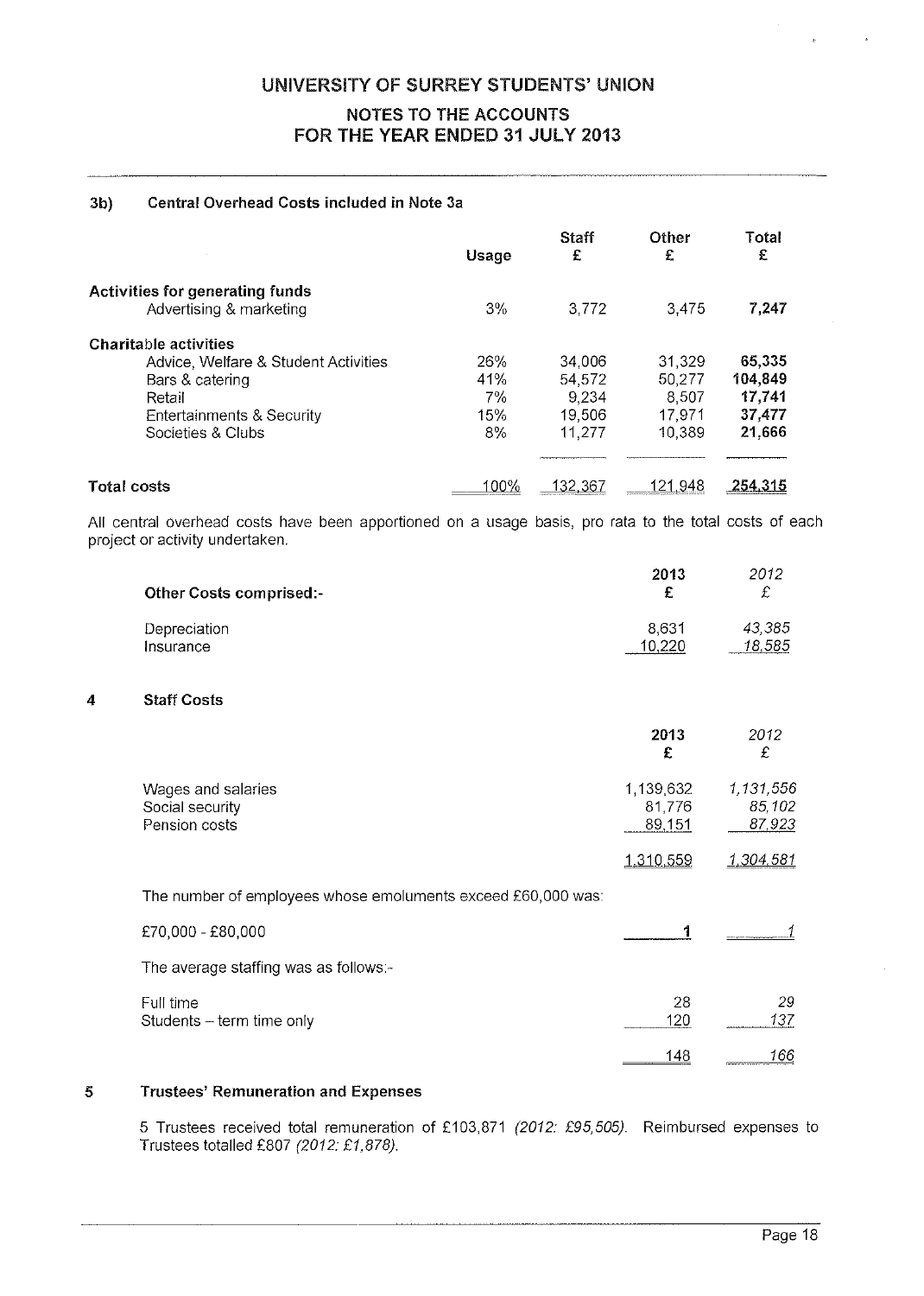#### 3b) Central Overhead Costs included in Note 3a

|                                                                   | <b>Usage</b> | <b>Staff</b><br>£ | Other<br>£ | Total<br>£ |
|-------------------------------------------------------------------|--------------|-------------------|------------|------------|
| <b>Activities for generating funds</b><br>Advertising & marketing | $3\%$        | 3,772             | 3.475      | 7,247      |
| <b>Charitable activities</b>                                      |              |                   |            |            |
| Advice, Welfare & Student Activities                              | 26%          | 34,006            | 31,329     | 65,335     |
| Bars & catering                                                   | 41%          | 54,572            | 50,277     | 104,849    |
| Retail                                                            | 7%           | 9.234             | 8.507      | 17,741     |
| Entertainments & Security                                         | 15%          | 19,506            | 17,971     | 37,477     |
| Societies & Clubs                                                 | $8\%$        | 11.277            | 10.389     | 21,666     |
|                                                                   |              |                   |            |            |
| <b>Total costs</b>                                                | 100%         | 132.367           | 121.948    | 254,315    |

All central overhead costs have been apportioned on <sup>a</sup> usage basis, pro rata to the total costs of each project or activity undertaken.

| <b>Other Costs comprised:-</b> | 2013  | 2012<br>£ |
|--------------------------------|-------|-----------|
| Depreciation                   | 8.631 | 43.385    |
| Insurance                      |       | 18,585    |

#### 4 Staff Costs

|                                                              | 2013<br>£                     | 2012<br>£                     |
|--------------------------------------------------------------|-------------------------------|-------------------------------|
| Wages and salaries<br>Social security<br>Pension costs       | 1,139,632<br>81,776<br>89,151 | 1,131,556<br>85,102<br>87,923 |
|                                                              | 1.310,559                     | 1,304,581                     |
| The number of employees whose emoluments exceed £60,000 was: |                               |                               |
| £70,000 - £80,000                                            |                               |                               |
| The average staffing was as follows:-                        |                               |                               |
| Full time<br>Students - term time only                       | 28<br>120                     | 29<br>137                     |
|                                                              | 148                           | 166                           |

#### 5 Trustees' Remuneration and Expenses

5 Trustees received total remuneration of £103,871 (2012: £95,505). Reimbursed expenses to Trustees totalled £807 (2012: £1,878).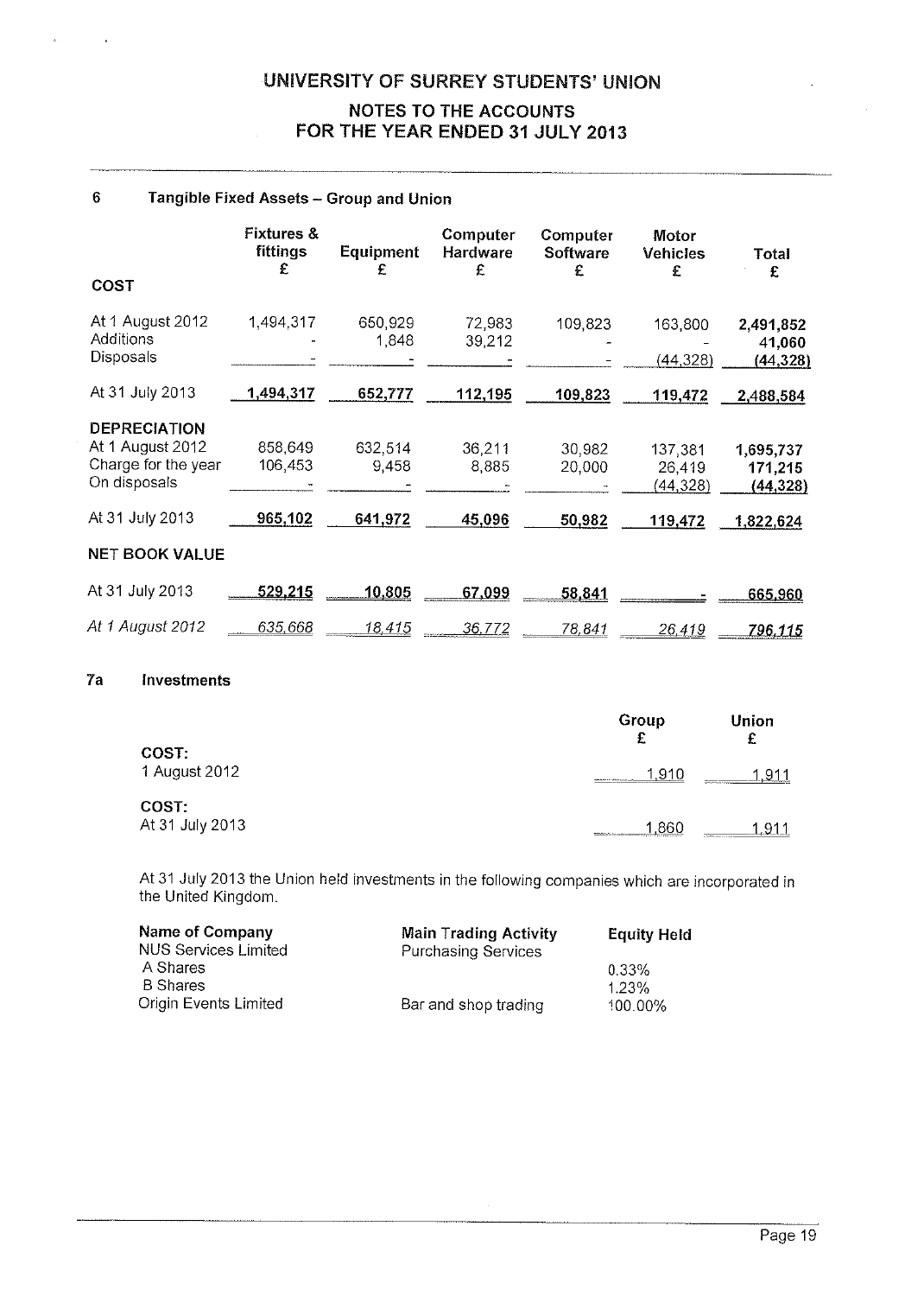#### <sup>6</sup> Tangible Fixed Assets — Group and Union

|                                                                                | <b>Fixtures &amp;</b><br>fittings<br>£ | <b>Equipment</b><br>£ | Computer<br>Hardware<br>£ | Computer<br>Software | Motor<br><b>Vehicles</b>       | Total                             |
|--------------------------------------------------------------------------------|----------------------------------------|-----------------------|---------------------------|----------------------|--------------------------------|-----------------------------------|
| COST                                                                           |                                        |                       |                           | £                    | £                              | £                                 |
| At 1 August 2012<br>Additions<br>Disposals                                     | 1,494,317                              | 650,929<br>1,848      | 72,983<br>39.212          | 109,823              | 163,800<br>(44, 328)           | 2,491,852<br>41,060<br>(44, 328)  |
| At 31 July 2013                                                                | 1,494,317                              | 652,777               | 112,195                   | 109,823              | 119,472                        | 2,488,584                         |
| <b>DEPRECIATION</b><br>At 1 August 2012<br>Charge for the year<br>On disposals | 858,649<br>106,453                     | 632,514<br>9.458      | 36,211<br>8,885           | 30,982<br>20,000     | 137,381<br>26,419<br>(44, 328) | 1,695,737<br>171,215<br>(44, 328) |
| At 31 July 2013                                                                | 965,102                                | 641,972               | 45,096                    | 50,982               | 119,472                        | 1,822,624                         |
| <b>NET BOOK VALUE</b>                                                          |                                        |                       |                           |                      |                                |                                   |
| At 31 July 2013                                                                | 529,215                                | 10,805                | 67,099                    | 58,841               |                                | 665,960                           |
| At 1 August 2012                                                               | 635.668                                | <u> 18.415</u>        | 36,772                    | 78,841               | 26,419                         | 796,115                           |
| 7a<br><b>Investments</b>                                                       |                                        |                       |                           |                      |                                |                                   |

|                          | Group<br>£                                                                                                                                                                                                                                        | Union<br>c                                                  |
|--------------------------|---------------------------------------------------------------------------------------------------------------------------------------------------------------------------------------------------------------------------------------------------|-------------------------------------------------------------|
| COST:<br>1 August 2012   | 1.910<br><b>Manufacturers in the Constitution of the American Constitution</b>                                                                                                                                                                    | .911<br>л.<br><b>NAMES AND RELEASED AS A PARTICULAR AND</b> |
| COST:<br>At 31 July 2013 | 86C<br><b><i>Progression Committee Committee Service Service Service Service Service Service Service Service Service Service Service Service Service Service Service Service Service Service Service Service Service Service Service Serv</i></b> | 911.<br>4.<br><b><i>Information</i></b>                     |

At <sup>31</sup> July <sup>2013</sup> the Union held investments in the following companies which are incorporated in the United Kingdom.

| <b>Name of Company</b>      | <b>Main Trading Activity</b> | <b>Equity Held</b> |
|-----------------------------|------------------------------|--------------------|
| <b>NUS Services Limited</b> | <b>Purchasing Services</b>   |                    |
| A Shares                    |                              | 0.33%              |
| <b>B</b> Shares             |                              | 1.23%              |
| Origin Events Limited       | Bar and shop trading         | 100.00%            |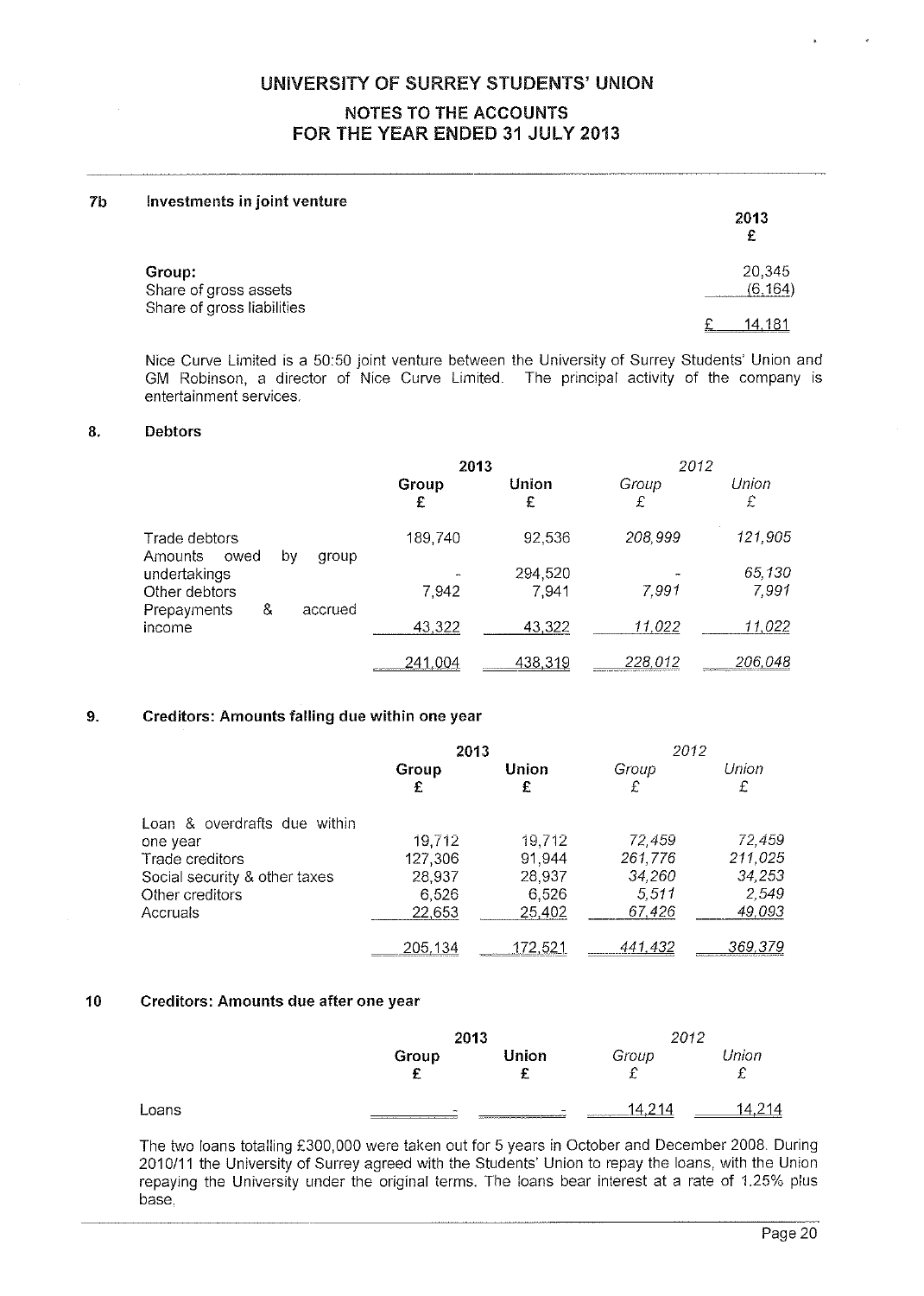#### 7b Investments in joint venture

| . .                             | 2013<br>£         |
|---------------------------------|-------------------|
| Group:<br>Share of gross assets | 20,345<br>(6.164) |
| Share of gross liabilities      | 14.181            |

Nice Curve Limited is a 50:50 joint venture between the University of Surrey Students' Union and GM Robinson. <sup>a</sup> director of Nice Curve Limited. The principal activity of the company is entertainment services.

#### 8. Debtors

|                                                        | 2013                                    |            | 2012       |            |
|--------------------------------------------------------|-----------------------------------------|------------|------------|------------|
|                                                        | Group<br>£                              | Union<br>£ | Group<br>£ | Union<br>£ |
| Trade debtors<br>Amounts<br>owed<br>by<br>group        | 189,740                                 | 92,536     | 208,999    | 121,905    |
| undertakings                                           |                                         | 294,520    |            | 65,130     |
| Other debtors<br>&<br>accrued<br>Prepayments<br>income | 7,942                                   | 7,941      | 7.991      | 7,991      |
|                                                        | 43,322                                  | 43,322     | 11,022     | 11,022     |
|                                                        | 241.004<br><b>CONTRACTOR CONTRACTOR</b> | 438,319    | 228,012    | 206,048    |

#### 9. Creditors: Amounts falling due within one year

|                               | 2013           |         | 2012    |         |
|-------------------------------|----------------|---------|---------|---------|
|                               | Group          | Union   | Group   | Union   |
|                               | £              | £       | £       | £       |
| Loan & overdrafts due within  |                |         |         |         |
| one year                      | 19,712         | 19,712  | 72,459  | 72,459  |
| Trade creditors               | 127,306        | 91,944  | 261,776 | 211,025 |
| Social security & other taxes | 28,937         | 28.937  | 34,260  | 34,253  |
| Other creditors               | 6.526          | 6,526   | 5.511   | 2,549   |
| Accruals                      | 22,653         | 25,402  | 67,426  | 49,093  |
|                               | <u>205,134</u> | 172.521 | 441.432 | 369,379 |

#### 10 Creditors: Amounts due after one year

|       |                  | 2013                                                                             |                             | 2012                      |  |
|-------|------------------|----------------------------------------------------------------------------------|-----------------------------|---------------------------|--|
|       | Group<br>c<br>ż. | Union<br>$\sim$<br>                                                              | Group<br>⌒<br>~             | Union<br>$\sim$<br>÷<br>∼ |  |
| Loans | $\sim$<br>-----  | -<br>__________<br>and construct in a processor compensation of the construction | -214<br>۱4<br>************* | '14<br>---                |  |

The two loans totalling £300,000 were taken out for 5 years in October and December 2008. During 2010/11 the University of Surrey agreed with the Students' Union to repay the loans, with the Union repaying the University under the original terms. The loans bear interest at <sup>a</sup> rate of 1.25% <sup>p</sup>lus base.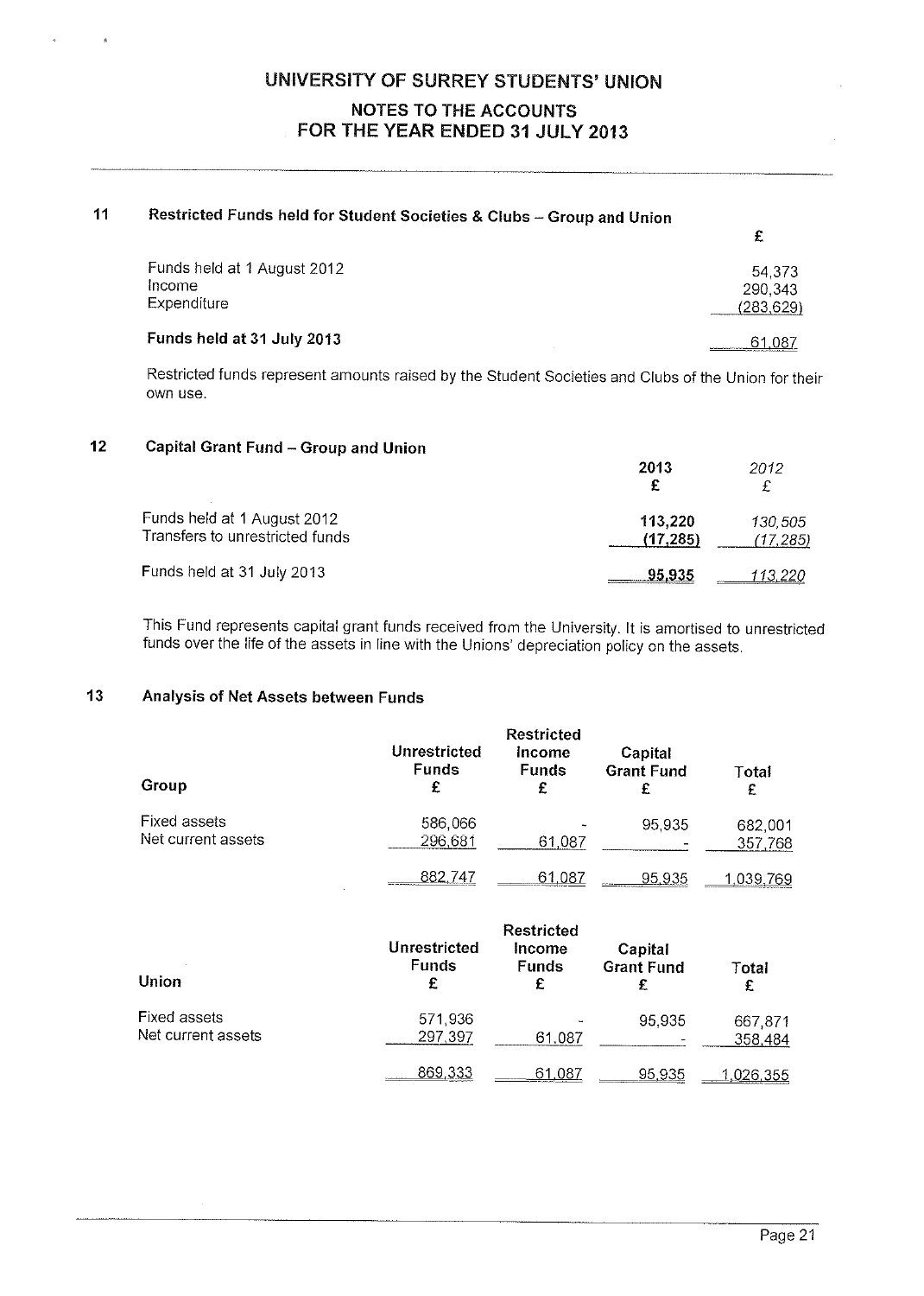| 11 | Restricted Funds held for Student Societies & Clubs - Group and Union |                                 |
|----|-----------------------------------------------------------------------|---------------------------------|
|    |                                                                       | £                               |
|    | Funds held at 1 August 2012<br>Income<br>Expenditure                  | 54,373<br>290,343<br>(283, 629) |
|    | Funds held at 31 July 2013                                            | 61.087                          |

Restricted funds represent amounts raised by the Student Societies and Clubs of the Union for their own use.

#### <sup>12</sup> Capital Grant Fund — Group and Union

|                                                                | 2013                | 2012<br>£           |
|----------------------------------------------------------------|---------------------|---------------------|
| Funds held at 1 August 2012<br>Transfers to unrestricted funds | 113,220<br>(17.285) | 130.505<br>(17,285) |
| Funds held at 31 July 2013                                     | 95.935              | <u>113,220</u>      |

This Fund represents capital grant funds received from the University. It is amortised to unrestricted funds over the life of the assets in line with the Unions' depreciation policy on the assets.

#### 13 Analysis of Net Assets between Funds

| Group                              | Unrestricted<br><b>Funds</b><br>£ | <b>Restricted</b><br><b>Income</b><br><b>Funds</b><br>£ | Capital<br><b>Grant Fund</b> | Total<br>£         |
|------------------------------------|-----------------------------------|---------------------------------------------------------|------------------------------|--------------------|
| Fixed assets<br>Net current assets | 586,066<br>296,681                | 61,087                                                  | 95,935                       | 682,001<br>357,768 |
|                                    | 882.747                           | 61.087                                                  | 95.935                       | <u>1.039,</u> 769  |

| Union                              | Unrestricted<br><b>Funds</b><br>£ | Capital<br><b>Grant Fund</b><br>£ | Total<br>£ |                    |
|------------------------------------|-----------------------------------|-----------------------------------|------------|--------------------|
| Fixed assets<br>Net current assets | 571,936<br>297,397                | 61.087                            | 95,935     | 667,871<br>358,484 |
|                                    | 869,333                           | 61.087                            | 95,935     | 1,026,355          |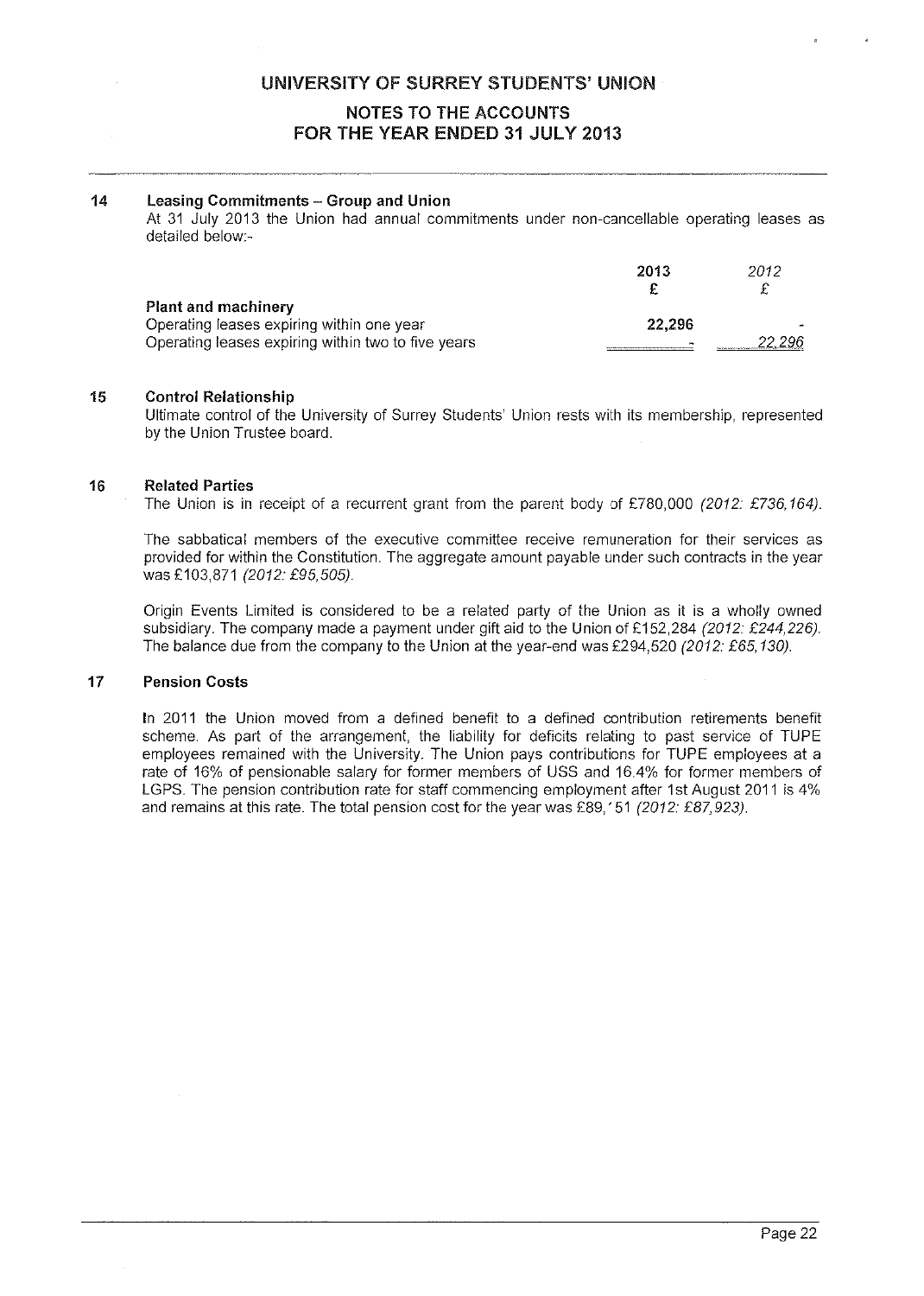#### UNIVERSITY OF SURREY STUDENTS' UNION

#### NOTES TO THE ACCOUNTS FOR THE YEAR ENDED 31 JULY 2013

#### 14 Leasing Commitments — Group and Union

At 31 July 2013 the Union had annual commitments under non-cancellable operating leases as detailed below:

|                                                    | 2013   | 2012 |
|----------------------------------------------------|--------|------|
| Plant and machinery                                |        |      |
| Operating leases expiring within one year          | 22.296 |      |
| Operating leases expiring within two to five years |        |      |

#### 15 Control Relationship

Ultimate control of the University of Surrey Students' Union rests with its membership, represented by the Union Trustee board.

#### 16 Related Parties

The Union is in receipt of a recurrent grant from the parent body of £780,000 (2012: £736,164).

The sabbatical members of the executive committee receive remuneration for their services as provided for within the Constitution. The aggregate amount payable under such contracts in the year was £103,871 (2012: £95,505).

Origin Events Limited is considered to be <sup>a</sup> related party of the Union as it is <sup>a</sup> wholly owned subsidiary. The company made a payment under gift aid to the Union of £152,284 (2012: £244,226). The balance due from the company to the Union at the year-end was £294,520 (2012: £65,130).

#### 17 Pension Costs

In 2011 the Union moved from <sup>a</sup> defined benefit to <sup>a</sup> defined contribution retirements benefit scheme. As par<sup>t</sup> of the arrangement, the liability for deficits relating to pas<sup>t</sup> service of TUPE employees remained with the University. The Union pays contributions for TUPE employees at <sup>a</sup> rate of 16% of pensionable salary for former members of USS and 16.4% for former members of LGPS. The pension contribution rate for staff commencing employment after 1st August 2011 is 4% and remains at this rate. The total pension cost for the year was £89,151 (2012: £87,923).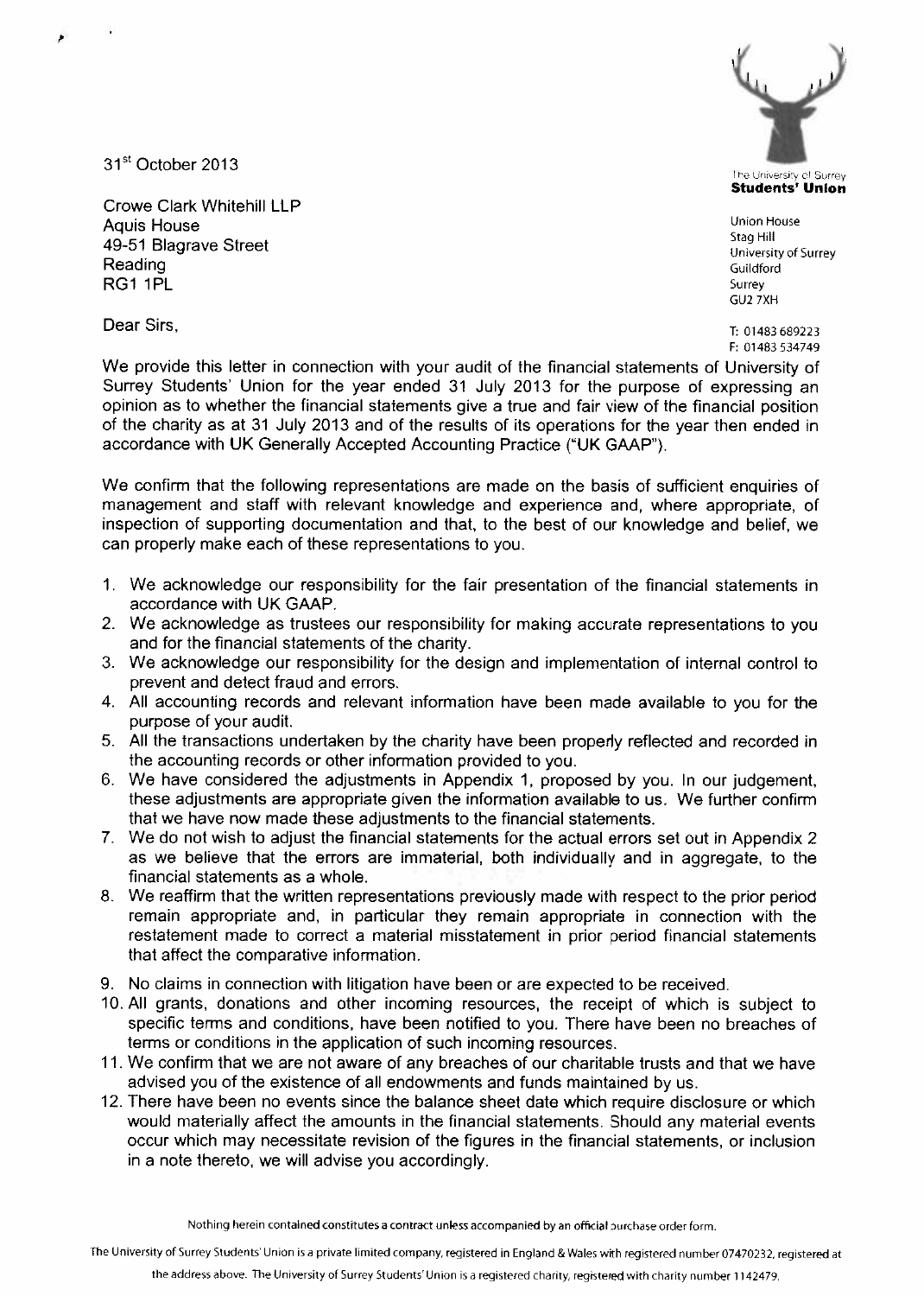The University of Surrey<br>Students' Union

GU2 7XH

F: 01483534749

We provide this letter in connection with your audit of the financial statements of University of Surrey Students' Union for the year ended <sup>31</sup> July <sup>2013</sup> for the purpose of expressing an opinion as to whether the financial statements give <sup>a</sup> true and fair view of the financial position of the charity as at <sup>31</sup> July <sup>2013</sup> and of the results of its operations for the year then ended in accordance with UK Generally Accepted Accounting Practice ("UK GAAP").

We confirm that the following representations are made on the basis of sufficient enquiries of managemen<sup>t</sup> and staff with relevant knowledge and experience and, where appropriate, of inspection of supporting documentation and that, to the best of our knowledge and belief, we can properly make each of these representations to you.

- 1. We acknowledge our responsibility for the fair presentation of the financial statements in accordance with UK GAAP.
- 2. We acknowledge as trustees our responsibility for making accurate representations to you and for the financial statements of the charity.
- 3. We acknowledge our responsibility for the design and implementation of internal control to preven<sup>t</sup> and detect fraud and errors.
- 4. All accounting records and relevant information have been made available to you for the purpose of your audit.
- 5. All the transactions undertaken by the charity have been properly reflected and recorded in the accounting records or other information provided to you.
- 6. We have considered the adjustments in Appendix 1, proposed by you. In our judgement, these adjustments are appropriate given the information available to us. We further confirm that we have now made these adjustments to the financial statements.
- 7. We do not wish to adjust the financial statements for the actual errors set out in Appendix 2 as we believe that the errors are immaterial, both individually and in aggregate, to the financial statements as <sup>a</sup> whole.
- 8. We reaffirm that the written representations previously made with respec<sup>t</sup> to the prior period remain appropriate and, in particular they remain appropriate in connection with the restatement made to correct <sup>a</sup> material misstatement in prior period financial statements that affect the comparative information.
- 9. No claims in connection with litigation have been or are expected to be received.
- 10. All grants, donations and other incoming resources, the receipt of which is subject to specific terms and conditions, have been notified to you. There have been no breaches of terms or conditions in the application of such incoming resources.
- 11. We confirm that we are not aware of any breaches of our charitable trusts and that we have advised you of the existence of all endowments and funds maintained by us.
- 12. There have been no events since the balance sheet date which require disclosure or which would materially affect the amounts in the financial statements. Should any material events occur which may necessitate revision of the figures in the financial statements, or inclusion in <sup>a</sup> note thereto, we will advise you accordingly.

The University of Surrey Students' Union is a private limited company, registered in England & Wales with registered number 07470232, registered at

31<sup>st</sup> October 2013

Crowe Clark Whitehill LLP Aquis House Union House<br>49–51 Blagrave Street University of Street University of Surrey Age Hill 49–51 Blagrave Street University of<br>Reading Guildford  $RG1$  1PL surrey and  $S$  and  $S$  surrey and  $S$  surrey and  $S$  surrey surrey and  $S$  surrey surrey and  $S$  surrey  $S$ 

**Dear Sirs,** T: 01483689223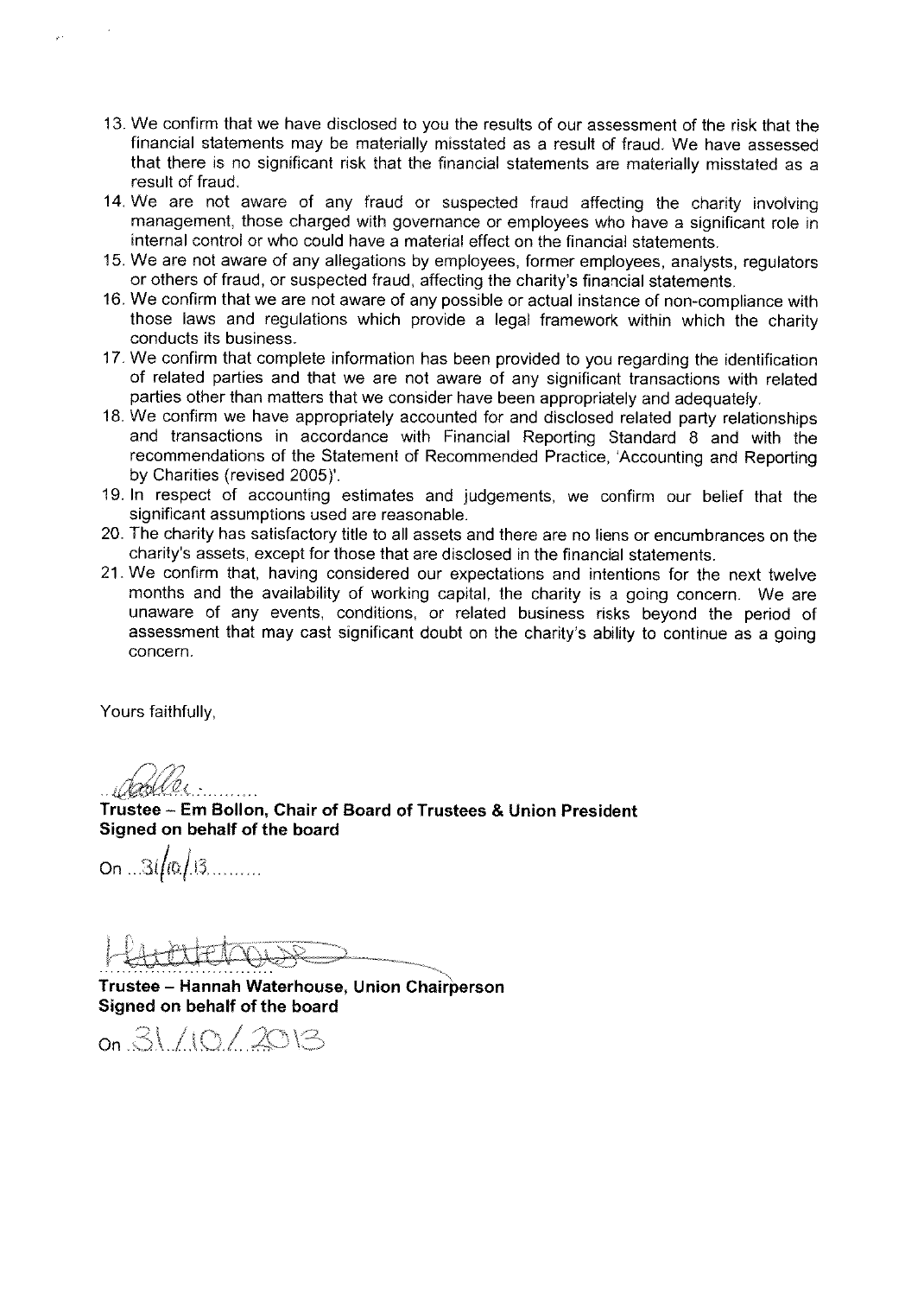- 13. We confirm that we have disclosed to you the results of our assessment of the risk that the financial statements may be materially misstated as <sup>a</sup> result of fraud. We have assessed that there is no significant risk that the financial statements are materially misstated as <sup>a</sup> result of fraud.
- 14. We are not aware of any fraud or suspected fraud affecting the charity involving management. those charged with governance or employees who have <sup>a</sup> significant role in internal control or who could have <sup>a</sup> material effect on the financial statements.
- 15. We are not aware of any allegations by employees, former employees, analysts, regulators or others of fraud, or suspected fraud, affecting the charity's financial statements.
- 16. We confirm that we are not aware of any possible or actual instance of non-compliance with those laws and regulations which provide <sup>a</sup> legal framework within which the charity conducts its business.
- 17. We confirm that complete information has been provided to you regarding the identification of related parties and that we are not aware of any significant transactions with related parties other than matters that we consider have been appropriately and adequately.
- 18. We confirm we have appropriately accounted for and disclosed related party relationships and transactions in accordance with Financial Reporting Standard <sup>8</sup> and with the recommendations of the Statement of Recommended Practice, 'Accounting and Reporting by Charities (revised 2005)'.
- 19. In respec<sup>t</sup> of accounting estimates and judgements, we confirm our belief that the significant assumptions used are reasonable.
- 20. The charity has satisfactory title to all assets and there are no liens or encumbrances on the charity's assets, excep<sup>t</sup> for those that are disclosed in the financial statements.
- 21. We confirm that, having considered our expectations and intentions for the next twelve months and the availability of working capital, the charity is <sup>a</sup> going concern. We are unaware of any events, conditions, or related business risks beyond the period of assessment that may cast significant doubt on the charity's ability to continue as <sup>a</sup> going concern.

Yours faithfully,

fl/12

Trustee — Em Bollon, Chair of Board of Trustees & Union President Signed on behalf of the board

 $On ... 31/10/13$ 

Trustee — Hannah Waterhouse, Union Chairperson Signed on behalf of the board

on 31/10/2013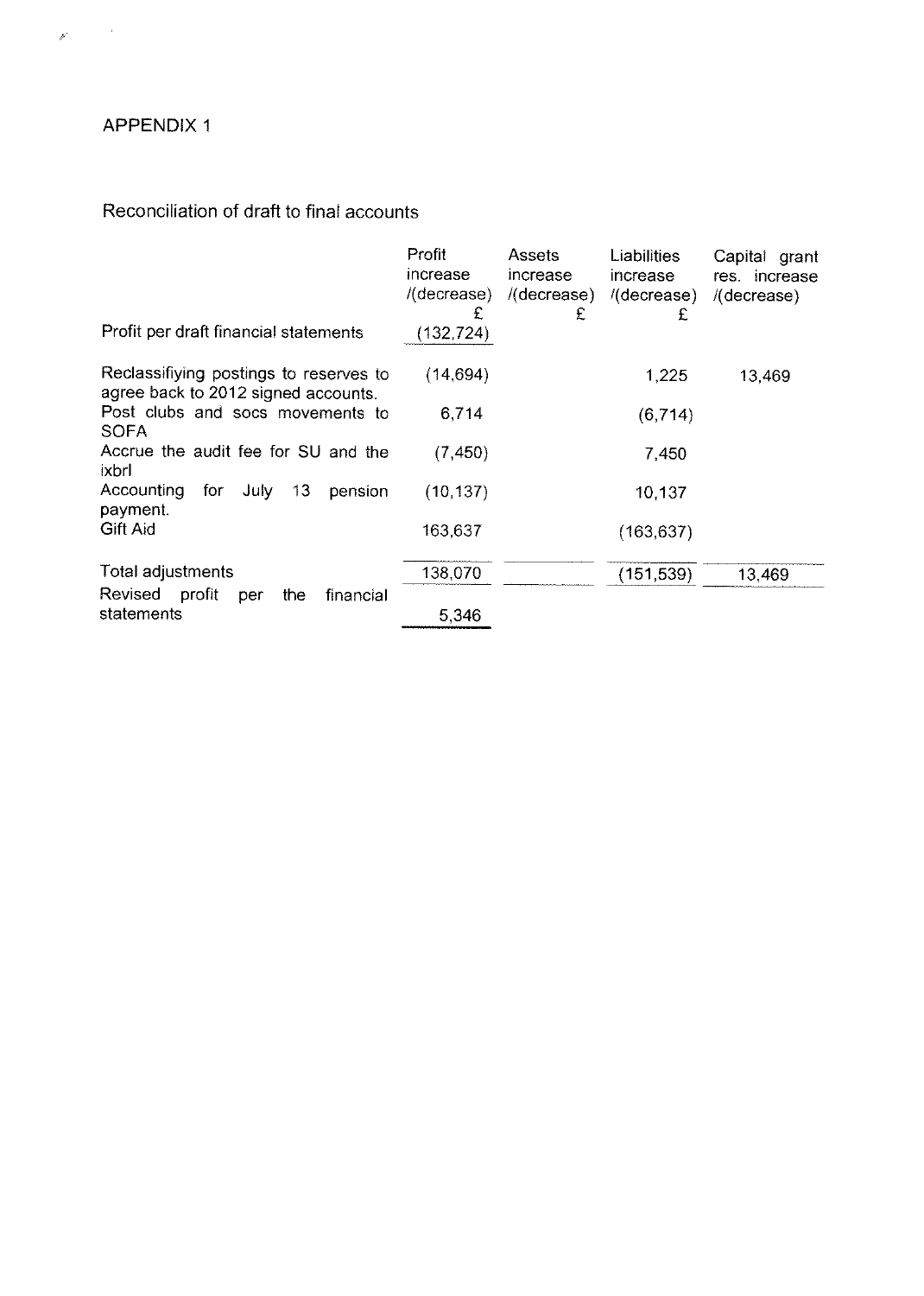## APPENDIX 1

 $\label{eq:3.1} \hat{\mathcal{F}}_{\text{max}} = \frac{1}{\sqrt{2\pi}} \sum_{i=1}^{N} \hat{f}_{i} \hat{f}_{i}$ 

## Reconciliation of draft to final accounts

|                                                                               | Profit<br>increase<br>$/$ (decrease)<br>£ | Assets<br>increase<br>/(decrease)<br>£ | Liabilities<br>increase<br>/(decrease)<br>£ | Capital grant<br>res increase<br>$/$ (decrease) |
|-------------------------------------------------------------------------------|-------------------------------------------|----------------------------------------|---------------------------------------------|-------------------------------------------------|
| Profit per draft financial statements                                         | (132, 724)                                |                                        |                                             |                                                 |
| Reclassifiying postings to reserves to<br>agree back to 2012 signed accounts. | (14, 694)                                 |                                        | 1,225                                       | 13,469                                          |
| Post clubs and socs movements to<br><b>SOFA</b>                               | 6,714                                     |                                        | (6, 714)                                    |                                                 |
| Accrue the audit fee for SU and the<br>ixbrl                                  | (7, 450)                                  |                                        | 7,450                                       |                                                 |
| Accounting<br>for<br>13<br>July.<br>pension<br>payment.                       | (10, 137)                                 |                                        | 10,137                                      |                                                 |
| <b>Gift Aid</b>                                                               | 163,637                                   |                                        | (163, 637)                                  |                                                 |
| Total adjustments                                                             | 138,070                                   |                                        | (151, 539)                                  | 13,469                                          |
| Revised<br>profit<br>financial<br>the<br>per<br>statements                    | 5,346                                     |                                        |                                             |                                                 |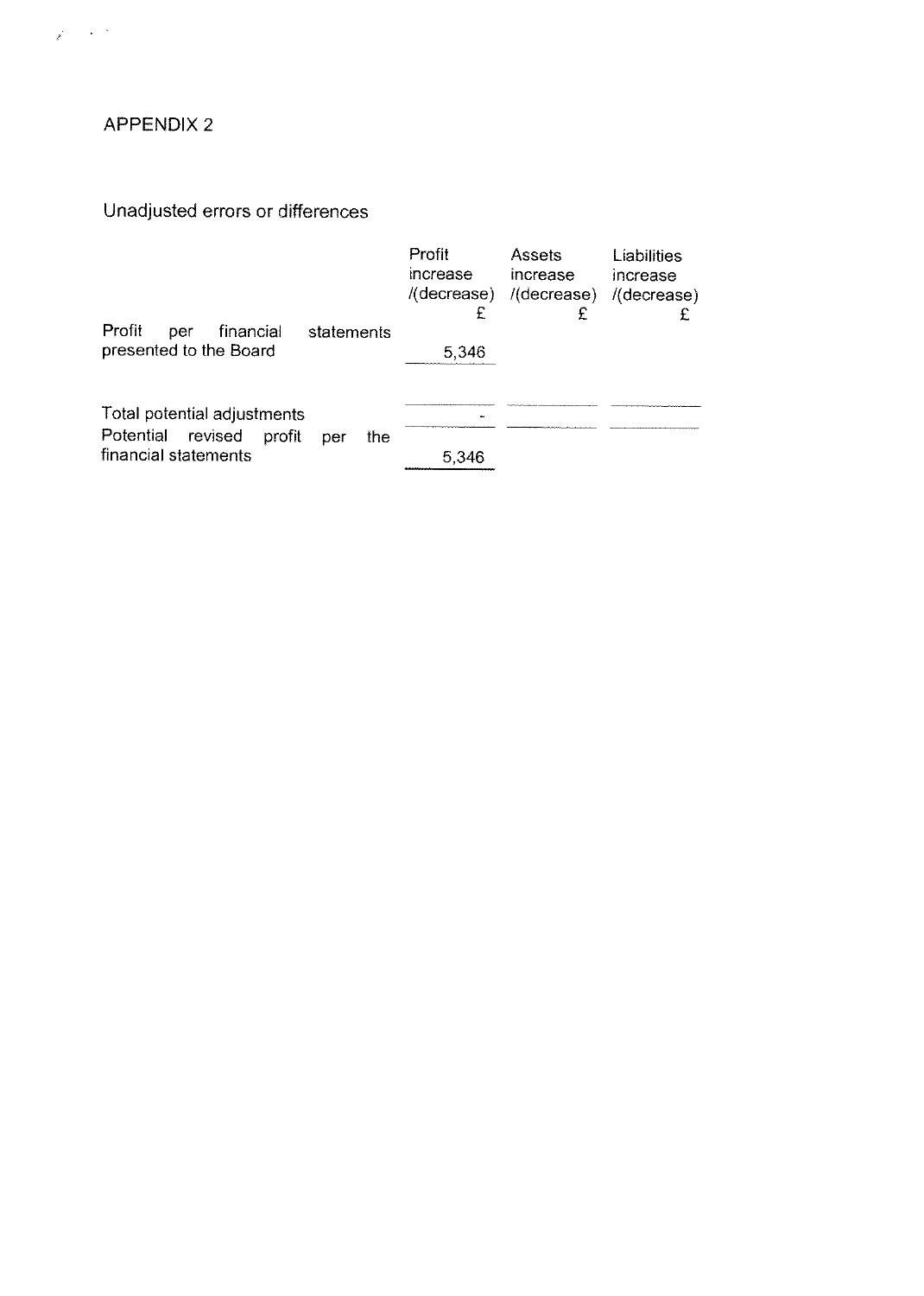## APPENDIX 2

 $\chi^2 \to \chi^2 \chi^2$ 

## Unadjusted errors or differences

|                                                                                                     | Profit<br>increase<br>£ | Assets<br>increase<br>$/(decrease)$ $/(decrease)$<br>£ | Liabilities<br>increase<br>/(decrease) |
|-----------------------------------------------------------------------------------------------------|-------------------------|--------------------------------------------------------|----------------------------------------|
| Profit<br>financial<br>per<br>statements<br>presented to the Board                                  | 5,346                   |                                                        |                                        |
| Total potential adjustments<br>Potential<br>revised<br>profit<br>the<br>per<br>financial statements | 5.346                   |                                                        |                                        |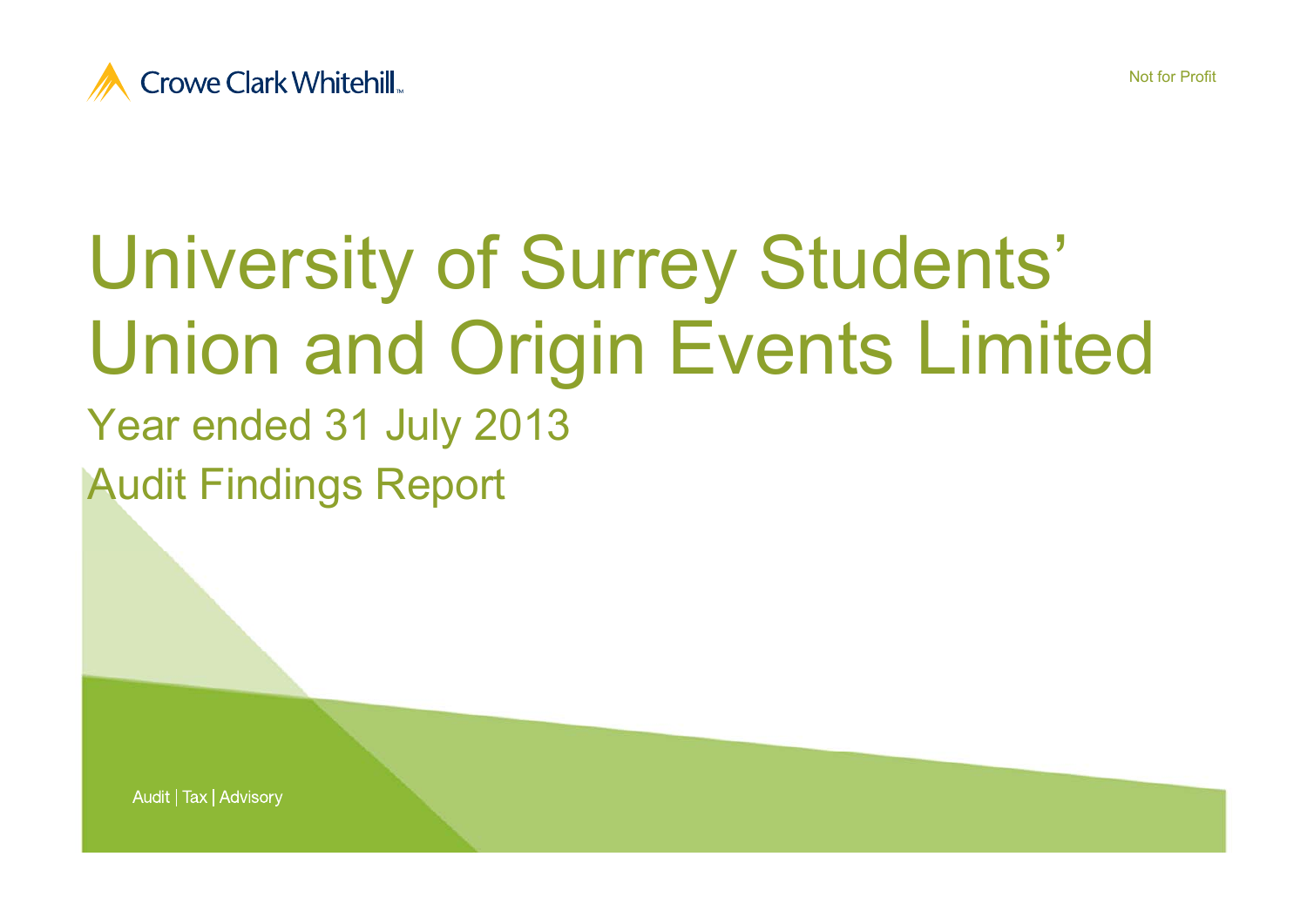



# University of Surrey Students' Union and Origin Events Limited

Year ended 31 July 2013 Audit Findings Report

Audit | Tax | Advisory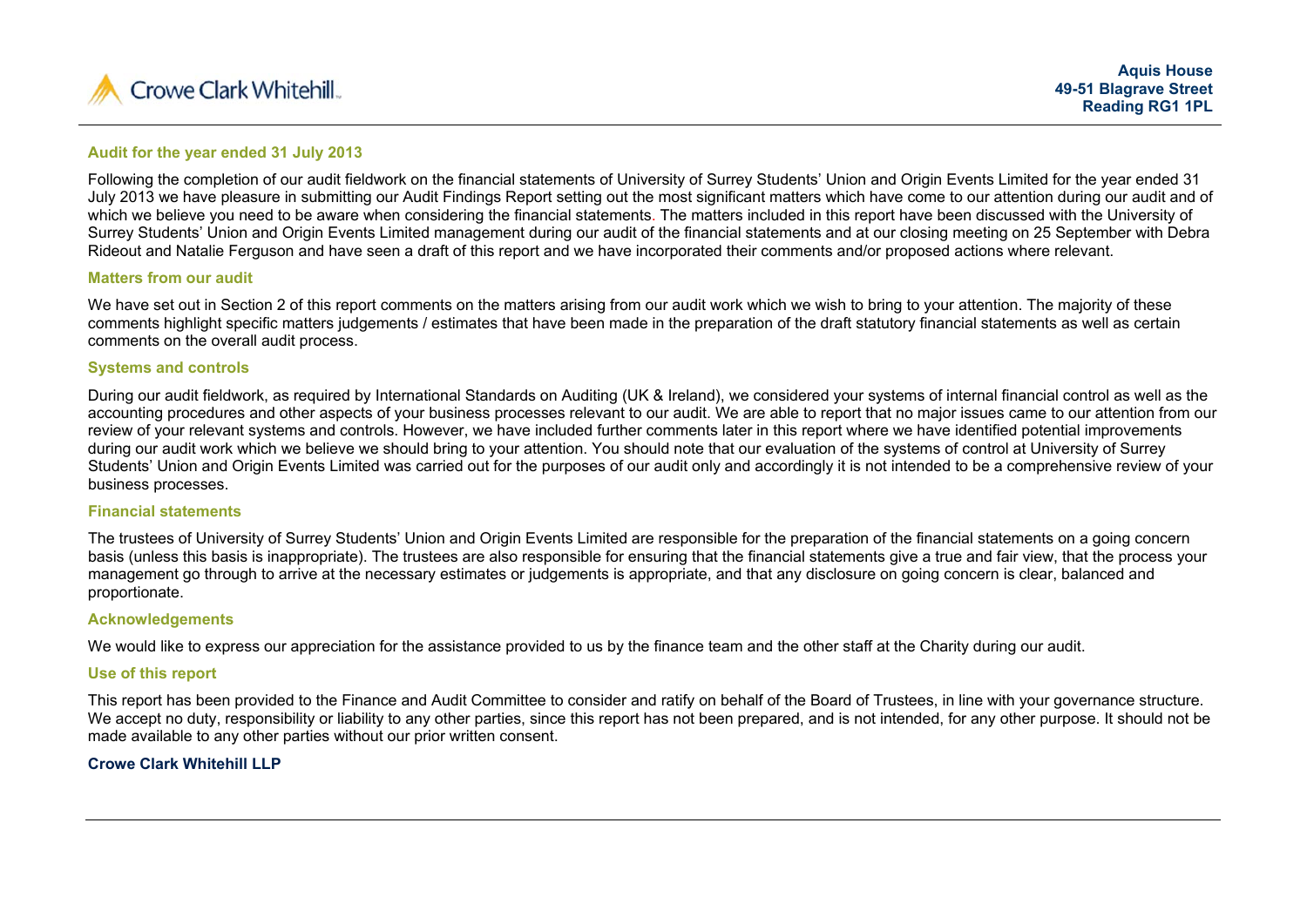

#### **Audit for the year ended 31 July 2013**

Following the completion of our audit fieldwork on the financial statements of University of Surrey Students' Union and Origin Events Limited for the year ended 31 July 2013 we have pleasure in submitting our Audit Findings Report setting out the most significant matters which have come to our attention during our audit and of which we believe you need to be aware when considering the financial statements. The matters included in this report have been discussed with the University of Surrey Students' Union and Origin Events Limited management during our audit of the financial statements and at our closing meeting on 25 September with Debra Rideout and Natalie Ferguson and have seen a draft of this report and we have incorporated their comments and/or proposed actions where relevant.

#### **Matters from our audit**

We have set out in Section 2 of this report comments on the matters arising from our audit work which we wish to bring to your attention. The majority of these comments highlight specific matters judgements / estimates that have been made in the preparation of the draft statutory financial statements as well as certain comments on the overall audit process.

#### **Systems and controls**

During our audit fieldwork, as required by International Standards on Auditing (UK & Ireland), we considered your systems of internal financial control as well as the accounting procedures and other aspects of your business processes relevant to our audit. We are able to report that no major issues came to our attention from our review of your relevant systems and controls. However, we have included further comments later in this report where we have identified potential improvements during our audit work which we believe we should bring to your attention. You should note that our evaluation of the systems of control at University of Surrey Students' Union and Origin Events Limited was carried out for the purposes of our audit only and accordingly it is not intended to be a comprehensive review of your business processes.

#### **Financial statements**

The trustees of University of Surrey Students' Union and Origin Events Limited are responsible for the preparation of the financial statements on a going concern basis (unless this basis is inappropriate). The trustees are also responsible for ensuring that the financial statements give a true and fair view, that the process your management go through to arrive at the necessary estimates or judgements is appropriate, and that any disclosure on going concern is clear, balanced and proportionate.

#### **Acknowledgements**

We would like to express our appreciation for the assistance provided to us by the finance team and the other staff at the Charity during our audit.

#### **Use of this report**

This report has been provided to the Finance and Audit Committee to consider and ratify on behalf of the Board of Trustees, in line with your governance structure. We accept no duty, responsibility or liability to any other parties, since this report has not been prepared, and is not intended, for any other purpose, It should not be made available to any other parties without our prior written consent.

#### **Crowe Clark Whitehill LLP**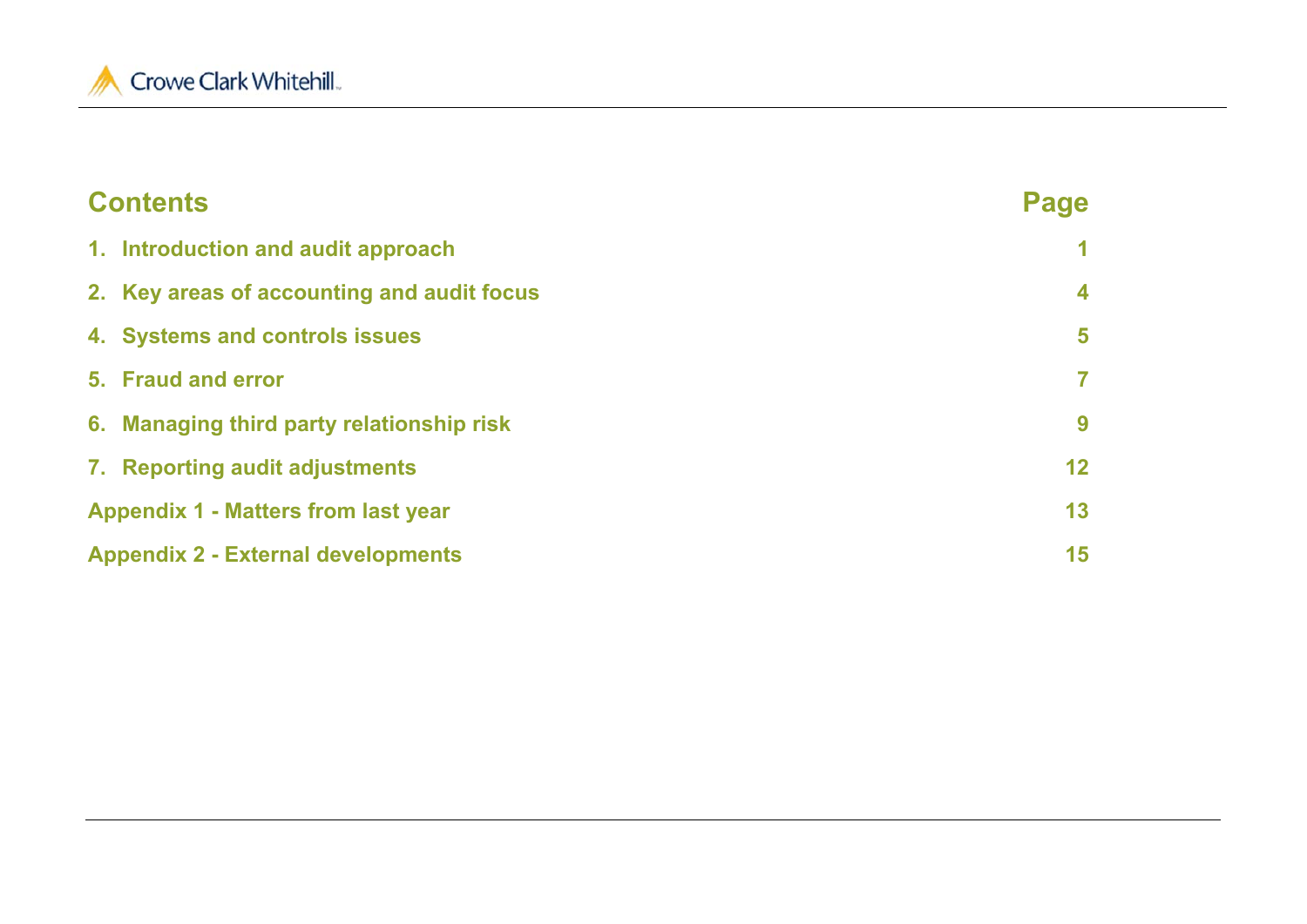

## **Contents Page 1. Introduction and audit approach 1 2. Key areas of accounting and audit focus 4 4. Systems and controls issues 5 5. Fraud and error 76. Managing third party relationship risk 9 7. Reporting audit adjustments 12 Appendix 1 - Matters from last year 13 Appendix 2 - External developments 15**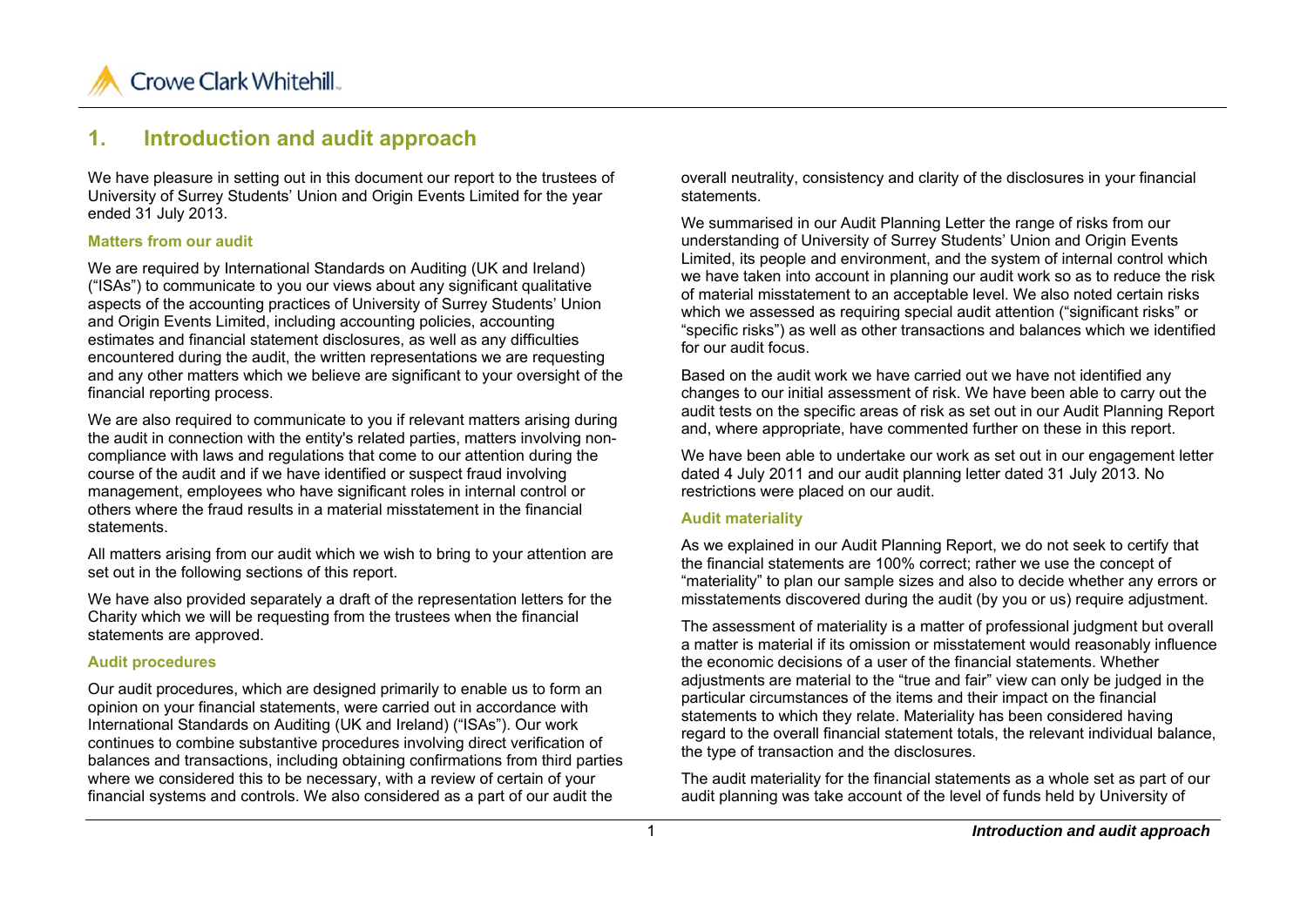

## **1. Introduction and audit approach**

We have pleasure in setting out in this document our report to the trustees of University of Surrey Students' Union and Origin Events Limited for the year ended 31 July 2013.

#### **Matters from our audit**

We are required by International Standards on Auditing (UK and Ireland) ("ISAs") to communicate to you our views about any significant qualitative aspects of the accounting practices of University of Surrey Students' Union and Origin Events Limited, including accounting policies, accounting estimates and financial statement disclosures, as well as any difficulties encountered during the audit, the written representations we are requesting and any other matters which we believe are significant to your oversight of the financial reporting process.

We are also required to communicate to you if relevant matters arising during the audit in connection with the entity's related parties, matters involving noncompliance with laws and regulations that come to our attention during the course of the audit and if we have identified or suspect fraud involving management, employees who have significant roles in internal control or others where the fraud results in a material misstatement in the financial statements.

All matters arising from our audit which we wish to bring to your attention are set out in the following sections of this report.

We have also provided separately a draft of the representation letters for the Charity which we will be requesting from the trustees when the financial statements are approved.

#### **Audit procedures**

Our audit procedures, which are designed primarily to enable us to form an opinion on your financial statements, were carried out in accordance with International Standards on Auditing (UK and Ireland) ("ISAs"). Our work continues to combine substantive procedures involving direct verification of balances and transactions, including obtaining confirmations from third parties where we considered this to be necessary, with a review of certain of your financial systems and controls. We also considered as a part of our audit the

overall neutrality, consistency and clarity of the disclosures in your financial statements.

We summarised in our Audit Planning Letter the range of risks from our understanding of University of Surrey Students' Union and Origin Events Limited, its people and environment, and the system of internal control which we have taken into account in planning our audit work so as to reduce the risk of material misstatement to an acceptable level. We also noted certain risks which we assessed as requiring special audit attention ("significant risks" or "specific risks") as well as other transactions and balances which we identified for our audit focus.

Based on the audit work we have carried out we have not identified any changes to our initial assessment of risk. We have been able to carry out the audit tests on the specific areas of risk as set out in our Audit Planning Report and, where appropriate, have commented further on these in this report.

We have been able to undertake our work as set out in our engagement letter dated 4 July 2011 and our audit planning letter dated 31 July 2013. No restrictions were placed on our audit.

#### **Audit materiality**

As we explained in our Audit Planning Report, we do not seek to certify that the financial statements are 100% correct; rather we use the concept of "materiality" to plan our sample sizes and also to decide whether any errors or misstatements discovered during the audit (by you or us) require adjustment.

The assessment of materiality is a matter of professional judgment but overall a matter is material if its omission or misstatement would reasonably influence the economic decisions of a user of the financial statements. Whether adjustments are material to the "true and fair" view can only be judged in the particular circumstances of the items and their impact on the financial statements to which they relate. Materiality has been considered having regard to the overall financial statement totals, the relevant individual balance, the type of transaction and the disclosures.

The audit materiality for the financial statements as a whole set as part of our audit planning was take account of the level of funds held by University of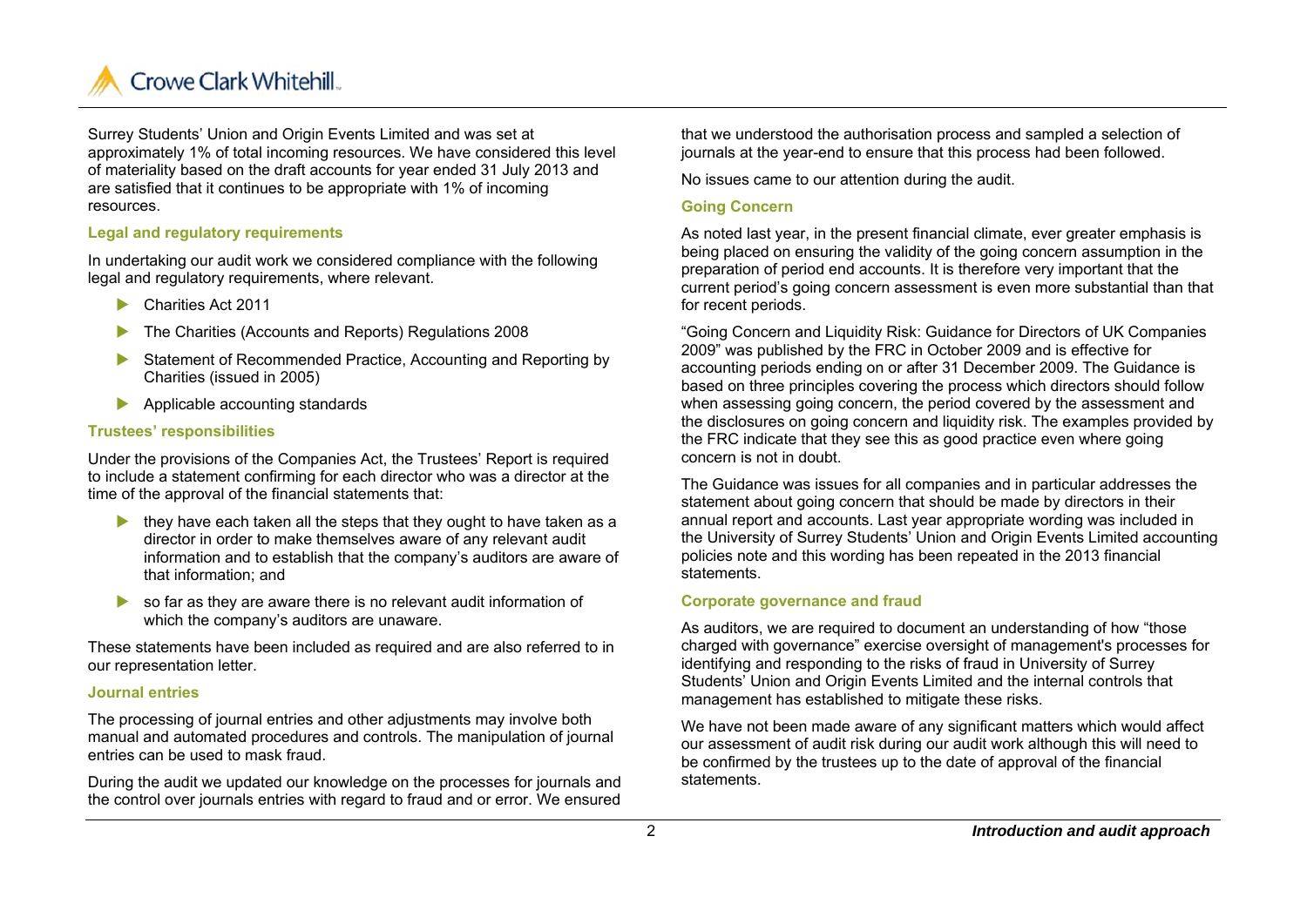

Surrey Students' Union and Origin Events Limited and was set at approximately 1% of total incoming resources. We have considered this level of materiality based on the draft accounts for year ended 31 July 2013 and are satisfied that it continues to be appropriate with 1% of incoming resources.

#### **Legal and regulatory requirements**

In undertaking our audit work we considered compliance with the following legal and regulatory requirements, where relevant.

- $\blacktriangleright$ Charities Act 2011
- $\blacktriangleright$ The Charities (Accounts and Reports) Regulations 2008
- $\blacktriangleright$  Statement of Recommended Practice, Accounting and Reporting by Charities (issued in 2005)
- Applicable accounting standards

#### **Trustees' responsibilities**

Under the provisions of the Companies Act, the Trustees' Report is required to include a statement confirming for each director who was a director at the time of the approval of the financial statements that:

- $\blacktriangleright$  they have each taken all the steps that they ought to have taken as a director in order to make themselves aware of any relevant audit information and to establish that the company's auditors are aware of that information; and
- so far as they are aware there is no relevant audit information of which the company's auditors are unaware.

These statements have been included as required and are also referred to in our representation letter.

#### **Journal entries**

The processing of journal entries and other adjustments may involve both manual and automated procedures and controls. The manipulation of journal entries can be used to mask fraud.

During the audit we updated our knowledge on the processes for journals and the control over journals entries with regard to fraud and or error. We ensured

that we understood the authorisation process and sampled a selection of journals at the year-end to ensure that this process had been followed.

No issues came to our attention during the audit.

#### **Going Concern**

As noted last year, in the present financial climate, ever greater emphasis is being placed on ensuring the validity of the going concern assumption in the preparation of period end accounts. It is therefore very important that the current period's going concern assessment is even more substantial than that for recent periods.

"Going Concern and Liquidity Risk: Guidance for Directors of UK Companies 2009" was published by the FRC in October 2009 and is effective for accounting periods ending on or after 31 December 2009. The Guidance is based on three principles covering the process which directors should follow when assessing going concern, the period covered by the assessment and the disclosures on going concern and liquidity risk. The examples provided by the FRC indicate that they see this as good practice even where going concern is not in doubt.

The Guidance was issues for all companies and in particular addresses the statement about going concern that should be made by directors in their annual report and accounts. Last year appropriate wording was included in the University of Surrey Students' Union and Origin Events Limited accounting policies note and this wording has been repeated in the 2013 financial statements.

#### **Corporate governance and fraud**

As auditors, we are required to document an understanding of how "those charged with governance" exercise oversight of management's processes for identifying and responding to the risks of fraud in University of Surrey Students' Union and Origin Events Limited and the internal controls that management has established to mitigate these risks.

We have not been made aware of any significant matters which would affect our assessment of audit risk during our audit work although this will need to be confirmed by the trustees up to the date of approval of the financial statements.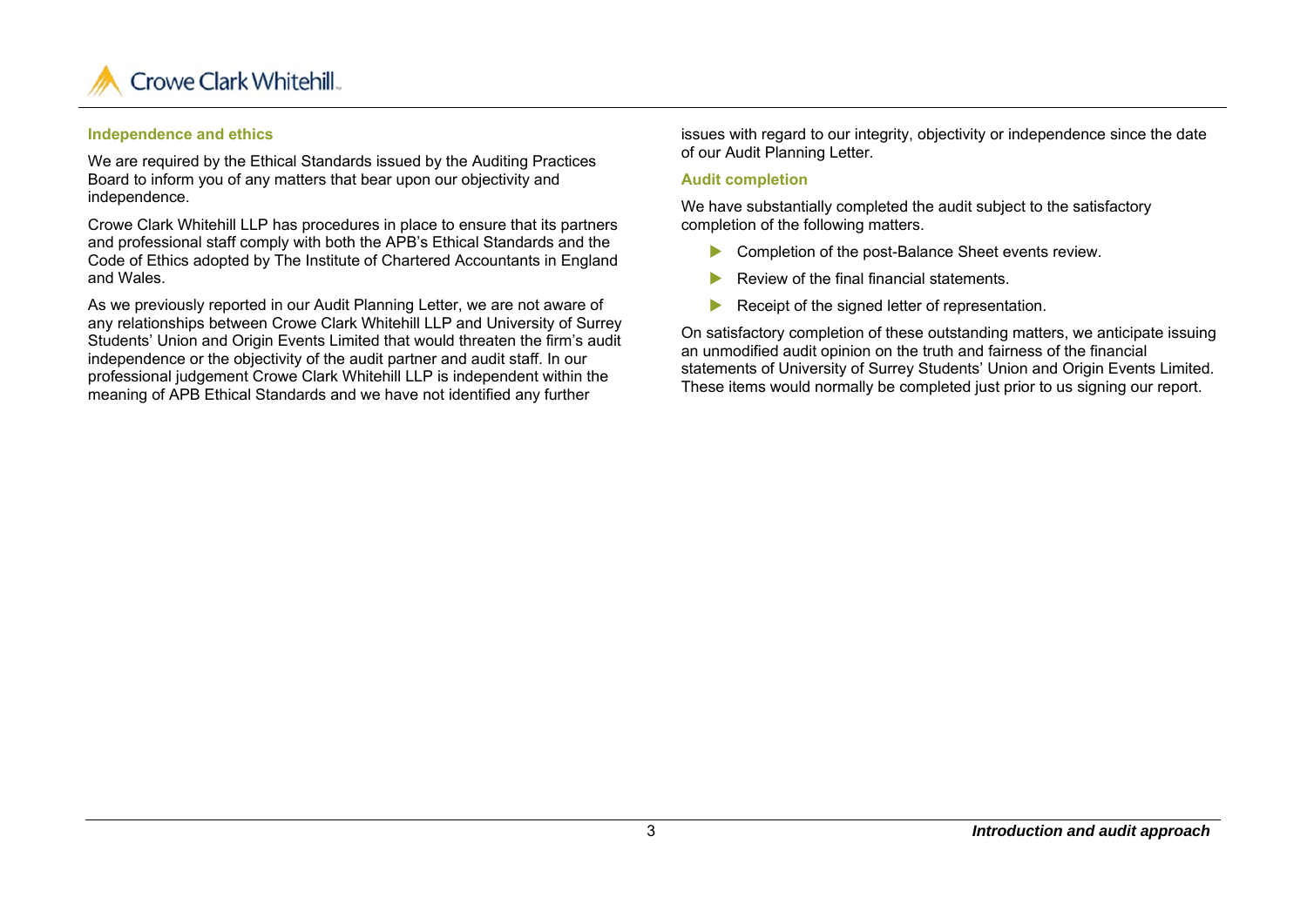

#### **Independence and ethics**

We are required by the Ethical Standards issued by the Auditing Practices Board to inform you of any matters that bear upon our objectivity and independence.

Crowe Clark Whitehill LLP has procedures in place to ensure that its partners and professional staff comply with both the APB's Ethical Standards and the Code of Ethics adopted by The Institute of Chartered Accountants in England and Wales.

As we previously reported in our Audit Planning Letter, we are not aware of any relationships between Crowe Clark Whitehill LLP and University of Surrey Students' Union and Origin Events Limited that would threaten the firm's audit independence or the objectivity of the audit partner and audit staff. In our professional judgement Crowe Clark Whitehill LLP is independent within the meaning of APB Ethical Standards and we have not identified any further

issues with regard to our integrity, objectivity or independence since the date of our Audit Planning Letter.

#### **Audit completion**

We have substantially completed the audit subject to the satisfactory completion of the following matters.

- **Completion of the post-Balance Sheet events review.**
- ь Review of the final financial statements.
- ь Receipt of the signed letter of representation.

On satisfactory completion of these outstanding matters, we anticipate issuing an unmodified audit opinion on the truth and fairness of the financial statements of University of Surrey Students' Union and Origin Events Limited. These items would normally be completed just prior to us signing our report.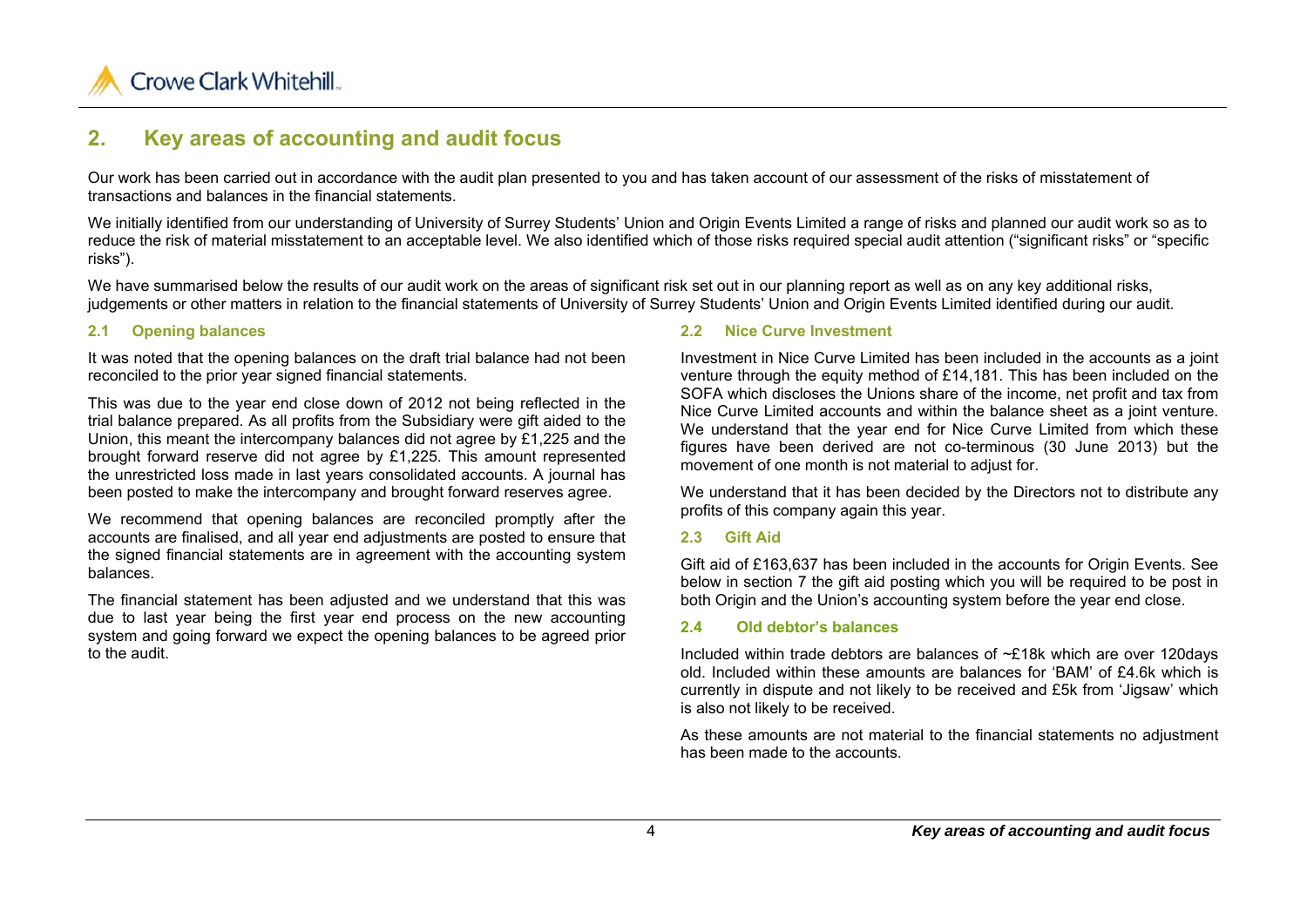

## **2. Key areas of accounting and audit focus**

Our work has been carried out in accordance with the audit plan presented to you and has taken account of our assessment of the risks of misstatement of transactions and balances in the financial statements.

We initially identified from our understanding of University of Surrey Students' Union and Origin Events Limited a range of risks and planned our audit work so as to reduce the risk of material misstatement to an acceptable level. We also identified which of those risks required special audit attention ("significant risks" or "specific risks").

We have summarised below the results of our audit work on the areas of significant risk set out in our planning report as well as on any key additional risks, judgements or other matters in relation to the financial statements of University of Surrey Students' Union and Origin Events Limited identified during our audit.

#### **2.1 Opening balances**

It was noted that the opening balances on the draft trial balance had not been reconciled to the prior year signed financial statements.

This was due to the year end close down of 2012 not being reflected in the trial balance prepared. As all profits from the Subsidiary were gift aided to the Union, this meant the intercompany balances did not agree by £1,225 and the brought forward reserve did not agree by £1,225. This amount represented the unrestricted loss made in last years consolidated accounts. A journal has been posted to make the intercompany and brought forward reserves agree.

We recommend that opening balances are reconciled promptly after the accounts are finalised, and all year end adjustments are posted to ensure that the signed financial statements are in agreement with the accounting system balances.

The financial statement has been adjusted and we understand that this was due to last year being the first year end process on the new accounting system and going forward we expect the opening balances to be agreed prior to the audit.

#### **2.2 Nice Curve Investment**

Investment in Nice Curve Limited has been included in the accounts as a joint venture through the equity method of £14,181. This has been included on the SOFA which discloses the Unions share of the income, net profit and tax from Nice Curve Limited accounts and within the balance sheet as a joint venture. We understand that the year end for Nice Curve Limited from which these figures have been derived are not co-terminous (30 June 2013) but the movement of one month is not material to adjust for.

We understand that it has been decided by the Directors not to distribute any profits of this company again this year.

#### **2.3 Gift Aid**

Gift aid of £163,637 has been included in the accounts for Origin Events. See below in section 7 the gift aid posting which you will be required to be post in both Origin and the Union's accounting system before the year end close.

#### **2.4 Old debtor's balances**

Included within trade debtors are balances of ~£18k which are over 120days old. Included within these amounts are balances for 'BAM' of £4.6k which is currently in dispute and not likely to be received and £5k from 'Jigsaw' which is also not likely to be received.

As these amounts are not material to the financial statements no adjustment has been made to the accounts.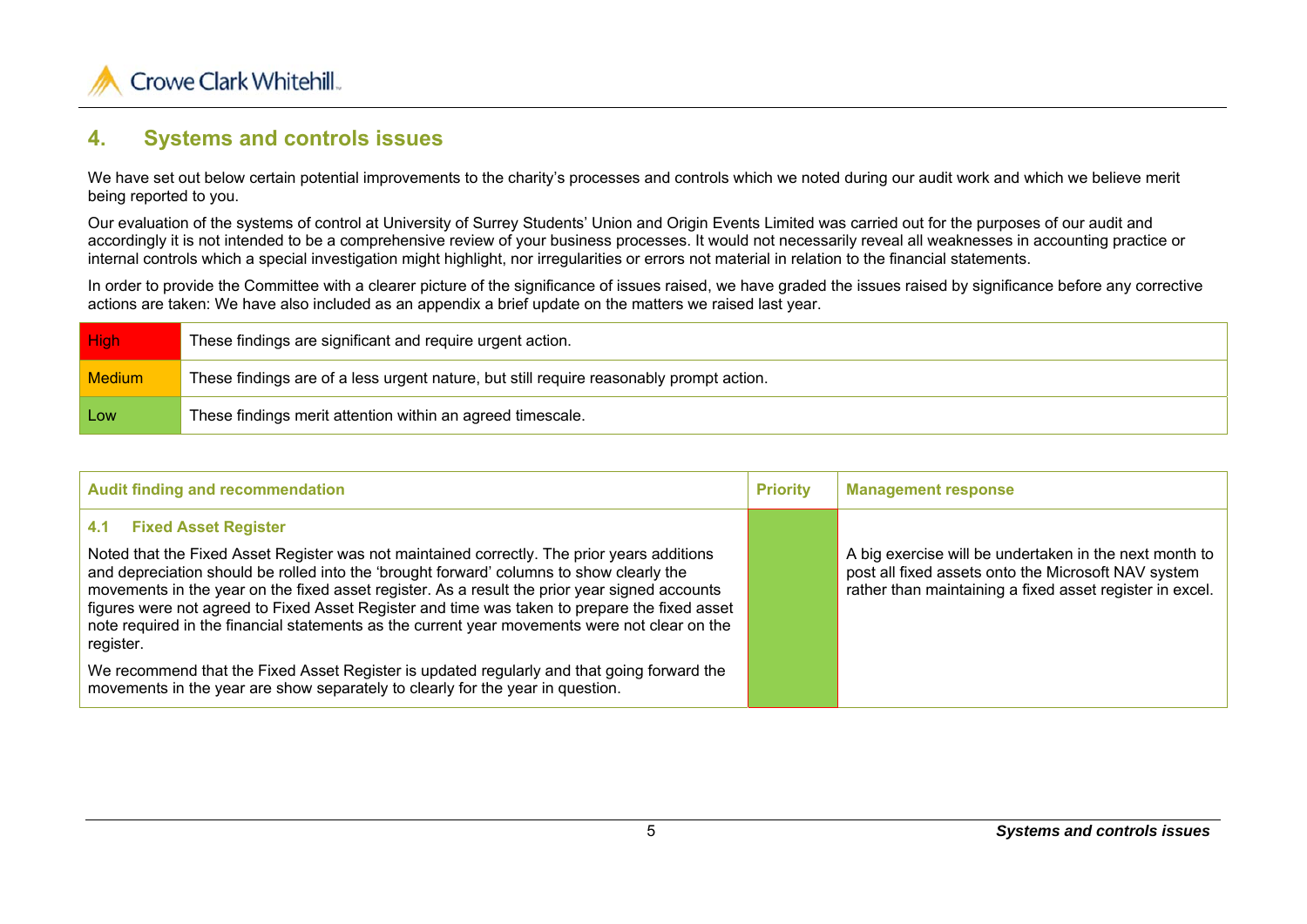

## **4. Systems and controls issues**

We have set out below certain potential improvements to the charity's processes and controls which we noted during our audit work and which we believe merit being reported to you.

Our evaluation of the systems of control at University of Surrey Students' Union and Origin Events Limited was carried out for the purposes of our audit and accordingly it is not intended to be a comprehensive review of your business processes. It would not necessarily reveal all weaknesses in accounting practice or internal controls which a special investigation might highlight, nor irregularities or errors not material in relation to the financial statements.

In order to provide the Committee with a clearer picture of the significance of issues raised, we have graded the issues raised by significance before any corrective actions are taken: We have also included as an appendix a brief update on the matters we raised last year.

| High          | These findings are significant and require urgent action.                               |
|---------------|-----------------------------------------------------------------------------------------|
| <b>Medium</b> | These findings are of a less urgent nature, but still require reasonably prompt action. |
| Low           | These findings merit attention within an agreed timescale.                              |

| <b>Audit finding and recommendation</b>                                                                                                                                                                                                                                                                                                                                                                                                                                                                                                       | <b>Priority</b> | <b>Management response</b>                                                                                                                                                |
|-----------------------------------------------------------------------------------------------------------------------------------------------------------------------------------------------------------------------------------------------------------------------------------------------------------------------------------------------------------------------------------------------------------------------------------------------------------------------------------------------------------------------------------------------|-----------------|---------------------------------------------------------------------------------------------------------------------------------------------------------------------------|
| <b>Fixed Asset Register</b><br>4.1<br>Noted that the Fixed Asset Register was not maintained correctly. The prior years additions<br>and depreciation should be rolled into the 'brought forward' columns to show clearly the<br>movements in the year on the fixed asset register. As a result the prior year signed accounts<br>figures were not agreed to Fixed Asset Register and time was taken to prepare the fixed asset<br>note required in the financial statements as the current year movements were not clear on the<br>register. |                 | A big exercise will be undertaken in the next month to<br>post all fixed assets onto the Microsoft NAV system<br>rather than maintaining a fixed asset register in excel. |
| We recommend that the Fixed Asset Register is updated regularly and that going forward the<br>movements in the year are show separately to clearly for the year in question.                                                                                                                                                                                                                                                                                                                                                                  |                 |                                                                                                                                                                           |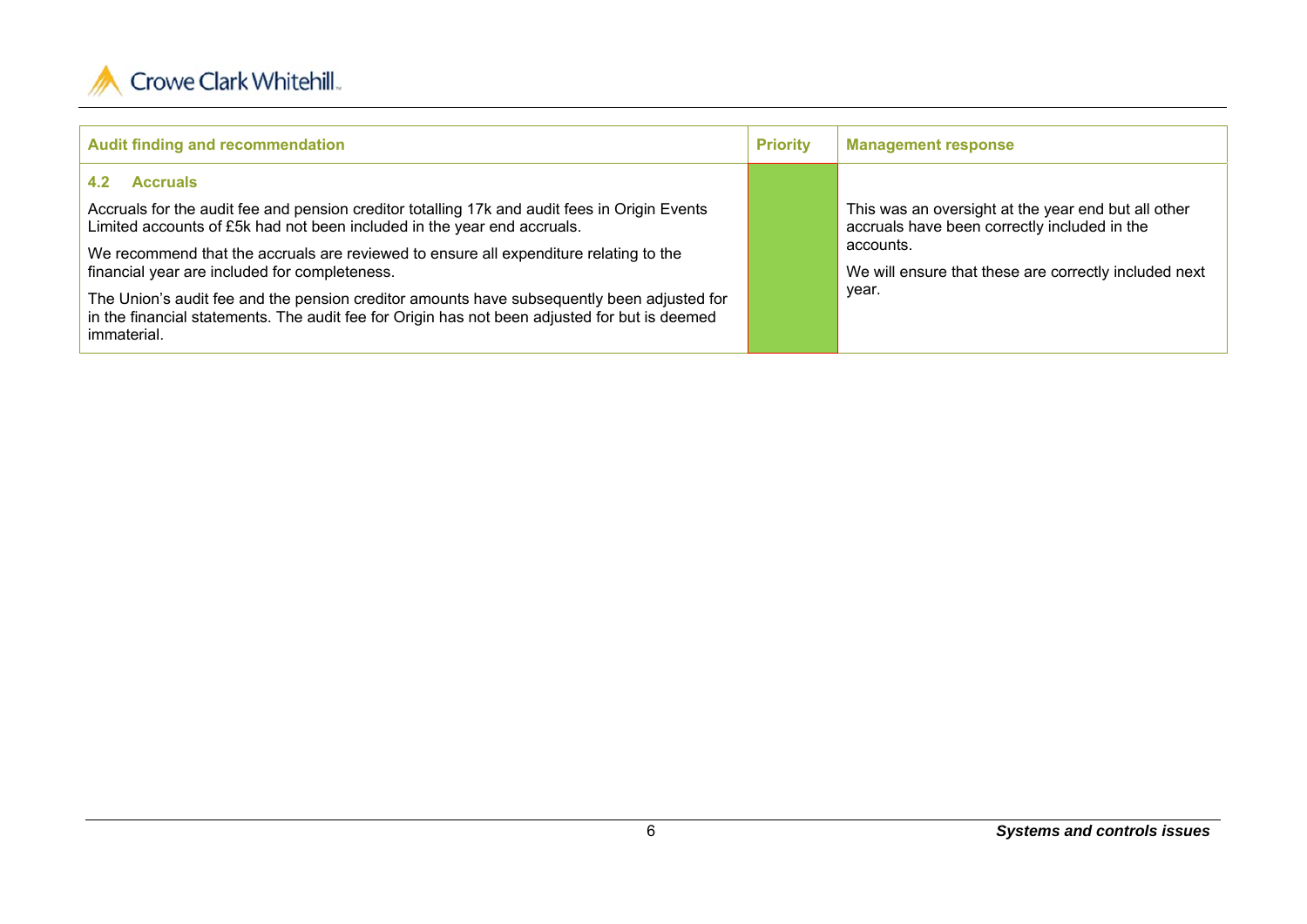

| <b>Audit finding and recommendation</b>                                                                                                                                                                                                                                                                                                                                                                                                                                                                                                                    | <b>Priority</b> | <b>Management response</b>                                                                                                                                                         |
|------------------------------------------------------------------------------------------------------------------------------------------------------------------------------------------------------------------------------------------------------------------------------------------------------------------------------------------------------------------------------------------------------------------------------------------------------------------------------------------------------------------------------------------------------------|-----------------|------------------------------------------------------------------------------------------------------------------------------------------------------------------------------------|
| <b>Accruals</b><br>4.2<br>Accruals for the audit fee and pension creditor totalling 17k and audit fees in Origin Events<br>Limited accounts of £5k had not been included in the year end accruals.<br>We recommend that the accruals are reviewed to ensure all expenditure relating to the<br>financial year are included for completeness.<br>The Union's audit fee and the pension creditor amounts have subsequently been adjusted for<br>in the financial statements. The audit fee for Origin has not been adjusted for but is deemed<br>immaterial. |                 | This was an oversight at the year end but all other<br>accruals have been correctly included in the<br>accounts.<br>We will ensure that these are correctly included next<br>year. |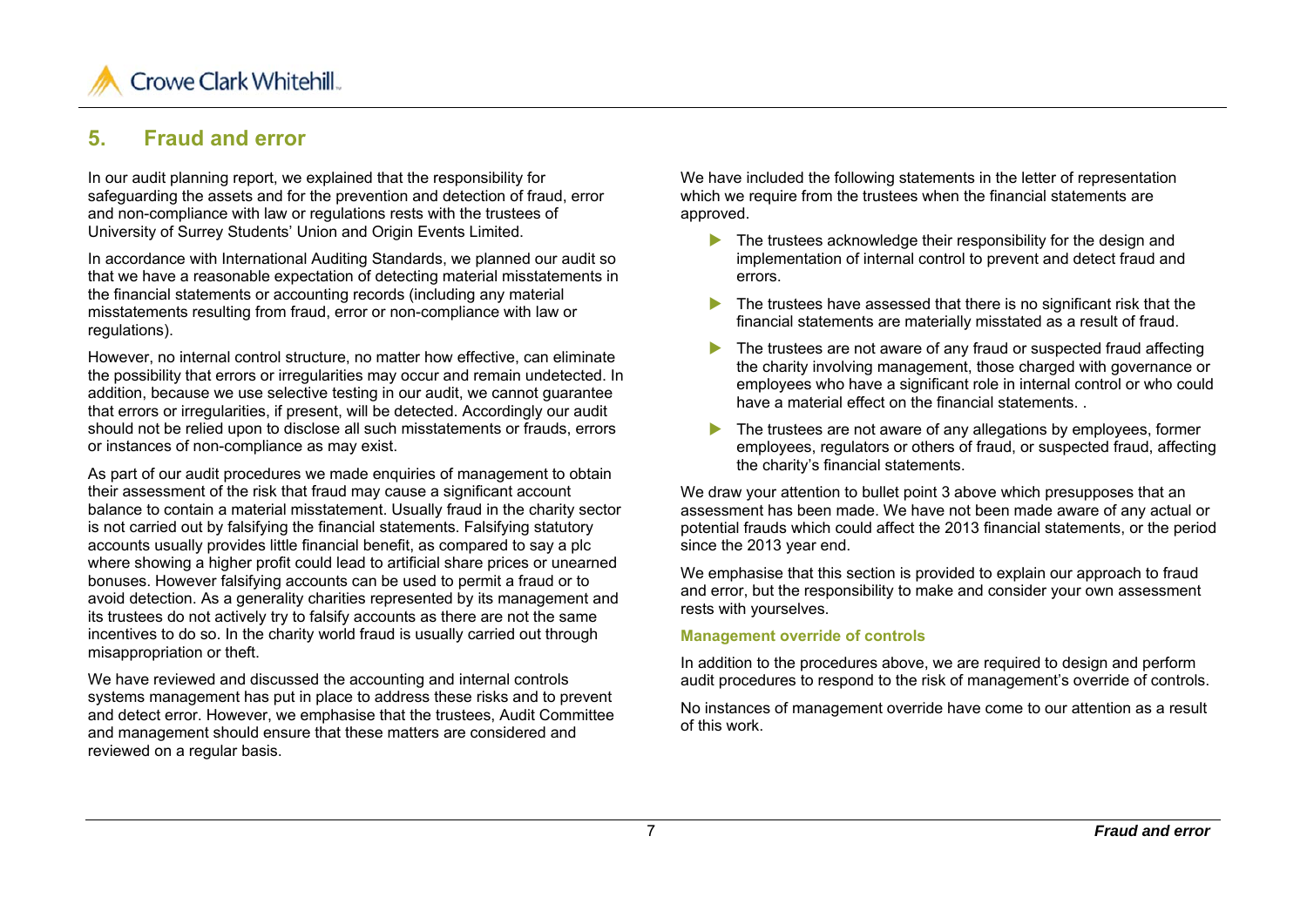

## **5. Fraud and error**

In our audit planning report, we explained that the responsibility for safeguarding the assets and for the prevention and detection of fraud, error and non-compliance with law or regulations rests with the trustees of University of Surrey Students' Union and Origin Events Limited.

In accordance with International Auditing Standards, we planned our audit so that we have a reasonable expectation of detecting material misstatements in the financial statements or accounting records (including any material misstatements resulting from fraud, error or non-compliance with law or regulations).

However, no internal control structure, no matter how effective, can eliminate the possibility that errors or irregularities may occur and remain undetected. In addition, because we use selective testing in our audit, we cannot guarantee that errors or irregularities, if present, will be detected. Accordingly our audit should not be relied upon to disclose all such misstatements or frauds, errors or instances of non-compliance as may exist.

As part of our audit procedures we made enquiries of management to obtain their assessment of the risk that fraud may cause a significant account balance to contain a material misstatement. Usually fraud in the charity sector is not carried out by falsifying the financial statements. Falsifying statutory accounts usually provides little financial benefit, as compared to say a plc where showing a higher profit could lead to artificial share prices or unearned bonuses. However falsifying accounts can be used to permit a fraud or to avoid detection. As a generality charities represented by its management and its trustees do not actively try to falsify accounts as there are not the same incentives to do so. In the charity world fraud is usually carried out through misappropriation or theft.

We have reviewed and discussed the accounting and internal controls systems management has put in place to address these risks and to prevent and detect error. However, we emphasise that the trustees, Audit Committee and management should ensure that these matters are considered and reviewed on a regular basis.

We have included the following statements in the letter of representation which we require from the trustees when the financial statements are approved.

- The trustees acknowledge their responsibility for the design and implementation of internal control to prevent and detect fraud and errors.
- The trustees have assessed that there is no significant risk that the financial statements are materially misstated as a result of fraud.
- $\blacktriangleright$  The trustees are not aware of any fraud or suspected fraud affecting the charity involving management, those charged with governance or employees who have a significant role in internal control or who could have a material effect on the financial statements. .
- The trustees are not aware of any allegations by employees, former employees, regulators or others of fraud, or suspected fraud, affecting the charity's financial statements.

We draw your attention to bullet point 3 above which presupposes that an assessment has been made. We have not been made aware of any actual or potential frauds which could affect the 2013 financial statements, or the period since the 2013 year end.

We emphasise that this section is provided to explain our approach to fraud and error, but the responsibility to make and consider your own assessment rests with yourselves.

#### **Management override of controls**

In addition to the procedures above, we are required to design and perform audit procedures to respond to the risk of management's override of controls.

No instances of management override have come to our attention as a result of this work.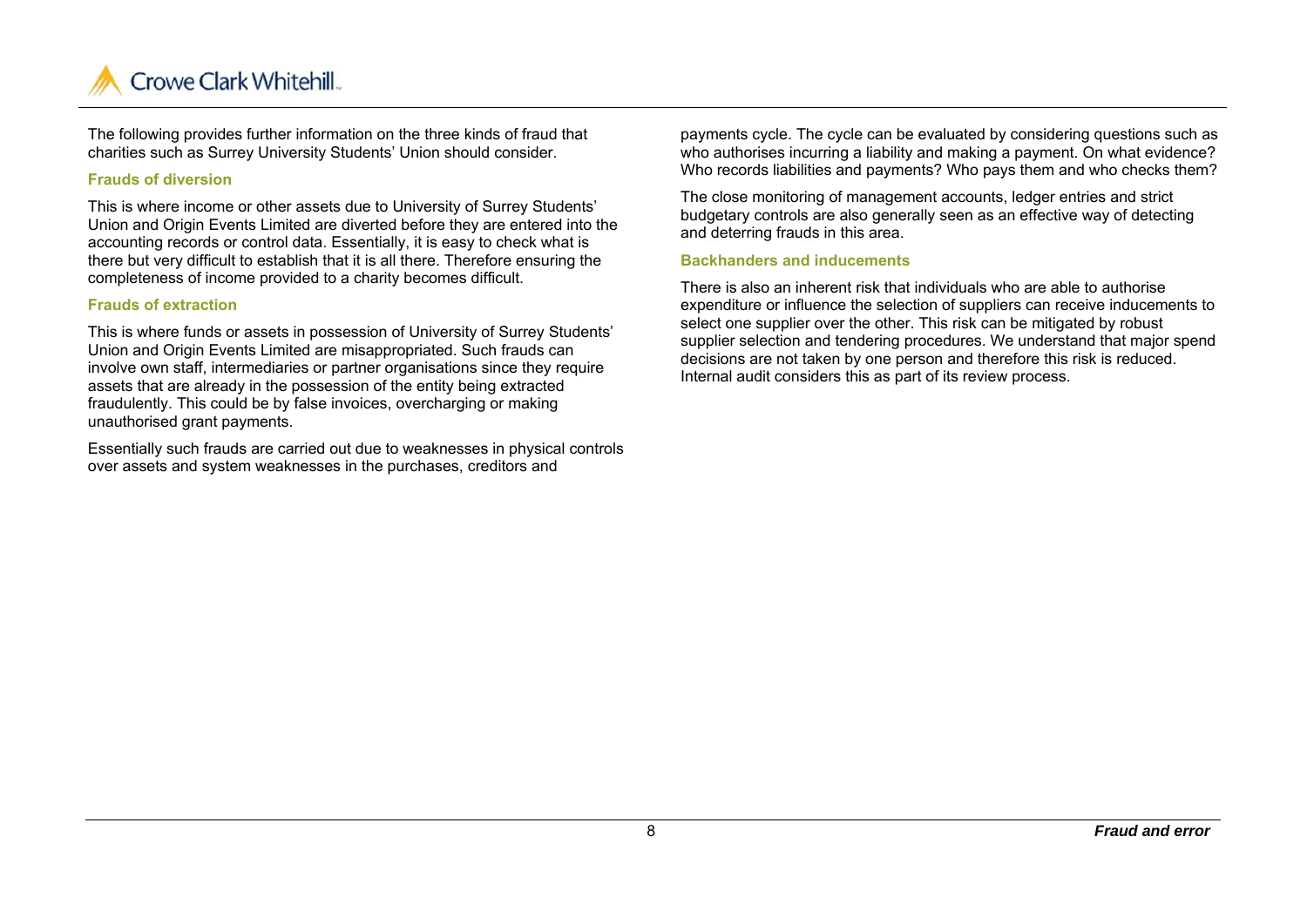

The following provides further information on the three kinds of fraud that charities such as Surrey University Students' Union should consider.

#### **Frauds of diversion**

This is where income or other assets due to University of Surrey Students' Union and Origin Events Limited are diverted before they are entered into the accounting records or control data. Essentially, it is easy to check what is there but very difficult to establish that it is all there. Therefore ensuring the completeness of income provided to a charity becomes difficult.

#### **Frauds of extraction**

This is where funds or assets in possession of University of Surrey Students' Union and Origin Events Limited are misappropriated. Such frauds can involve own staff, intermediaries or partner organisations since they require assets that are already in the possession of the entity being extracted fraudulently. This could be by false invoices, overcharging or making unauthorised grant payments.

Essentially such frauds are carried out due to weaknesses in physical controls over assets and system weaknesses in the purchases, creditors and

payments cycle. The cycle can be evaluated by considering questions such as who authorises incurring a liability and making a payment. On what evidence? Who records liabilities and payments? Who pays them and who checks them?

The close monitoring of management accounts, ledger entries and strict budgetary controls are also generally seen as an effective way of detecting and deterring frauds in this area.

#### **Backhanders and inducements**

There is also an inherent risk that individuals who are able to authorise expenditure or influence the selection of suppliers can receive inducements to select one supplier over the other. This risk can be mitigated by robust supplier selection and tendering procedures. We understand that major spend decisions are not taken by one person and therefore this risk is reduced. Internal audit considers this as part of its review process.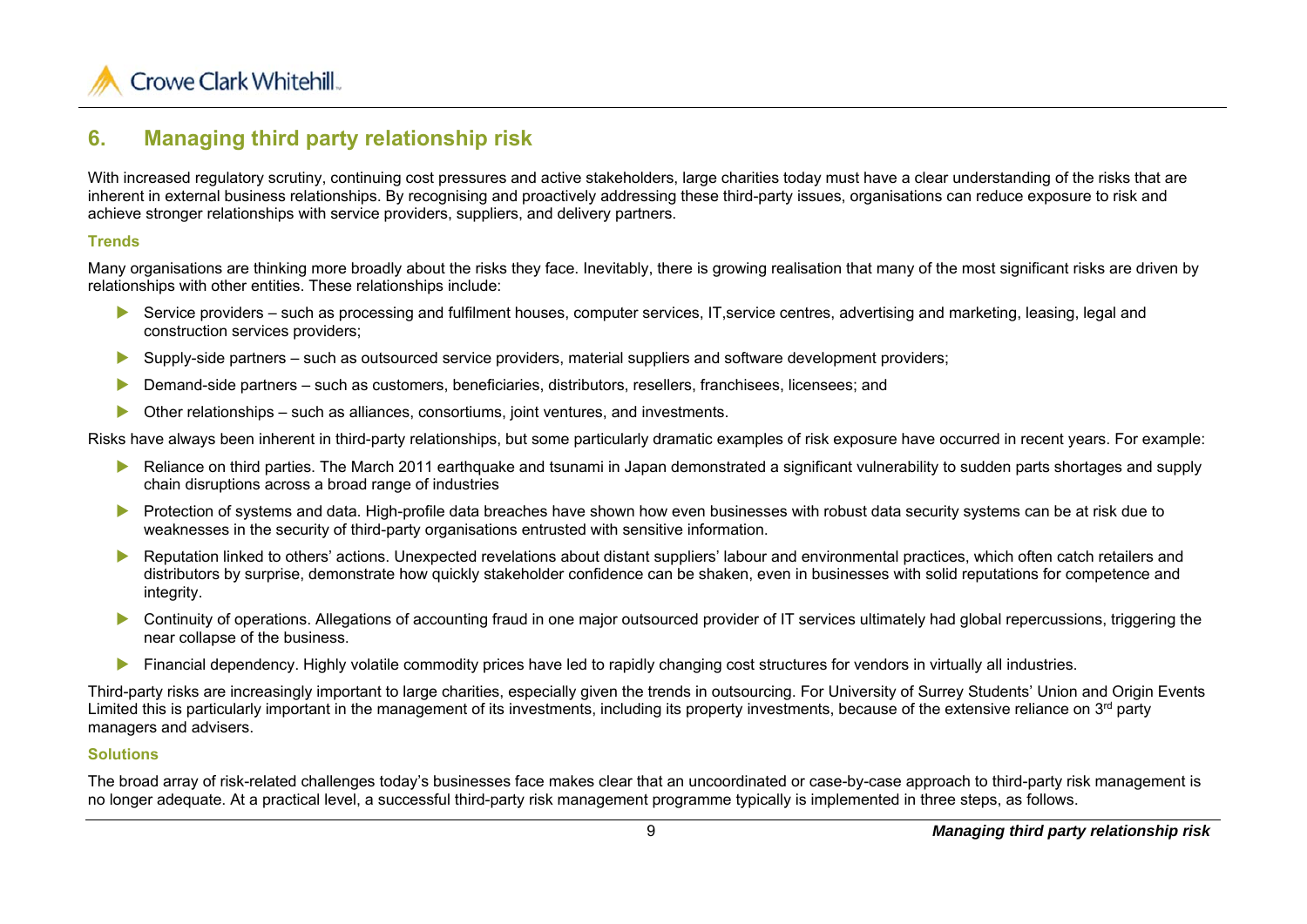

## **6. Managing third party relationship risk**

With increased regulatory scrutiny, continuing cost pressures and active stakeholders, large charities today must have a clear understanding of the risks that are inherent in external business relationships. By recognising and proactively addressing these third-party issues, organisations can reduce exposure to risk and achieve stronger relationships with service providers, suppliers, and delivery partners.

#### **Trends**

Many organisations are thinking more broadly about the risks they face. Inevitably, there is growing realisation that many of the most significant risks are driven by relationships with other entities. These relationships include:

- ▶ Service providers such as processing and fulfilment houses, computer services, IT, service centres, advertising and marketing, leasing, legal and construction services providers;
- $\blacktriangleright$ Supply-side partners – such as outsourced service providers, material suppliers and software development providers;
- $\blacktriangleright$ Demand-side partners – such as customers, beneficiaries, distributors, resellers, franchisees, licensees; and
- ь Other relationships – such as alliances, consortiums, joint ventures, and investments.

Risks have always been inherent in third-party relationships, but some particularly dramatic examples of risk exposure have occurred in recent years. For example:

- Reliance on third parties. The March 2011 earthquake and tsunami in Japan demonstrated a significant vulnerability to sudden parts shortages and supply chain disruptions across a broad range of industries
- $\blacktriangleright$  Protection of systems and data. High-profile data breaches have shown how even businesses with robust data security systems can be at risk due to weaknesses in the security of third-party organisations entrusted with sensitive information.
- $\blacktriangleright$  Reputation linked to others' actions. Unexpected revelations about distant suppliers' labour and environmental practices, which often catch retailers and distributors by surprise, demonstrate how quickly stakeholder confidence can be shaken, even in businesses with solid reputations for competence and integrity.
- Continuity of operations. Allegations of accounting fraud in one major outsourced provider of IT services ultimately had global repercussions, triggering the near collapse of the business.
- **Financial dependency. Highly volatile commodity prices have led to rapidly changing cost structures for vendors in virtually all industries.**

Third-party risks are increasingly important to large charities, especially given the trends in outsourcing. For University of Surrey Students' Union and Origin Events Limited this is particularly important in the management of its investments, including its property investments, because of the extensive reliance on  $3<sup>rd</sup>$  party managers and advisers.

#### **Solutions**

The broad array of risk-related challenges today's businesses face makes clear that an uncoordinated or case-by-case approach to third-party risk management is no longer adequate. At a practical level, a successful third-party risk management programme typically is implemented in three steps, as follows.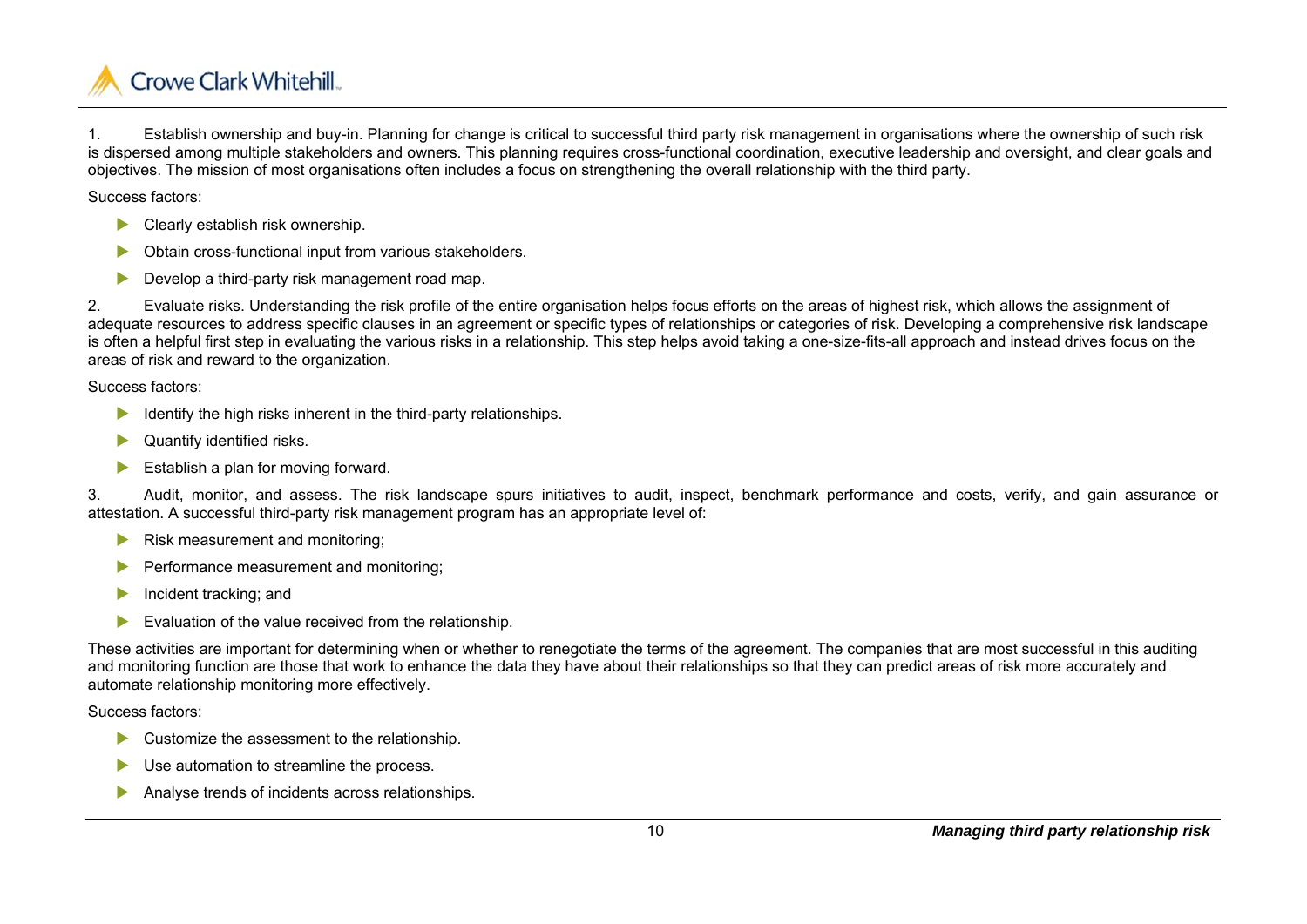

1. Establish ownership and buy-in. Planning for change is critical to successful third party risk management in organisations where the ownership of such risk is dispersed among multiple stakeholders and owners. This planning requires cross-functional coordination, executive leadership and oversight, and clear goals and objectives. The mission of most organisations often includes a focus on strengthening the overall relationship with the third party.

Success factors:

- $\blacktriangleright$ Clearly establish risk ownership.
- $\blacktriangleright$ Obtain cross-functional input from various stakeholders.
- $\blacktriangleright$ Develop a third-party risk management road map.

2. Evaluate risks. Understanding the risk profile of the entire organisation helps focus efforts on the areas of highest risk, which allows the assignment of adequate resources to address specific clauses in an agreement or specific types of relationships or categories of risk. Developing a comprehensive risk landscape is often a helpful first step in evaluating the various risks in a relationship. This step helps avoid taking a one-size-fits-all approach and instead drives focus on the areas of risk and reward to the organization.

Success factors:

- ь Identify the high risks inherent in the third-party relationships.
- ь Quantify identified risks.
- $\blacktriangleright$ Establish a plan for moving forward.

3. Audit, monitor, and assess. The risk landscape spurs initiatives to audit, inspect, benchmark performance and costs, verify, and gain assurance or attestation. A successful third-party risk management program has an appropriate level of:

- $\blacktriangleright$ Risk measurement and monitoring;
- $\blacktriangleright$ Performance measurement and monitoring;
- D Incident tracking; and
- $\blacktriangleright$ Evaluation of the value received from the relationship.

These activities are important for determining when or whether to renegotiate the terms of the agreement. The companies that are most successful in this auditing and monitoring function are those that work to enhance the data they have about their relationships so that they can predict areas of risk more accurately and automate relationship monitoring more effectively.

Success factors:

- ь Customize the assessment to the relationship.
- $\blacktriangleright$ Use automation to streamline the process.
- $\blacktriangleright$ Analyse trends of incidents across relationships.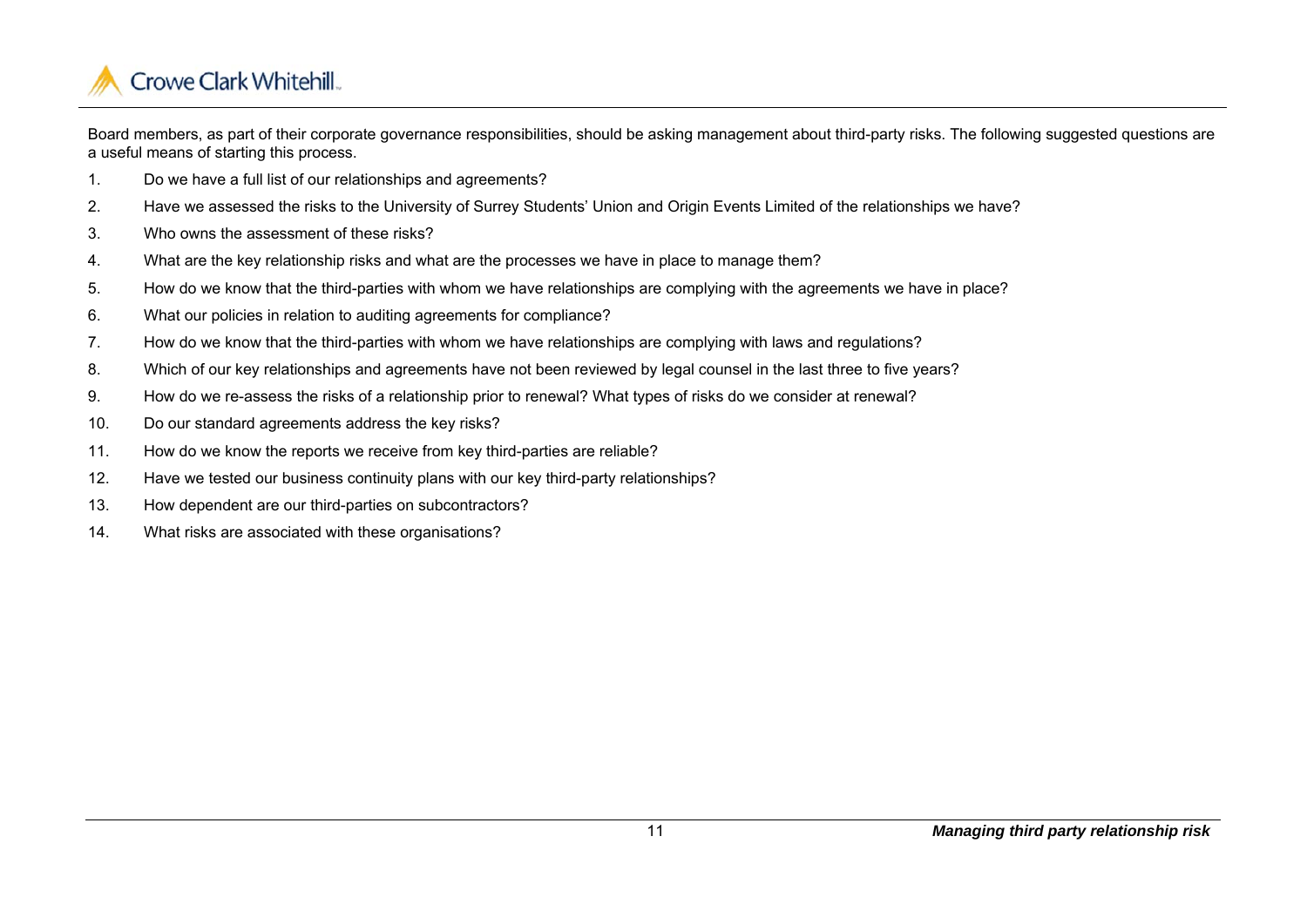

Board members, as part of their corporate governance responsibilities, should be asking management about third-party risks. The following suggested questions are a useful means of starting this process.

- 1. Do we have a full list of our relationships and agreements?
- 2. Have we assessed the risks to the University of Surrey Students' Union and Origin Events Limited of the relationships we have?
- 3. Who owns the assessment of these risks?
- 4. What are the key relationship risks and what are the processes we have in place to manage them?
- 5. How do we know that the third-parties with whom we have relationships are complying with the agreements we have in place?
- 6. What our policies in relation to auditing agreements for compliance?
- 7. How do we know that the third-parties with whom we have relationships are complying with laws and regulations?
- 8. Which of our key relationships and agreements have not been reviewed by legal counsel in the last three to five years?
- 9. How do we re-assess the risks of a relationship prior to renewal? What types of risks do we consider at renewal?
- 10. Do our standard agreements address the key risks?
- 11. How do we know the reports we receive from key third-parties are reliable?
- 12. Have we tested our business continuity plans with our key third-party relationships?
- 13. How dependent are our third-parties on subcontractors?
- 14. What risks are associated with these organisations?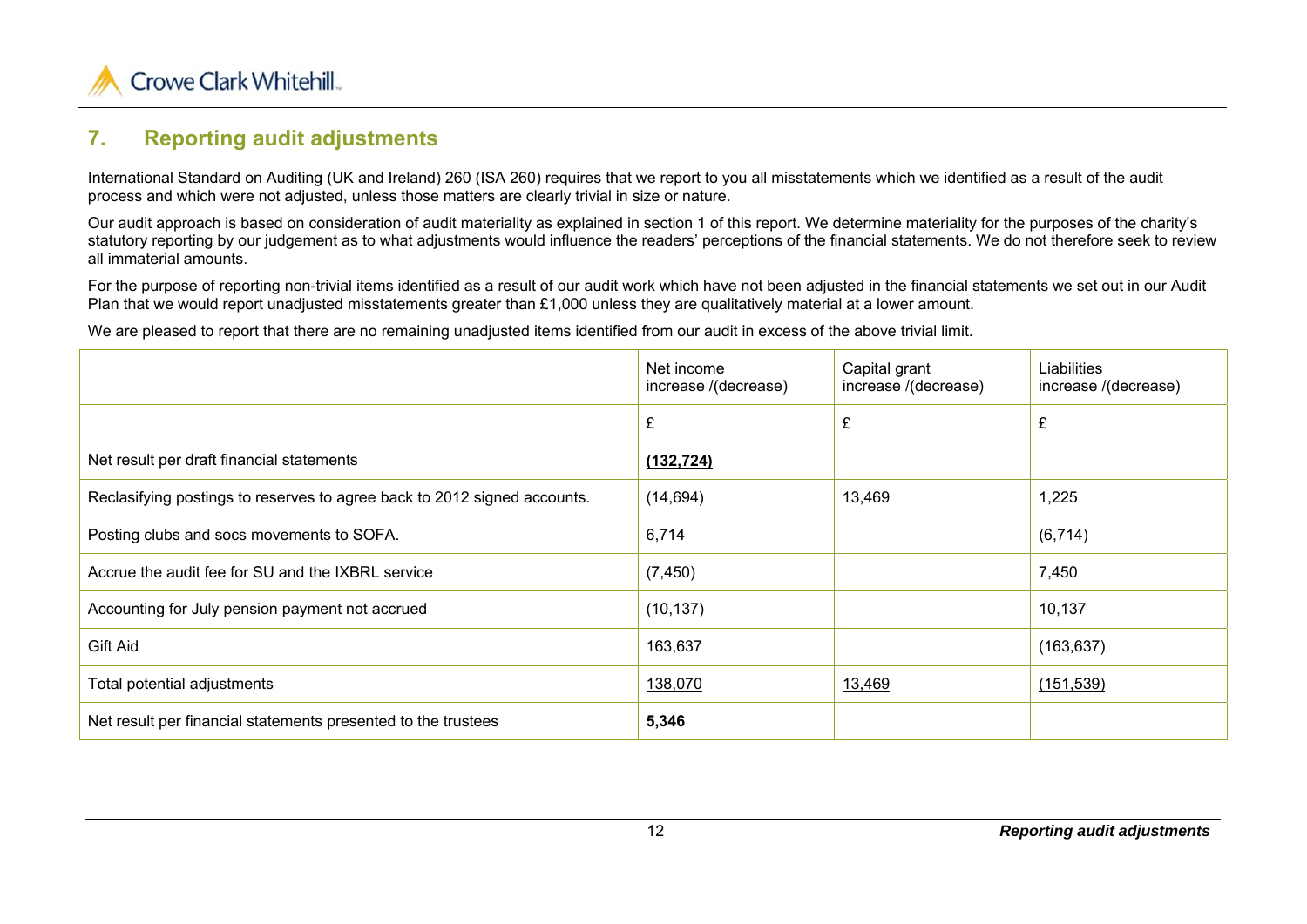

## **7. Reporting audit adjustments**

International Standard on Auditing (UK and Ireland) 260 (ISA 260) requires that we report to you all misstatements which we identified as a result of the audit process and which were not adjusted, unless those matters are clearly trivial in size or nature.

Our audit approach is based on consideration of audit materiality as explained in section 1 of this report. We determine materiality for the purposes of the charity's statutory reporting by our judgement as to what adjustments would influence the readers' perceptions of the financial statements. We do not therefore seek to review all immaterial amounts.

For the purpose of reporting non-trivial items identified as a result of our audit work which have not been adjusted in the financial statements we set out in our Audit Plan that we would report unadjusted misstatements greater than £1,000 unless they are qualitatively material at a lower amount.

We are pleased to report that there are no remaining unadjusted items identified from our audit in excess of the above trivial limit.

|                                                                          | Net income<br>increase /(decrease) | Capital grant<br>increase /(decrease) | Liabilities<br>increase /(decrease) |
|--------------------------------------------------------------------------|------------------------------------|---------------------------------------|-------------------------------------|
|                                                                          | £                                  | £                                     | £                                   |
| Net result per draft financial statements                                | (132, 724)                         |                                       |                                     |
| Reclasifying postings to reserves to agree back to 2012 signed accounts. | (14, 694)                          | 13,469                                | 1,225                               |
| Posting clubs and socs movements to SOFA.                                | 6,714                              |                                       | (6, 714)                            |
| Accrue the audit fee for SU and the IXBRL service                        | (7, 450)                           |                                       | 7,450                               |
| Accounting for July pension payment not accrued                          | (10, 137)                          |                                       | 10,137                              |
| Gift Aid                                                                 | 163,637                            |                                       | (163, 637)                          |
| Total potential adjustments                                              | 138,070                            | 13,469                                | (151, 539)                          |
| Net result per financial statements presented to the trustees            | 5,346                              |                                       |                                     |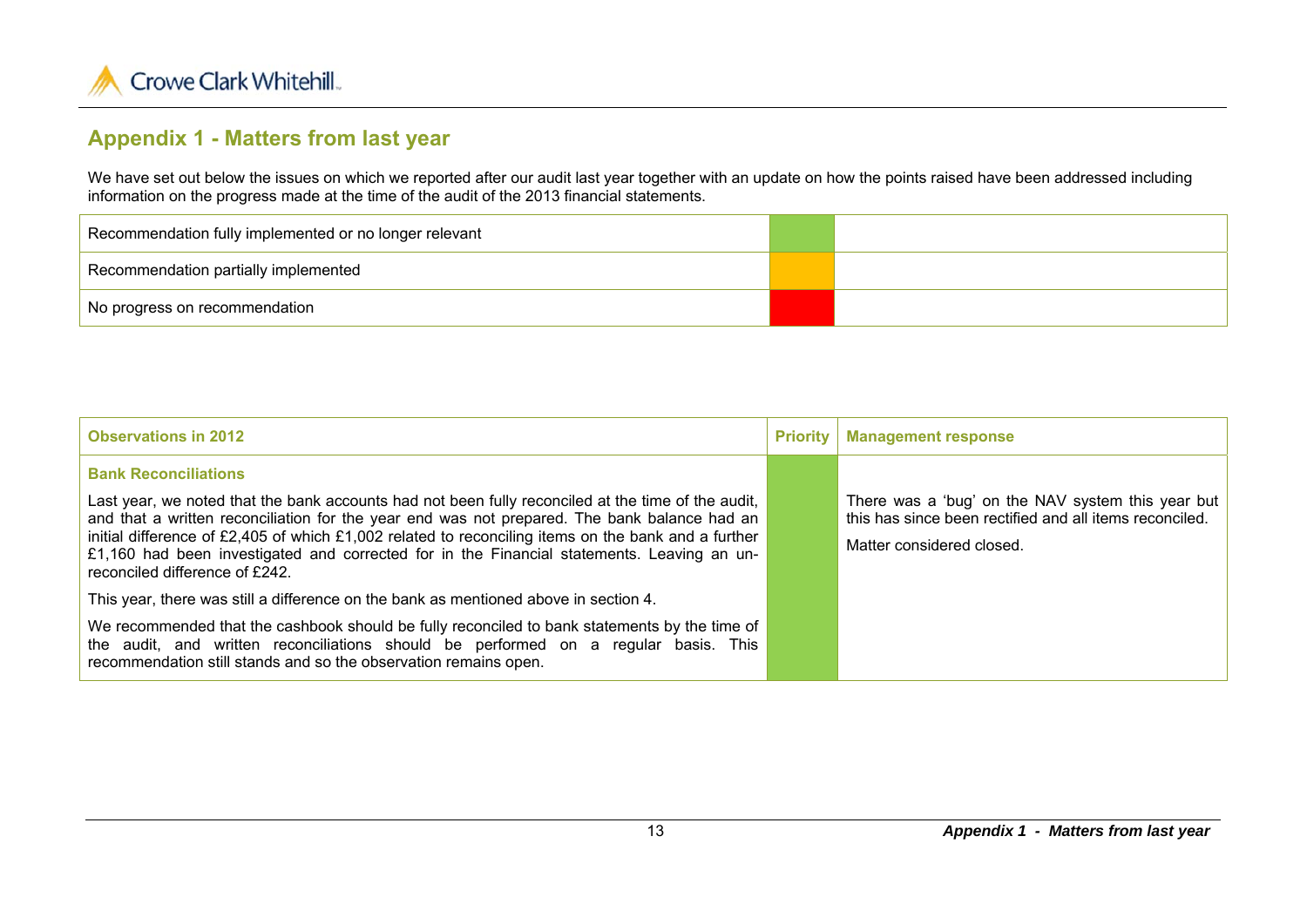

## **Appendix 1 - Matters from last year**

We have set out below the issues on which we reported after our audit last year together with an update on how the points raised have been addressed including information on the progress made at the time of the audit of the 2013 financial statements.

| Recommendation fully implemented or no longer relevant |  |
|--------------------------------------------------------|--|
| Recommendation partially implemented                   |  |
| No progress on recommendation                          |  |

| <b>Observations in 2012</b>                                                                                                                                                                                                                                                                                                                                                                                                               | <b>Priority</b> | <b>Management response</b>                                                                                                                |
|-------------------------------------------------------------------------------------------------------------------------------------------------------------------------------------------------------------------------------------------------------------------------------------------------------------------------------------------------------------------------------------------------------------------------------------------|-----------------|-------------------------------------------------------------------------------------------------------------------------------------------|
| <b>Bank Reconciliations</b>                                                                                                                                                                                                                                                                                                                                                                                                               |                 |                                                                                                                                           |
| Last year, we noted that the bank accounts had not been fully reconciled at the time of the audit,<br>and that a written reconciliation for the year end was not prepared. The bank balance had an<br>initial difference of £2,405 of which £1,002 related to reconciling items on the bank and a further<br>£1,160 had been investigated and corrected for in the Financial statements. Leaving an un-<br>reconciled difference of £242. |                 | There was a 'bug' on the NAV system this year but<br>this has since been rectified and all items reconciled.<br>Matter considered closed. |
| This year, there was still a difference on the bank as mentioned above in section 4.                                                                                                                                                                                                                                                                                                                                                      |                 |                                                                                                                                           |
| We recommended that the cashbook should be fully reconciled to bank statements by the time of<br>the audit, and written reconciliations should be performed on a regular basis. This<br>recommendation still stands and so the observation remains open.                                                                                                                                                                                  |                 |                                                                                                                                           |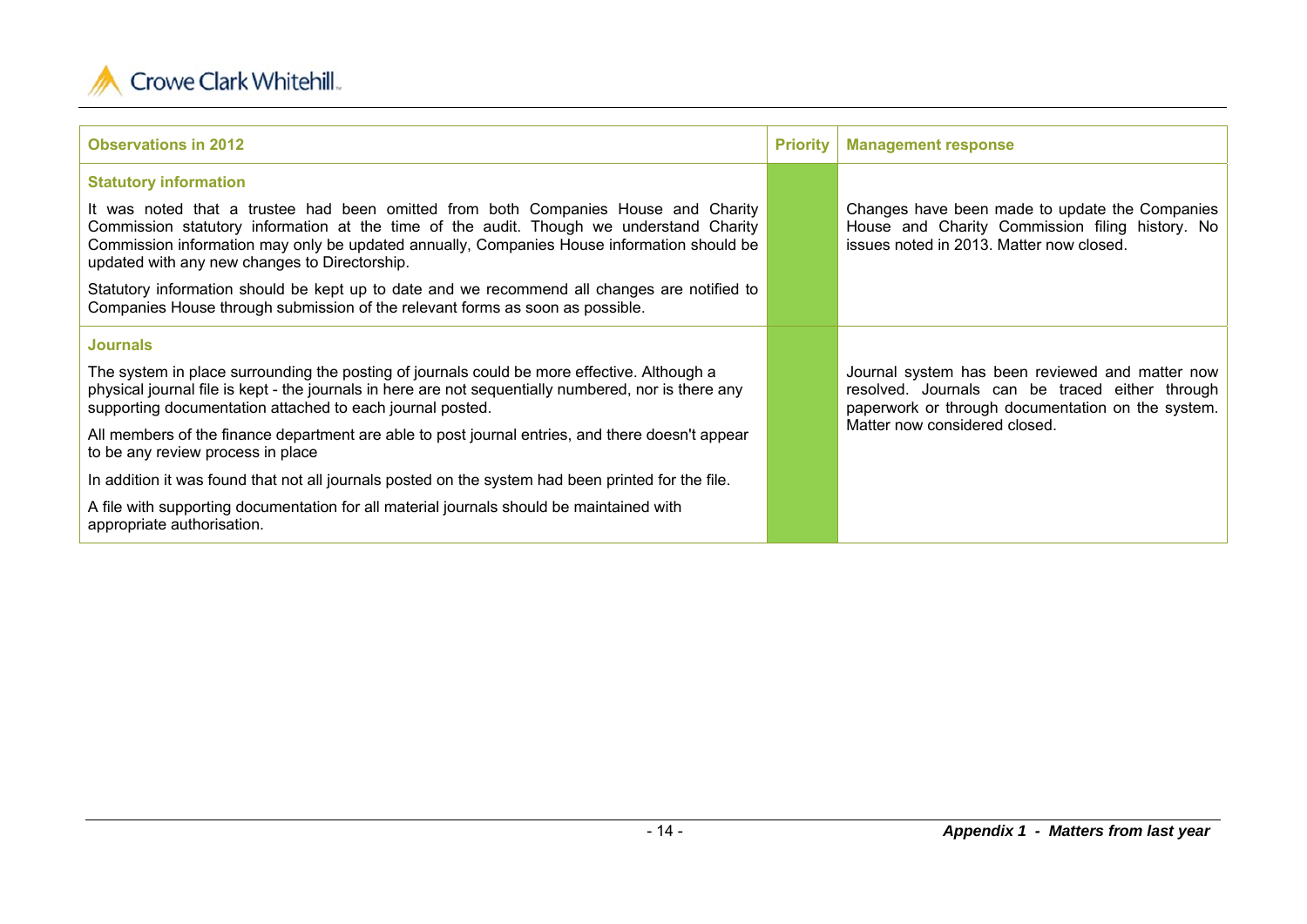

| <b>Observations in 2012</b>                                                                                                                                                                                                                                                                                                  | <b>Priority</b> | <b>Management response</b>                                                                                                                              |
|------------------------------------------------------------------------------------------------------------------------------------------------------------------------------------------------------------------------------------------------------------------------------------------------------------------------------|-----------------|---------------------------------------------------------------------------------------------------------------------------------------------------------|
| <b>Statutory information</b>                                                                                                                                                                                                                                                                                                 |                 |                                                                                                                                                         |
| It was noted that a trustee had been omitted from both Companies House and Charity<br>Commission statutory information at the time of the audit. Though we understand Charity<br>Commission information may only be updated annually, Companies House information should be<br>updated with any new changes to Directorship. |                 | Changes have been made to update the Companies<br>House and Charity Commission filing history. No<br>issues noted in 2013. Matter now closed.           |
| Statutory information should be kept up to date and we recommend all changes are notified to<br>Companies House through submission of the relevant forms as soon as possible.                                                                                                                                                |                 |                                                                                                                                                         |
| <b>Journals</b>                                                                                                                                                                                                                                                                                                              |                 |                                                                                                                                                         |
| The system in place surrounding the posting of journals could be more effective. Although a<br>physical journal file is kept - the journals in here are not sequentially numbered, nor is there any<br>supporting documentation attached to each journal posted.                                                             |                 | Journal system has been reviewed and matter now<br>resolved. Journals can be traced either through<br>paperwork or through documentation on the system. |
| All members of the finance department are able to post journal entries, and there doesn't appear<br>to be any review process in place                                                                                                                                                                                        |                 | Matter now considered closed.                                                                                                                           |
| In addition it was found that not all journals posted on the system had been printed for the file.                                                                                                                                                                                                                           |                 |                                                                                                                                                         |
| A file with supporting documentation for all material journals should be maintained with<br>appropriate authorisation.                                                                                                                                                                                                       |                 |                                                                                                                                                         |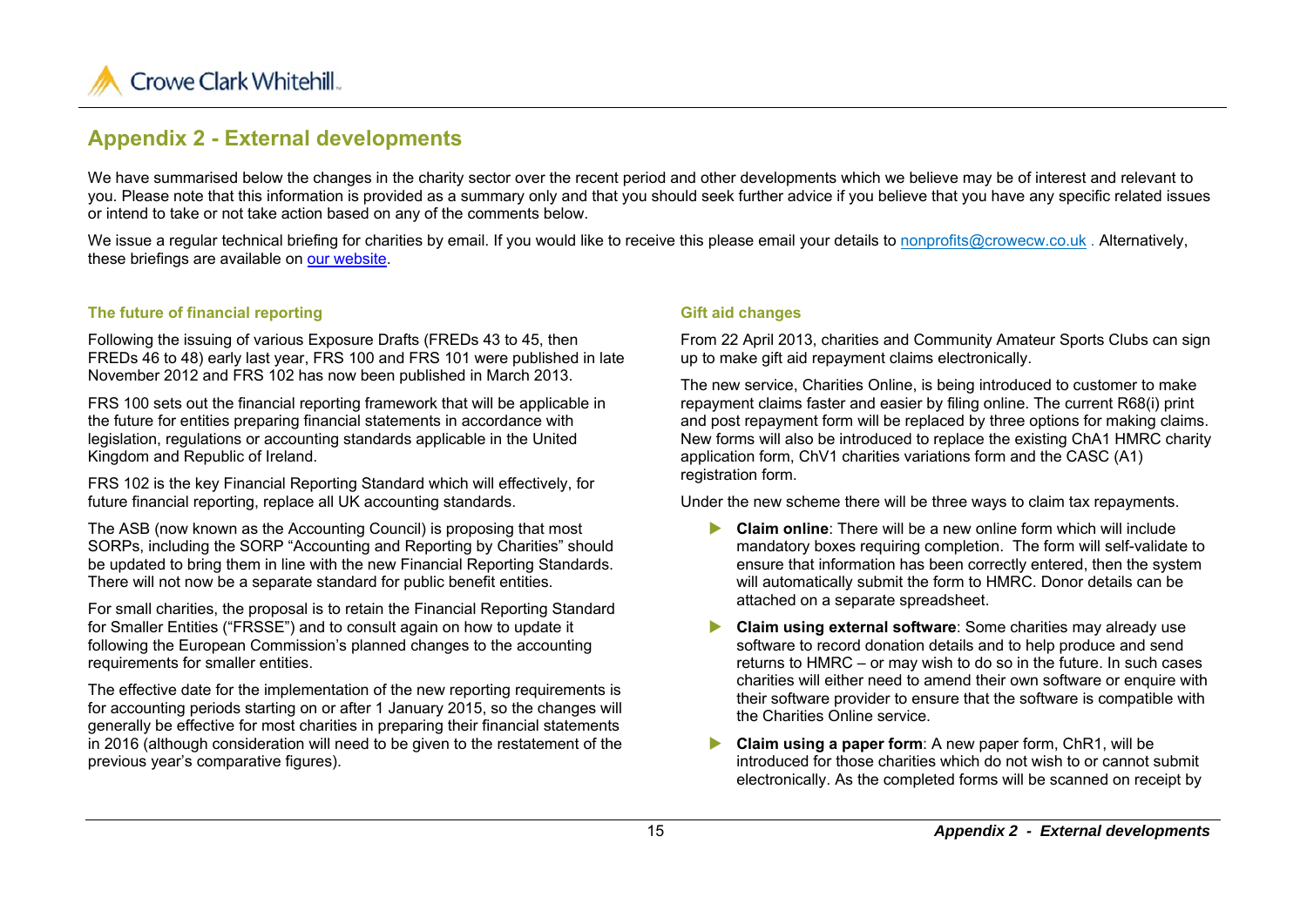

## **Appendix 2 - External developments**

We have summarised below the changes in the charity sector over the recent period and other developments which we believe may be of interest and relevant to you. Please note that this information is provided as a summary only and that you should seek further advice if you believe that you have any specific related issues or intend to take or not take action based on any of the comments below.

We issue a regular technical briefing for charities by email. If you would like to receive this please email your details to nonprofits@crowecw.co.uk. Alternatively, these briefings are available on our website.

#### **The future of financial reporting**

Following the issuing of various Exposure Drafts (FREDs 43 to 45, then FREDs 46 to 48) early last year, FRS 100 and FRS 101 were published in late November 2012 and FRS 102 has now been published in March 2013.

FRS 100 sets out the financial reporting framework that will be applicable in the future for entities preparing financial statements in accordance with legislation, regulations or accounting standards applicable in the United Kingdom and Republic of Ireland.

FRS 102 is the key Financial Reporting Standard which will effectively, for future financial reporting, replace all UK accounting standards.

The ASB (now known as the Accounting Council) is proposing that most SORPs, including the SORP "Accounting and Reporting by Charities" should be updated to bring them in line with the new Financial Reporting Standards. There will not now be a separate standard for public benefit entities.

For small charities, the proposal is to retain the Financial Reporting Standard for Smaller Entities ("FRSSE") and to consult again on how to update it following the European Commission's planned changes to the accounting requirements for smaller entities.

The effective date for the implementation of the new reporting requirements is for accounting periods starting on or after 1 January 2015, so the changes will generally be effective for most charities in preparing their financial statements in 2016 (although consideration will need to be given to the restatement of the previous year's comparative figures).

#### **Gift aid changes**

From 22 April 2013, charities and Community Amateur Sports Clubs can sign up to make gift aid repayment claims electronically.

The new service, Charities Online, is being introduced to customer to make repayment claims faster and easier by filing online. The current R68(i) print and post repayment form will be replaced by three options for making claims. New forms will also be introduced to replace the existing ChA1 HMRC charity application form, ChV1 charities variations form and the CASC (A1) registration form.

Under the new scheme there will be three ways to claim tax repayments.

- **Claim online**: There will be a new online form which will include mandatory boxes requiring completion. The form will self-validate to ensure that information has been correctly entered, then the system will automatically submit the form to HMRC. Donor details can be attached on a separate spreadsheet.
- $\blacktriangleright$  **Claim using external software**: Some charities may already use software to record donation details and to help produce and send returns to HMRC – or may wish to do so in the future. In such cases charities will either need to amend their own software or enquire with their software provider to ensure that the software is compatible with the Charities Online service.
- $\blacktriangleright$  **Claim using a paper form**: A new paper form, ChR1, will be introduced for those charities which do not wish to or cannot submit electronically. As the completed forms will be scanned on receipt by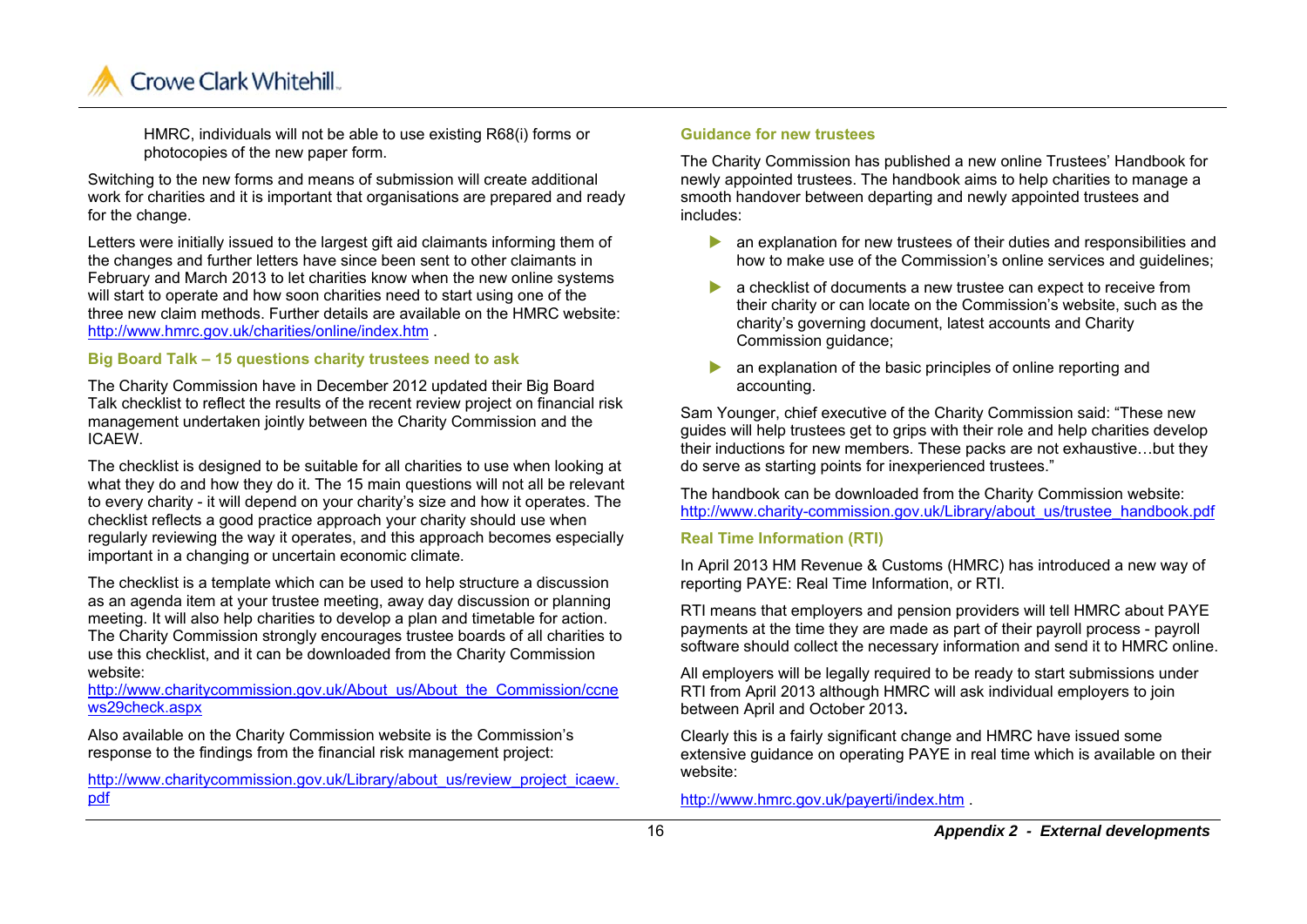

HMRC, individuals will not be able to use existing R68(i) forms or photocopies of the new paper form.

Switching to the new forms and means of submission will create additional work for charities and it is important that organisations are prepared and ready for the change.

Letters were initially issued to the largest gift aid claimants informing them of the changes and further letters have since been sent to other claimants in February and March 2013 to let charities know when the new online systems will start to operate and how soon charities need to start using one of the three new claim methods. Further details are available on the HMRC website: http://www.hmrc.gov.uk/charities/online/index.htm .

#### **Big Board Talk – 15 questions charity trustees need to ask**

The Charity Commission have in December 2012 updated their Big Board Talk checklist to reflect the results of the recent review project on financial risk management undertaken jointly between the Charity Commission and the ICAEW.

The checklist is designed to be suitable for all charities to use when looking at what they do and how they do it. The 15 main questions will not all be relevant to every charity - it will depend on your charity's size and how it operates. The checklist reflects a good practice approach your charity should use when regularly reviewing the way it operates, and this approach becomes especially important in a changing or uncertain economic climate.

The checklist is a template which can be used to help structure a discussion as an agenda item at your trustee meeting, away day discussion or planning meeting. It will also help charities to develop a plan and timetable for action. The Charity Commission strongly encourages trustee boards of all charities to use this checklist, and it can be downloaded from the Charity Commission website:

http://www.charitycommission.gov.uk/About\_us/About\_the\_Commission/ccne ws29check.aspx

Also available on the Charity Commission website is the Commission's response to the findings from the financial risk management project:

http://www.charitycommission.gov.uk/Library/about\_us/review\_project\_icaew. pdf

#### **Guidance for new trustees**

The Charity Commission has published a new online Trustees' Handbook for newly appointed trustees. The handbook aims to help charities to manage a smooth handover between departing and newly appointed trustees and includes:

- **All an explanation for new trustees of their duties and responsibilities and** how to make use of the Commission's online services and guidelines;
- **a** checklist of documents a new trustee can expect to receive from their charity or can locate on the Commission's website, such as the charity's governing document, latest accounts and Charity Commission guidance;
- $\blacktriangleright$  an explanation of the basic principles of online reporting and accounting.

Sam Younger, chief executive of the Charity Commission said: "These new guides will help trustees get to grips with their role and help charities develop their inductions for new members. These packs are not exhaustive…but they do serve as starting points for inexperienced trustees."

The handbook can be downloaded from the Charity Commission website: http://www.charity-commission.gov.uk/Library/about\_us/trustee\_handbook.pdf

#### **Real Time Information (RTI)**

In April 2013 HM Revenue & Customs (HMRC) has introduced a new way of reporting PAYE: Real Time Information, or RTI.

RTI means that employers and pension providers will tell HMRC about PAYE payments at the time they are made as part of their payroll process - payroll software should collect the necessary information and send it to HMRC online.

All employers will be legally required to be ready to start submissions under RTI from April 2013 although HMRC will ask individual employers to join between April and October 2013**.** 

Clearly this is a fairly significant change and HMRC have issued some extensive guidance on operating PAYE in real time which is available on their website:

http://www.hmrc.gov.uk/payerti/index.htm .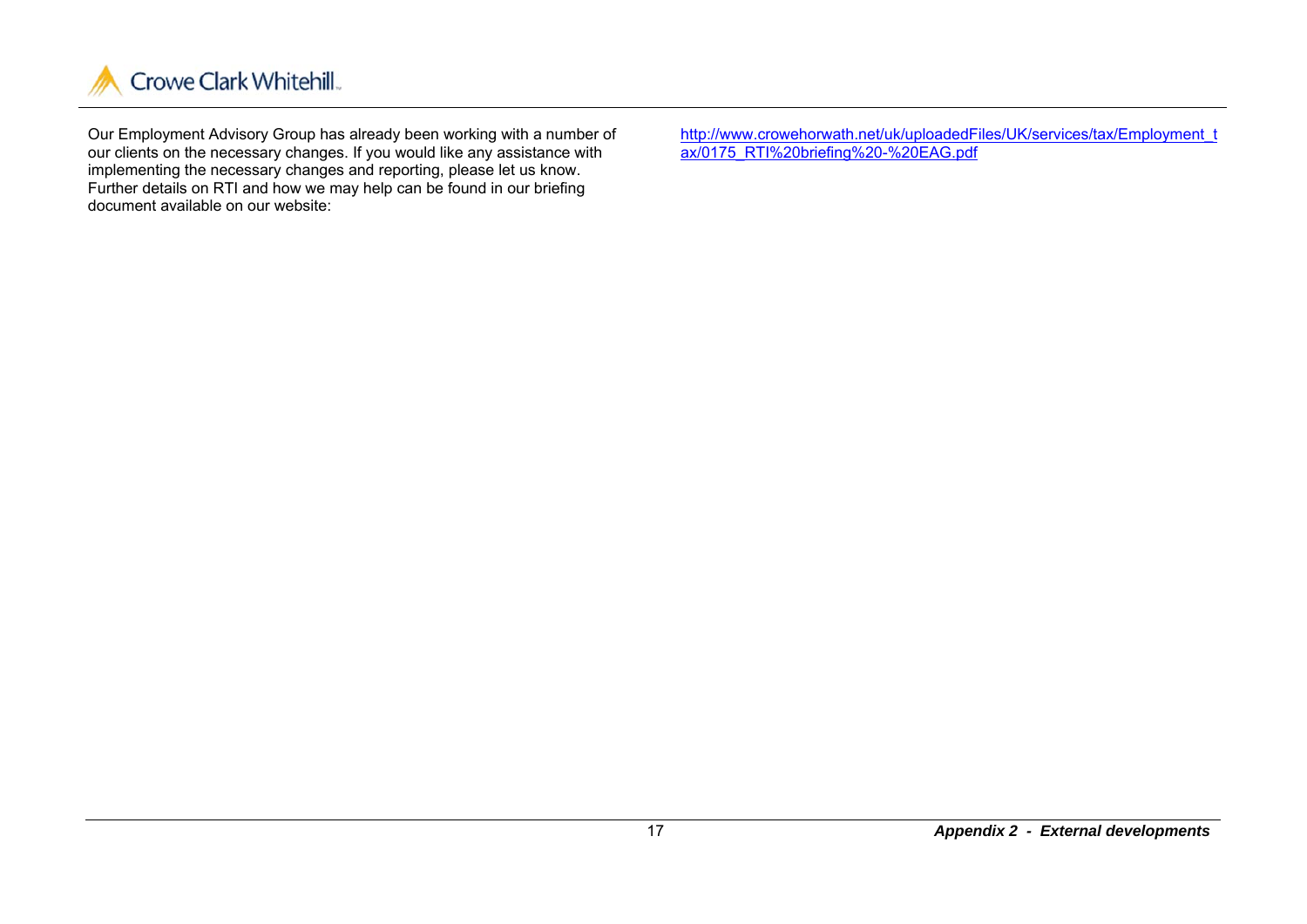

Our Employment Advisory Group has already been working with a number of our clients on the necessary changes. If you would like any assistance with implementing the necessary changes and reporting, please let us know. Further details on RTI and how we may help can be found in our briefing document available on our website:

http://www.crowehorwath.net/uk/uploadedFiles/UK/services/tax/Employment\_t ax/0175\_RTI%20briefing%20-%20EAG.pdf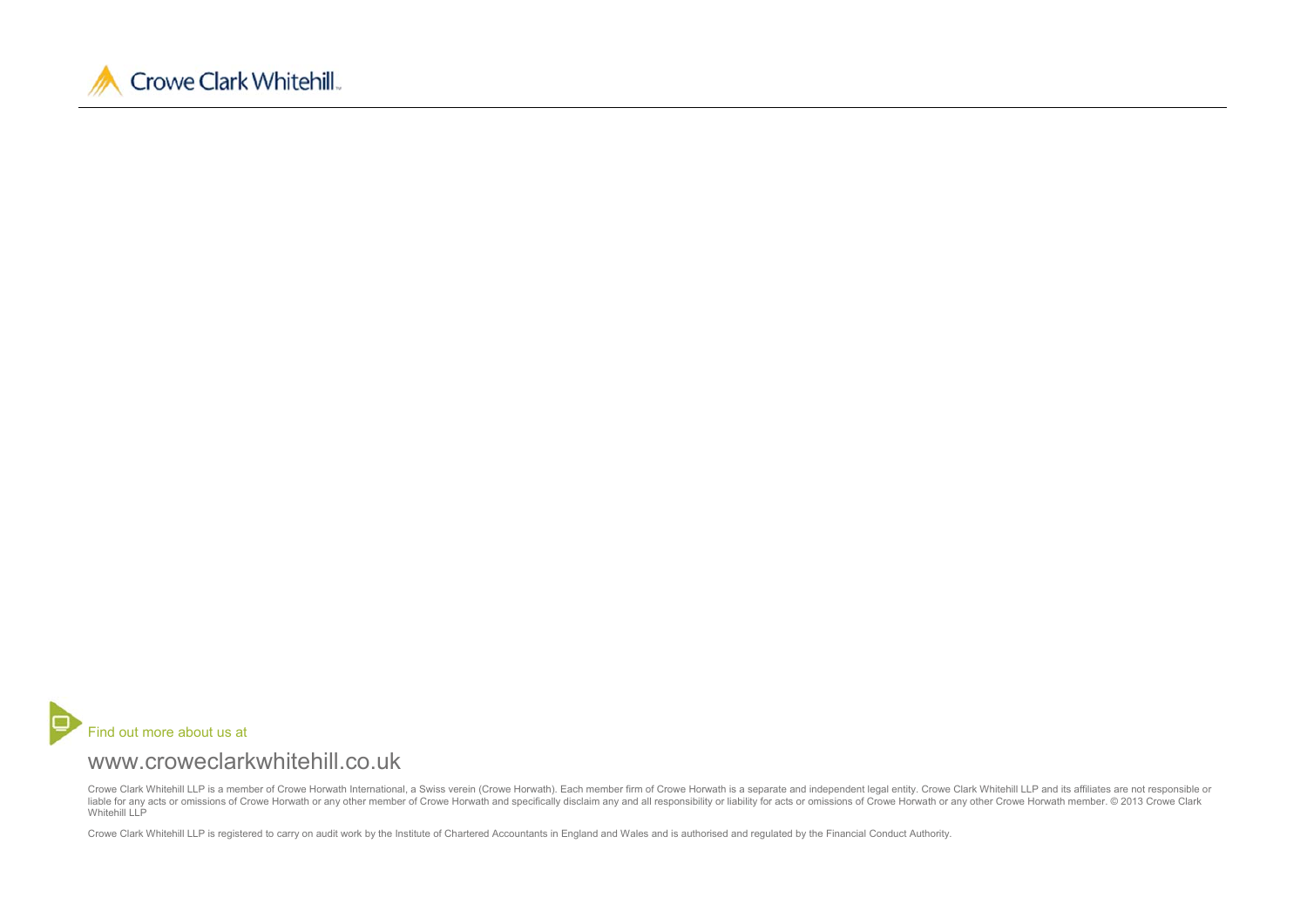



## www.croweclarkwhitehill.co.uk

Crowe Clark Whitehill LLP is a member of Crowe Horwath International, a Swiss verein (Crowe Horwath). Each member firm of Crowe Horwath is a separate and independent legal entity. Crowe Clark Whitehill LLP and its affiliat liable for any acts or omissions of Crowe Horwath or any other member of Crowe Horwath and specifically disclaim any and all responsibility or liability for acts or omissions of Crowe Horwath or any other Crowe Horwath mem Whitehill LLP

Crowe Clark Whitehill LLP is registered to carry on audit work by the Institute of Chartered Accountants in England and Wales and is authorised and regulated by the Financial Conduct Authority.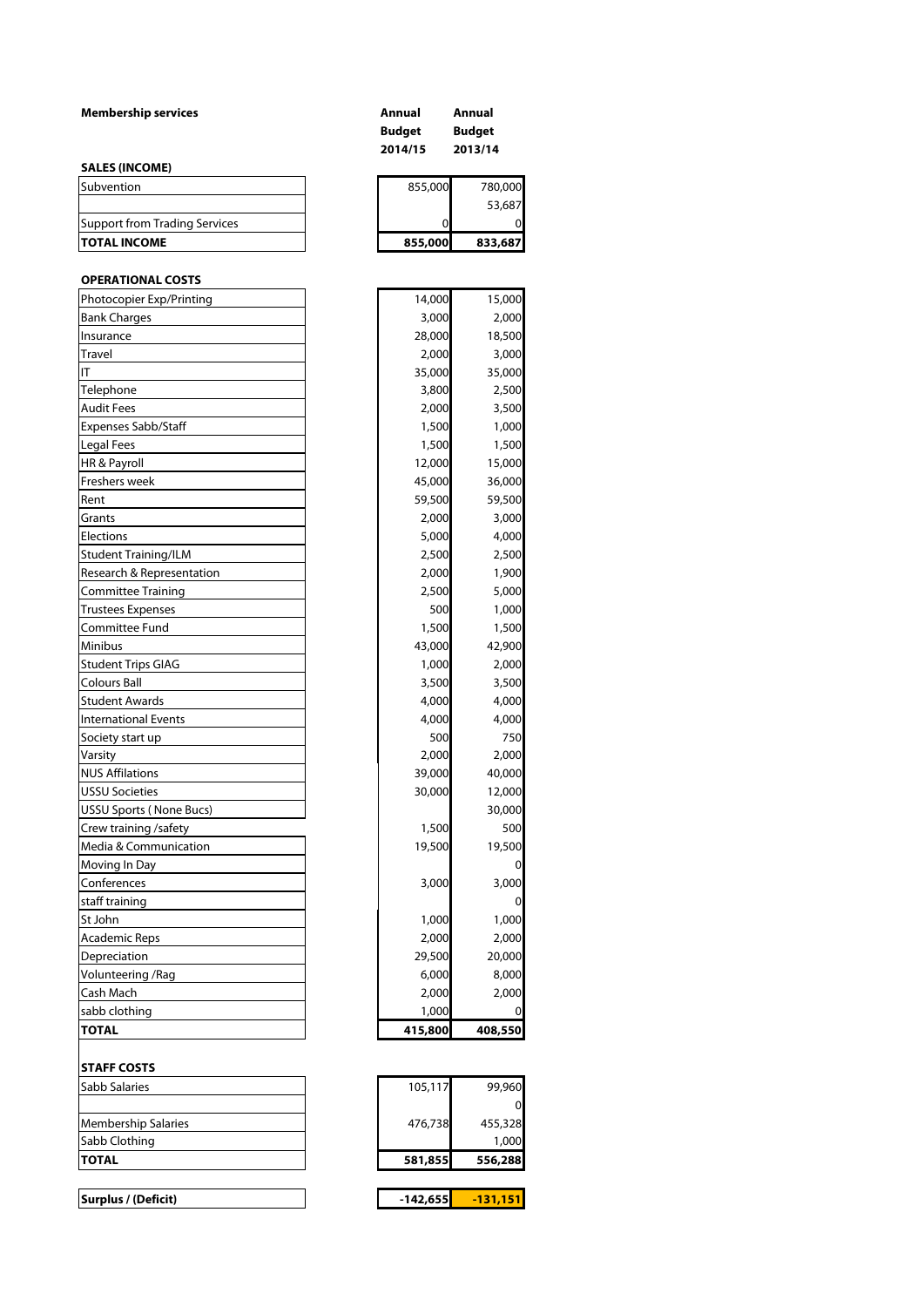| <b>Membership services</b>           | Annual<br><b>Budget</b><br>2014/15 | Annual<br><b>Budget</b><br>2013/14 |
|--------------------------------------|------------------------------------|------------------------------------|
| <b>SALES (INCOME)</b>                |                                    |                                    |
| Subvention                           | 855,000                            | 780,000                            |
|                                      |                                    | 53,687                             |
| <b>Support from Trading Services</b> | 0                                  | 0                                  |
| <b>TOTAL INCOME</b>                  | 855,000                            | 833,687                            |
| <b>OPERATIONAL COSTS</b>             |                                    |                                    |
| Photocopier Exp/Printing             | 14,000                             | 15,000                             |
| <b>Bank Charges</b>                  | 3,000                              | 2,000                              |
| Insurance                            | 28,000                             | 18,500                             |
| Travel                               | 2,000                              | 3,000                              |
| ΙT                                   | 35,000                             | 35,000                             |
| Telephone                            | 3,800                              | 2,500                              |
| <b>Audit Fees</b>                    | 2,000                              | 3,500                              |
| <b>Expenses Sabb/Staff</b>           | 1,500                              | 1,000                              |
| <b>Legal Fees</b>                    | 1,500                              | 1,500                              |
| HR & Payroll                         | 12,000                             | 15,000                             |
| <b>Freshers week</b>                 | 45,000                             | 36,000                             |
| Rent                                 | 59,500                             | 59,500                             |
| Grants                               | 2,000                              | 3,000                              |
| Elections                            | 5,000                              | 4,000                              |
| Student Training/ILM                 | 2,500                              | 2,500                              |
| Research & Representation            | 2,000                              | 1,900                              |
| Committee Training                   | 2,500                              | 5,000                              |
| <b>Trustees Expenses</b>             | 500                                | 1,000                              |
| Committee Fund                       | 1,500                              | 1,500                              |
| Minibus                              | 43,000                             | 42,900                             |
| <b>Student Trips GIAG</b>            | 1,000                              | 2,000                              |
| Colours Ball                         | 3,500                              | 3,500                              |
| <b>Student Awards</b>                | 4,000                              | 4,000                              |
| <b>International Events</b>          | 4,000                              | 4,000                              |
| Society start up                     | 500                                | 750                                |
| Varsity                              | 2,000                              | 2,000                              |
| <b>NUS Affilations</b>               | 39,000                             | 40,000                             |
| <b>USSU Societies</b>                | 30,000                             | 12,000                             |
| <b>USSU Sports (None Bucs)</b>       |                                    | 30,000                             |
| Crew training /safety                | 1,500                              | 500                                |
| Media & Communication                | 19,500                             | 19,500                             |
| Moving In Day                        |                                    | 0                                  |
| Conferences                          | 3,000                              | 3,000                              |
| staff training                       |                                    | 0                                  |
| St John                              | 1,000                              | 1,000                              |
| Academic Reps                        | 2,000                              | 2,000                              |
| Depreciation                         | 29,500                             | 20,000                             |
| Volunteering /Rag                    | 6,000                              | 8,000                              |
| Cash Mach                            | 2,000                              | 2,000                              |
| sabb clothing<br>TOTAL               | 1,000<br>415,800                   | O<br>408,550                       |
|                                      |                                    |                                    |
| <b>STAFF COSTS</b>                   |                                    |                                    |
| Sabb Salaries                        | 105,117                            | 99,960<br>0                        |
| <b>Membership Salaries</b>           | 476,738                            | 455,328                            |
| Sabb Clothing                        |                                    | 1,000                              |
| <b>TOTAL</b>                         | 581,855                            | 556,288                            |
| Surplus / (Deficit)                  | $-142,655$                         | -131,151                           |
|                                      |                                    |                                    |